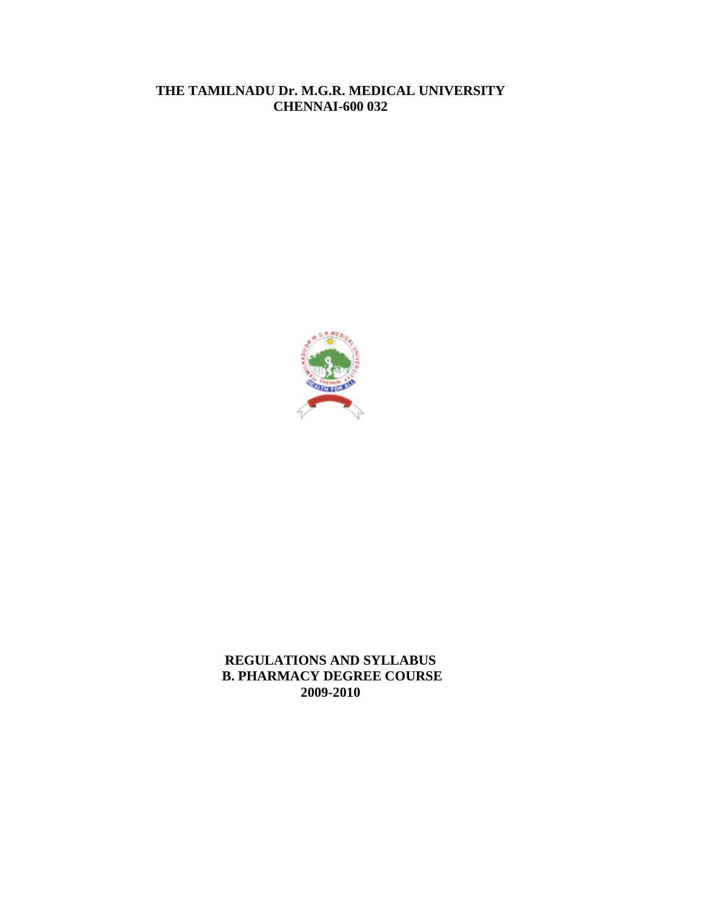# **THE TAMILNADU Dr. M.G.R. MEDICAL UNIVERSITY CHENNAI-600 032**



**REGULATIONS AND SYLLABUS B. PHARMACY DEGREE COURSE 2009-2010**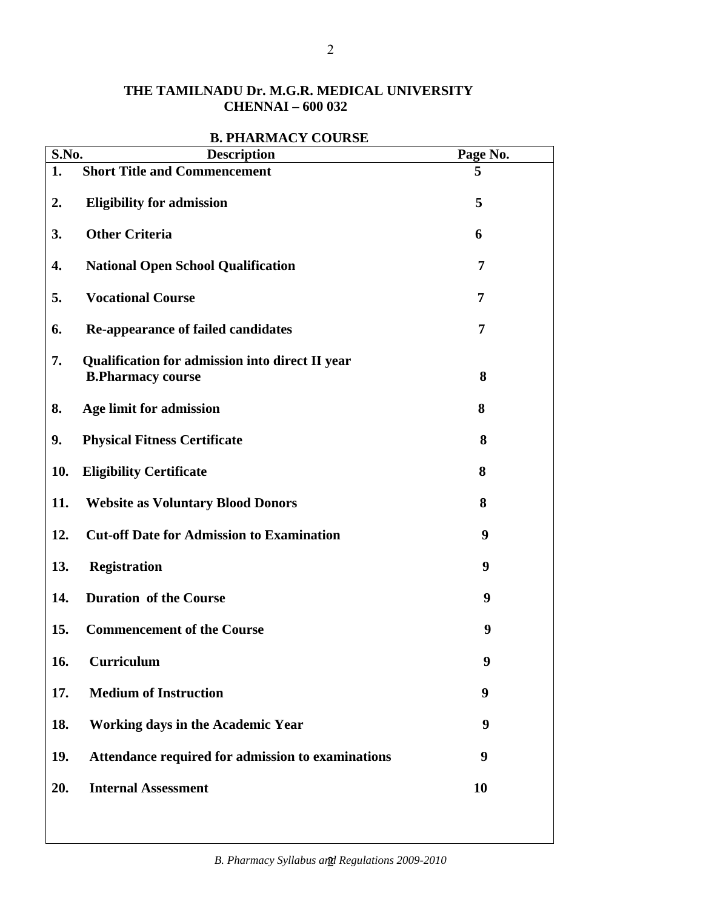# **THE TAMILNADU Dr. M.G.R. MEDICAL UNIVERSITY CHENNAI – 600 032**

| S.No. | DI LIANNIAU LUUNDE<br><b>Description</b>                                    | Page No.  |
|-------|-----------------------------------------------------------------------------|-----------|
| 1.    | <b>Short Title and Commencement</b>                                         | 5         |
| 2.    | <b>Eligibility for admission</b>                                            | 5         |
| 3.    | <b>Other Criteria</b>                                                       | 6         |
| 4.    | <b>National Open School Qualification</b>                                   | 7         |
| 5.    | <b>Vocational Course</b>                                                    | 7         |
| 6.    | <b>Re-appearance of failed candidates</b>                                   | 7         |
| 7.    | Qualification for admission into direct II year<br><b>B.Pharmacy course</b> | 8         |
|       |                                                                             |           |
| 8.    | Age limit for admission                                                     | 8         |
| 9.    | <b>Physical Fitness Certificate</b>                                         | 8         |
| 10.   | <b>Eligibility Certificate</b>                                              | 8         |
| 11.   | <b>Website as Voluntary Blood Donors</b>                                    | 8         |
| 12.   | <b>Cut-off Date for Admission to Examination</b>                            | 9         |
| 13.   | <b>Registration</b>                                                         | 9         |
| 14.   | <b>Duration of the Course</b>                                               | 9         |
| 15.   | <b>Commencement of the Course</b>                                           | 9         |
| 16.   | <b>Curriculum</b>                                                           | 9         |
| 17.   | <b>Medium of Instruction</b>                                                | 9         |
| 18.   | Working days in the Academic Year                                           | 9         |
| 19.   | Attendance required for admission to examinations                           | 9         |
| 20.   | <b>Internal Assessment</b>                                                  | <b>10</b> |

# **B. PHARMACY COURSE**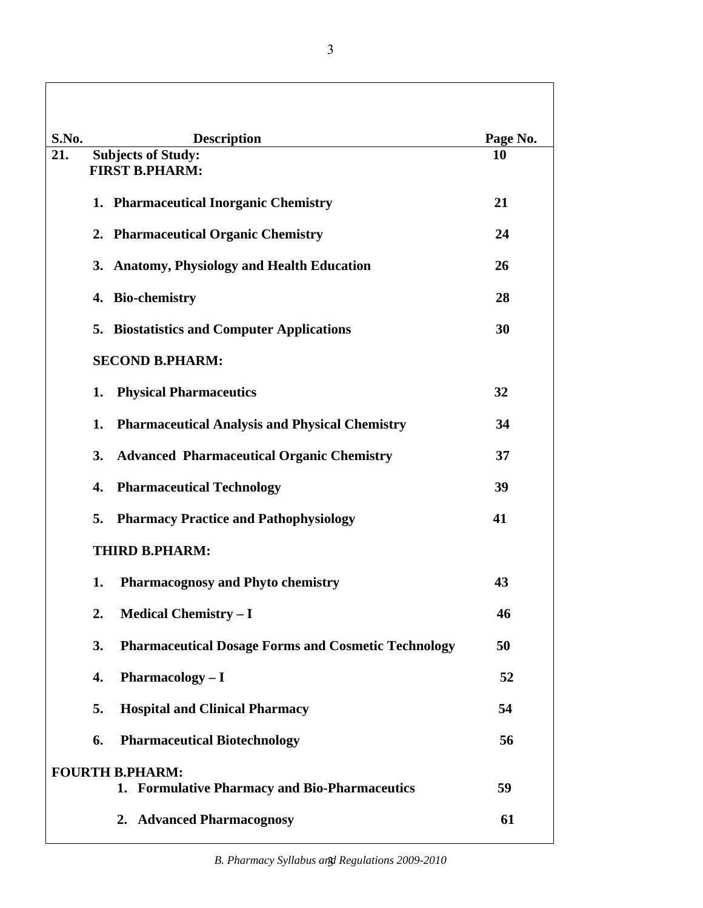| S.No. | <b>Description</b>                                                      | Page No. |
|-------|-------------------------------------------------------------------------|----------|
| 21.   | <b>Subjects of Study:</b><br><b>FIRST B.PHARM:</b>                      | 10       |
|       | 1. Pharmaceutical Inorganic Chemistry                                   | 21       |
|       | 2. Pharmaceutical Organic Chemistry                                     | 24       |
|       | 3. Anatomy, Physiology and Health Education                             | 26       |
|       | 4. Bio-chemistry                                                        | 28       |
|       | 5. Biostatistics and Computer Applications                              | 30       |
|       | <b>SECOND B.PHARM:</b>                                                  |          |
|       | <b>Physical Pharmaceutics</b><br>1.                                     | 32       |
|       | <b>Pharmaceutical Analysis and Physical Chemistry</b><br>1.             | 34       |
|       | <b>Advanced Pharmaceutical Organic Chemistry</b><br>3.                  | 37       |
|       | <b>Pharmaceutical Technology</b><br>4.                                  | 39       |
|       | 5.<br><b>Pharmacy Practice and Pathophysiology</b>                      | 41       |
|       | <b>THIRD B.PHARM:</b>                                                   |          |
|       | Pharmacognosy and Phyto chemistry<br>1.                                 | 43       |
|       | <b>Medical Chemistry - I</b><br>2.                                      | 46       |
|       | 3.<br><b>Pharmaceutical Dosage Forms and Cosmetic Technology</b>        | 50       |
|       | 4.<br><b>Pharmacology - I</b>                                           | 52       |
|       | 5.<br><b>Hospital and Clinical Pharmacy</b>                             | 54       |
|       | <b>Pharmaceutical Biotechnology</b><br>6.                               | 56       |
|       | <b>FOURTH B.PHARM:</b><br>1. Formulative Pharmacy and Bio-Pharmaceutics | 59       |
|       | 2. Advanced Pharmacognosy                                               | 61       |
|       |                                                                         |          |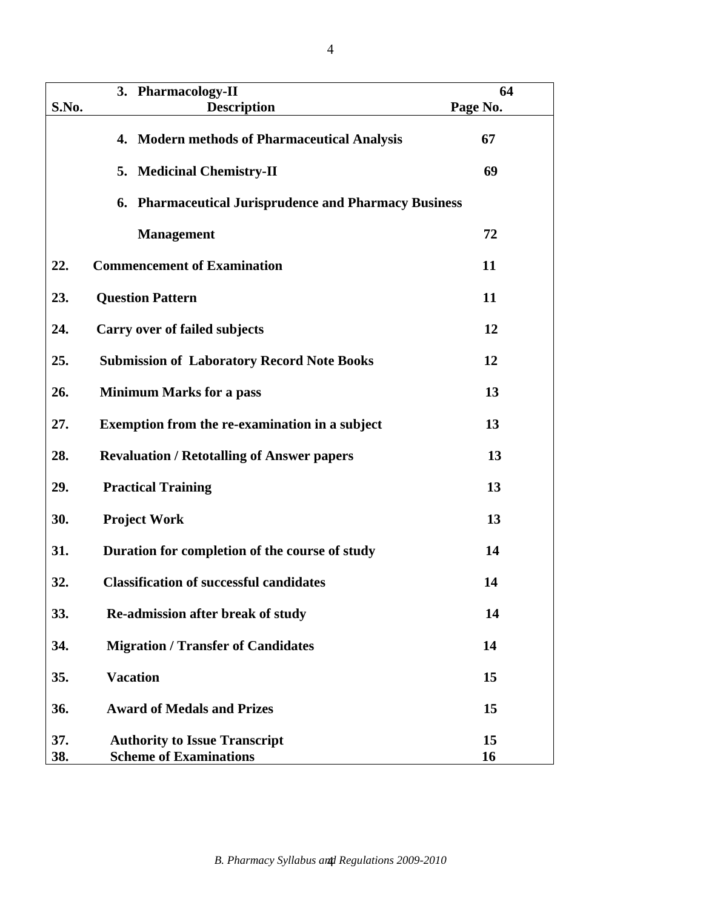|            | 3. Pharmacology-II                                                    | 64       |
|------------|-----------------------------------------------------------------------|----------|
| S.No.      | <b>Description</b>                                                    | Page No. |
|            | 4. Modern methods of Pharmaceutical Analysis                          | 67       |
|            | 5. Medicinal Chemistry-II                                             | 69       |
|            | 6. Pharmaceutical Jurisprudence and Pharmacy Business                 |          |
|            | <b>Management</b>                                                     | 72       |
| 22.        | <b>Commencement of Examination</b>                                    | 11       |
| 23.        | <b>Question Pattern</b>                                               | 11       |
| 24.        | Carry over of failed subjects                                         | 12       |
| 25.        | <b>Submission of Laboratory Record Note Books</b>                     | 12       |
| 26.        | <b>Minimum Marks for a pass</b>                                       | 13       |
| 27.        | <b>Exemption from the re-examination in a subject</b>                 | 13       |
| 28.        | <b>Revaluation / Retotalling of Answer papers</b>                     | 13       |
| 29.        | <b>Practical Training</b>                                             | 13       |
| 30.        | <b>Project Work</b>                                                   | 13       |
| 31.        | Duration for completion of the course of study                        | 14       |
| 32.        | <b>Classification of successful candidates</b>                        | 14       |
| 33.        | Re-admission after break of study                                     | 14       |
| 34.        | <b>Migration / Transfer of Candidates</b>                             | 14       |
| 35.        | <b>Vacation</b>                                                       | 15       |
| 36.        | <b>Award of Medals and Prizes</b>                                     | 15       |
| 37.<br>38. | <b>Authority to Issue Transcript</b><br><b>Scheme of Examinations</b> | 15<br>16 |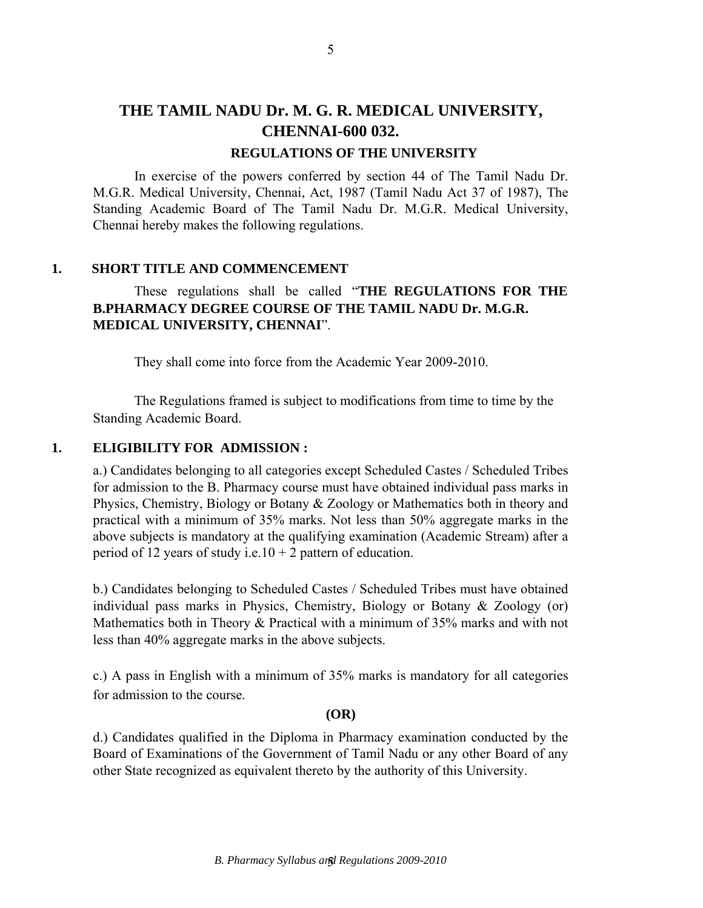# **THE TAMIL NADU Dr. M. G. R. MEDICAL UNIVERSITY, CHENNAI-600 032.**

#### **REGULATIONS OF THE UNIVERSITY**

In exercise of the powers conferred by section 44 of The Tamil Nadu Dr. M.G.R. Medical University, Chennai, Act, 1987 (Tamil Nadu Act 37 of 1987), The Standing Academic Board of The Tamil Nadu Dr. M.G.R. Medical University, Chennai hereby makes the following regulations.

#### **1. SHORT TITLE AND COMMENCEMENT**

# These regulations shall be called "**THE REGULATIONS FOR THE B.PHARMACY DEGREE COURSE OF THE TAMIL NADU Dr. M.G.R. MEDICAL UNIVERSITY, CHENNAI**".

They shall come into force from the Academic Year 2009-2010.

The Regulations framed is subject to modifications from time to time by the Standing Academic Board.

### **1. ELIGIBILITY FOR ADMISSION :**

a.) Candidates belonging to all categories except Scheduled Castes / Scheduled Tribes for admission to the B. Pharmacy course must have obtained individual pass marks in Physics, Chemistry, Biology or Botany & Zoology or Mathematics both in theory and practical with a minimum of 35% marks. Not less than 50% aggregate marks in the above subjects is mandatory at the qualifying examination (Academic Stream) after a period of 12 years of study i.e.10 + 2 pattern of education.

b.) Candidates belonging to Scheduled Castes / Scheduled Tribes must have obtained individual pass marks in Physics, Chemistry, Biology or Botany & Zoology (or) Mathematics both in Theory & Practical with a minimum of 35% marks and with not less than 40% aggregate marks in the above subjects.

c.) A pass in English with a minimum of 35% marks is mandatory for all categories for admission to the course.

#### **(OR)**

d.) Candidates qualified in the Diploma in Pharmacy examination conducted by the Board of Examinations of the Government of Tamil Nadu or any other Board of any other State recognized as equivalent thereto by the authority of this University.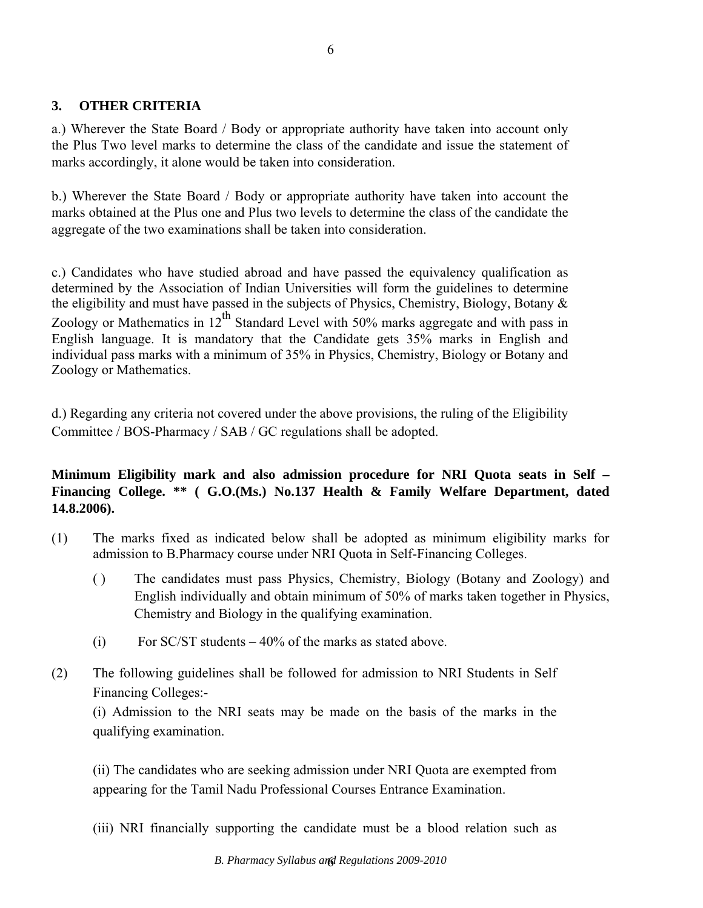# **3. OTHER CRITERIA**

a.) Wherever the State Board / Body or appropriate authority have taken into account only the Plus Two level marks to determine the class of the candidate and issue the statement of marks accordingly, it alone would be taken into consideration.

b.) Wherever the State Board / Body or appropriate authority have taken into account the marks obtained at the Plus one and Plus two levels to determine the class of the candidate the aggregate of the two examinations shall be taken into consideration.

c.) Candidates who have studied abroad and have passed the equivalency qualification as determined by the Association of Indian Universities will form the guidelines to determine the eligibility and must have passed in the subjects of Physics, Chemistry, Biology, Botany  $\&$ Zoology or Mathematics in  $12^{th}$  Standard Level with 50% marks aggregate and with pass in English language. It is mandatory that the Candidate gets 35% marks in English and individual pass marks with a minimum of 35% in Physics, Chemistry, Biology or Botany and Zoology or Mathematics.

d.) Regarding any criteria not covered under the above provisions, the ruling of the Eligibility Committee / BOS-Pharmacy / SAB / GC regulations shall be adopted.

# **Minimum Eligibility mark and also admission procedure for NRI Quota seats in Self – Financing College. \*\* ( G.O.(Ms.) No.137 Health & Family Welfare Department, dated 14.8.2006).**

- (1) The marks fixed as indicated below shall be adopted as minimum eligibility marks for admission to B.Pharmacy course under NRI Quota in Self-Financing Colleges.
	- ( ) The candidates must pass Physics, Chemistry, Biology (Botany and Zoology) and English individually and obtain minimum of 50% of marks taken together in Physics, Chemistry and Biology in the qualifying examination.
	- (i) For SC/ST students  $-40\%$  of the marks as stated above.
- (2) The following guidelines shall be followed for admission to NRI Students in Self Financing Colleges:-

(i) Admission to the NRI seats may be made on the basis of the marks in the qualifying examination.

(ii) The candidates who are seeking admission under NRI Quota are exempted from appearing for the Tamil Nadu Professional Courses Entrance Examination.

(iii) NRI financially supporting the candidate must be a blood relation such as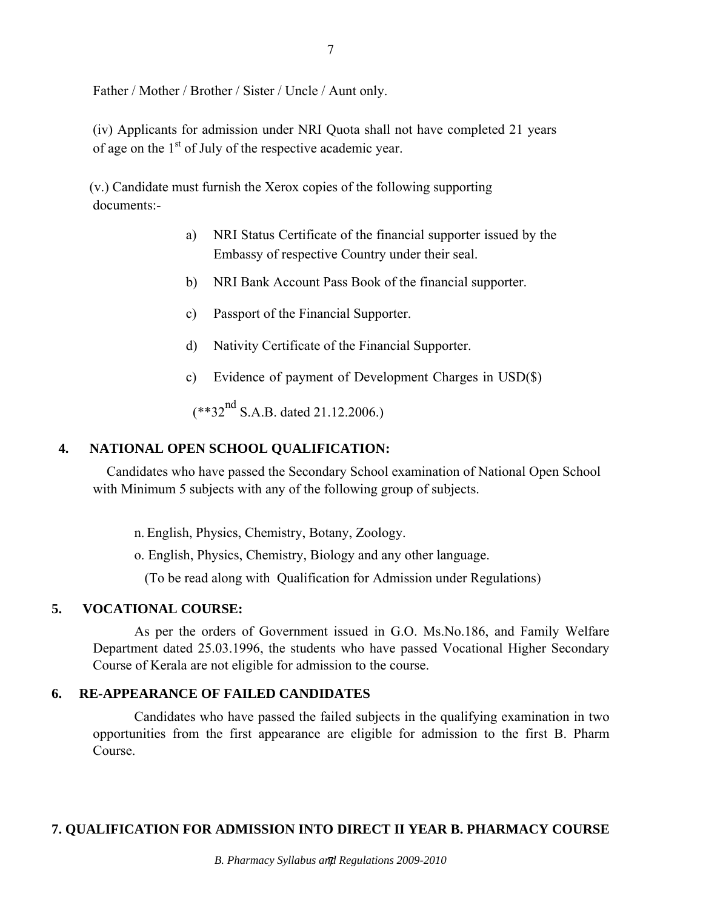Father / Mother / Brother / Sister / Uncle / Aunt only.

(iv) Applicants for admission under NRI Quota shall not have completed 21 years of age on the  $1<sup>st</sup>$  of July of the respective academic year.

 (v.) Candidate must furnish the Xerox copies of the following supporting documents:-

- a) NRI Status Certificate of the financial supporter issued by the Embassy of respective Country under their seal.
- b) NRI Bank Account Pass Book of the financial supporter.
- c) Passport of the Financial Supporter.
- d) Nativity Certificate of the Financial Supporter.
- c) Evidence of payment of Development Charges in USD(\$)

 $(**32^{nd} S.A.B. dated 21.12.2006.)$ 

#### **4. NATIONAL OPEN SCHOOL QUALIFICATION:**

Candidates who have passed the Secondary School examination of National Open School with Minimum 5 subjects with any of the following group of subjects.

n. English, Physics, Chemistry, Botany, Zoology.

o. English, Physics, Chemistry, Biology and any other language.

(To be read along with Qualification for Admission under Regulations)

### **5. VOCATIONAL COURSE:**

As per the orders of Government issued in G.O. Ms.No.186, and Family Welfare Department dated 25.03.1996, the students who have passed Vocational Higher Secondary Course of Kerala are not eligible for admission to the course.

#### **6. RE-APPEARANCE OF FAILED CANDIDATES**

Candidates who have passed the failed subjects in the qualifying examination in two opportunities from the first appearance are eligible for admission to the first B. Pharm Course.

#### **7. QUALIFICATION FOR ADMISSION INTO DIRECT II YEAR B. PHARMACY COURSE**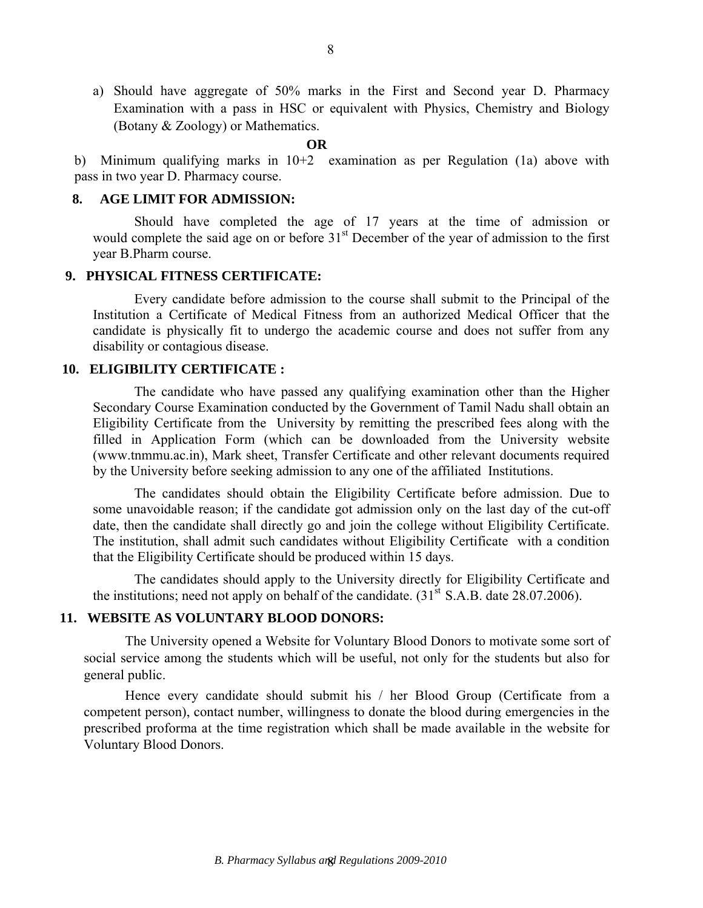a) Should have aggregate of 50% marks in the First and Second year D. Pharmacy Examination with a pass in HSC or equivalent with Physics, Chemistry and Biology (Botany & Zoology) or Mathematics.

#### **OR**

b) Minimum qualifying marks in 10+2 examination as per Regulation (1a) above with pass in two year D. Pharmacy course.

#### **8. AGE LIMIT FOR ADMISSION:**

 Should have completed the age of 17 years at the time of admission or would complete the said age on or before 31<sup>st</sup> December of the year of admission to the first year B.Pharm course.

#### **9. PHYSICAL FITNESS CERTIFICATE:**

 Every candidate before admission to the course shall submit to the Principal of the Institution a Certificate of Medical Fitness from an authorized Medical Officer that the candidate is physically fit to undergo the academic course and does not suffer from any disability or contagious disease.

#### **10. ELIGIBILITY CERTIFICATE :**

 The candidate who have passed any qualifying examination other than the Higher Secondary Course Examination conducted by the Government of Tamil Nadu shall obtain an Eligibility Certificate from the University by remitting the prescribed fees along with the filled in Application Form (which can be downloaded from the University website (www.tnmmu.ac.in), Mark sheet, Transfer Certificate and other relevant documents required by the University before seeking admission to any one of the affiliated Institutions.

 The candidates should obtain the Eligibility Certificate before admission. Due to some unavoidable reason; if the candidate got admission only on the last day of the cut-off date, then the candidate shall directly go and join the college without Eligibility Certificate. The institution, shall admit such candidates without Eligibility Certificate with a condition that the Eligibility Certificate should be produced within 15 days.

 The candidates should apply to the University directly for Eligibility Certificate and the institutions; need not apply on behalf of the candidate.  $(31<sup>st</sup> S.A.B. date 28.07.2006)$ .

### **11. WEBSITE AS VOLUNTARY BLOOD DONORS:**

The University opened a Website for Voluntary Blood Donors to motivate some sort of social service among the students which will be useful, not only for the students but also for general public.

Hence every candidate should submit his / her Blood Group (Certificate from a competent person), contact number, willingness to donate the blood during emergencies in the prescribed proforma at the time registration which shall be made available in the website for Voluntary Blood Donors.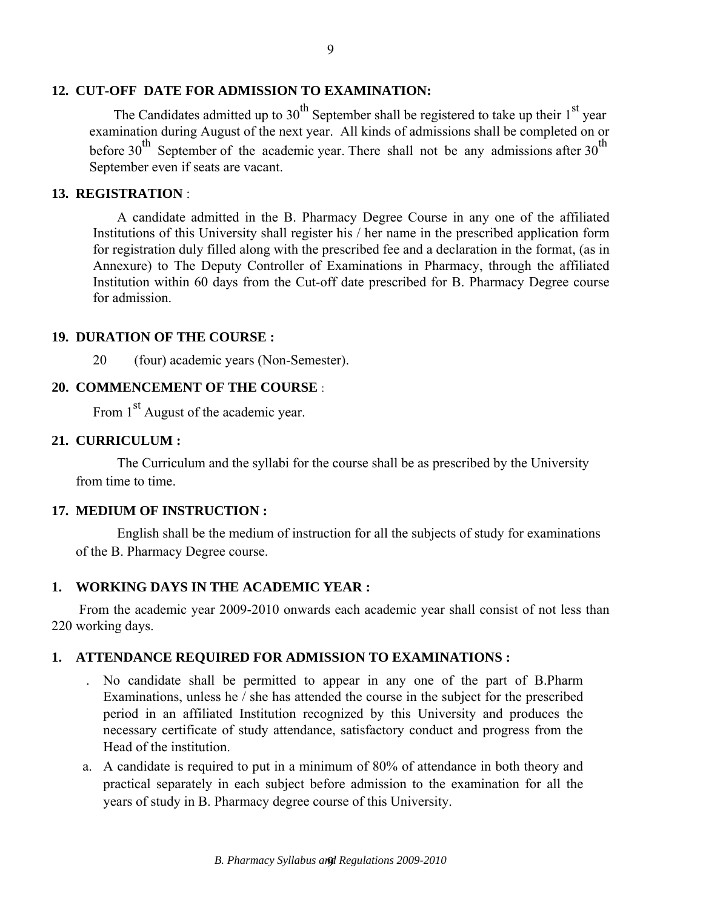## **12. CUT-OFF DATE FOR ADMISSION TO EXAMINATION:**

The Candidates admitted up to 30<sup>th</sup> September shall be registered to take up their  $1<sup>st</sup>$  year examination during August of the next year. All kinds of admissions shall be completed on or before 30<sup>th</sup> September of the academic year. There shall not be any admissions after 30<sup>th</sup> September even if seats are vacant.

#### **13. REGISTRATION** :

A candidate admitted in the B. Pharmacy Degree Course in any one of the affiliated Institutions of this University shall register his / her name in the prescribed application form for registration duly filled along with the prescribed fee and a declaration in the format, (as in Annexure) to The Deputy Controller of Examinations in Pharmacy, through the affiliated Institution within 60 days from the Cut-off date prescribed for B. Pharmacy Degree course for admission.

#### **19. DURATION OF THE COURSE :**

20 (four) academic years (Non-Semester).

# **20. COMMENCEMENT OF THE COURSE** :

From 1<sup>st</sup> August of the academic year.

#### **21. CURRICULUM :**

The Curriculum and the syllabi for the course shall be as prescribed by the University from time to time.

### **17. MEDIUM OF INSTRUCTION :**

English shall be the medium of instruction for all the subjects of study for examinations of the B. Pharmacy Degree course.

## **1. WORKING DAYS IN THE ACADEMIC YEAR :**

 From the academic year 2009-2010 onwards each academic year shall consist of not less than 220 working days.

### **1. ATTENDANCE REQUIRED FOR ADMISSION TO EXAMINATIONS :**

- . No candidate shall be permitted to appear in any one of the part of B.Pharm Examinations, unless he / she has attended the course in the subject for the prescribed period in an affiliated Institution recognized by this University and produces the necessary certificate of study attendance, satisfactory conduct and progress from the Head of the institution.
- a. A candidate is required to put in a minimum of 80% of attendance in both theory and practical separately in each subject before admission to the examination for all the years of study in B. Pharmacy degree course of this University.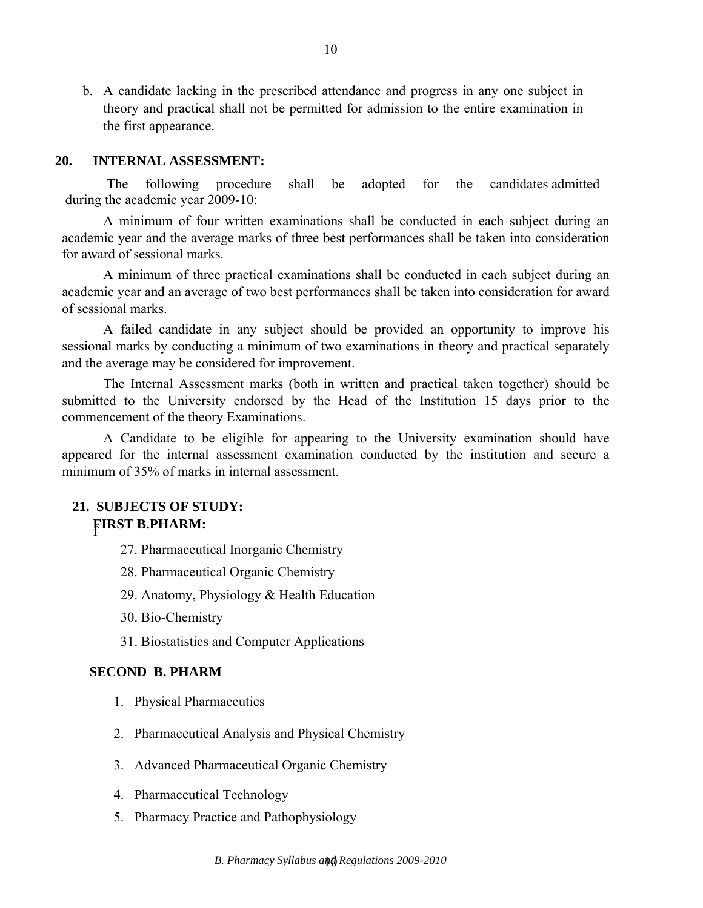b. A candidate lacking in the prescribed attendance and progress in any one subject in theory and practical shall not be permitted for admission to the entire examination in the first appearance.

#### **20. INTERNAL ASSESSMENT:**

The following procedure shall be adopted for the candidates admitted during the academic year 2009-10:

A minimum of four written examinations shall be conducted in each subject during an academic year and the average marks of three best performances shall be taken into consideration for award of sessional marks.

A minimum of three practical examinations shall be conducted in each subject during an academic year and an average of two best performances shall be taken into consideration for award of sessional marks.

A failed candidate in any subject should be provided an opportunity to improve his sessional marks by conducting a minimum of two examinations in theory and practical separately and the average may be considered for improvement.

The Internal Assessment marks (both in written and practical taken together) should be submitted to the University endorsed by the Head of the Institution 15 days prior to the commencement of the theory Examinations.

A Candidate to be eligible for appearing to the University examination should have appeared for the internal assessment examination conducted by the institution and secure a minimum of 35% of marks in internal assessment.

# **21. SUBJECTS OF STUDY: F** <sup>f</sup>**IRST B.PHARM:**

- 27. Pharmaceutical Inorganic Chemistry
- 28. Pharmaceutical Organic Chemistry
- 29. Anatomy, Physiology & Health Education
- 30. Bio-Chemistry
- 31. Biostatistics and Computer Applications

#### **SECOND B. PHARM**

- 1. Physical Pharmaceutics
- 2. Pharmaceutical Analysis and Physical Chemistry
- 3. Advanced Pharmaceutical Organic Chemistry
- 4. Pharmaceutical Technology
- 5. Pharmacy Practice and Pathophysiology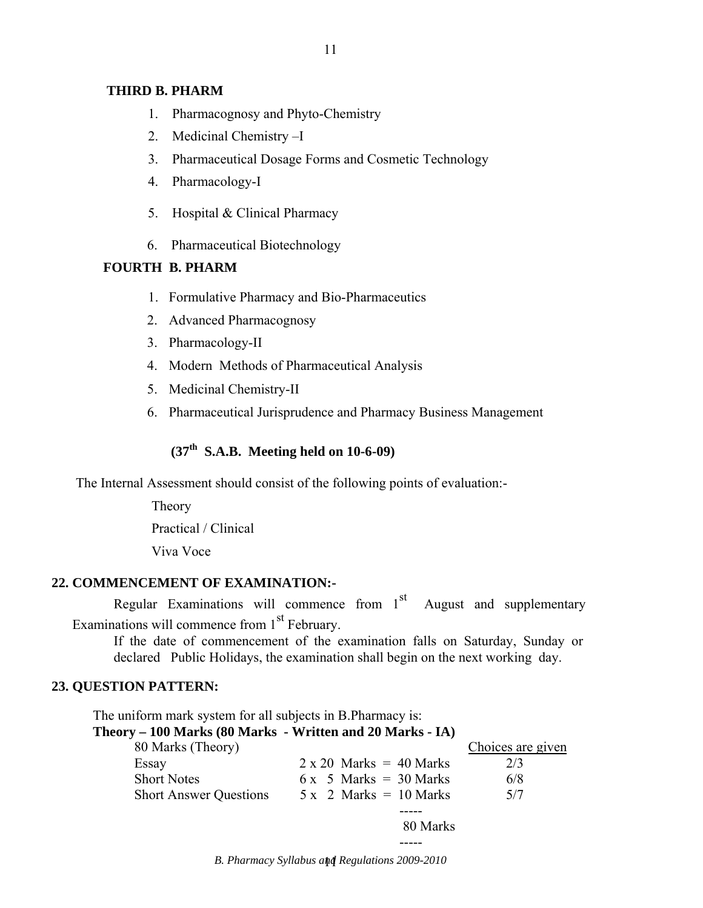### **THIRD B. PHARM**

- 1. Pharmacognosy and Phyto-Chemistry
- 2. Medicinal Chemistry –I
- 3. Pharmaceutical Dosage Forms and Cosmetic Technology
- 4. Pharmacology-I
- 5. Hospital & Clinical Pharmacy
- 6. Pharmaceutical Biotechnology

#### **FOURTH B. PHARM**

- 1. Formulative Pharmacy and Bio-Pharmaceutics
- 2. Advanced Pharmacognosy
- 3. Pharmacology-II
- 4. Modern Methods of Pharmaceutical Analysis
- 5. Medicinal Chemistry-II
- 6. Pharmaceutical Jurisprudence and Pharmacy Business Management

# **(37th S.A.B. Meeting held on 10-6-09)**

The Internal Assessment should consist of the following points of evaluation:-

Theory Practical / Clinical Viva Voce

## **22. COMMENCEMENT OF EXAMINATION:-**

Regular Examinations will commence from  $1<sup>st</sup>$  August and supplementary Examinations will commence from 1<sup>st</sup> February.

If the date of commencement of the examination falls on Saturday, Sunday or declared Public Holidays, the examination shall begin on the next working day.

### **23. QUESTION PATTERN:**

 The uniform mark system for all subjects in B.Pharmacy is: **Theory – 100 Marks (80 Marks - Written and 20 Marks - IA)**  80 Marks (Theory) Choices are given Essay  $2 \times 20$  Marks = 40 Marks  $2/3$ Short Notes 6 x 5 Marks =  $30$  Marks 6/8 Short Answer Questions  $5 \times 2$  Marks = 10 Marks  $5/7$  ----- 80 Marks -----

**B. Pharmacy Syllabus and Regulations 2009-2010**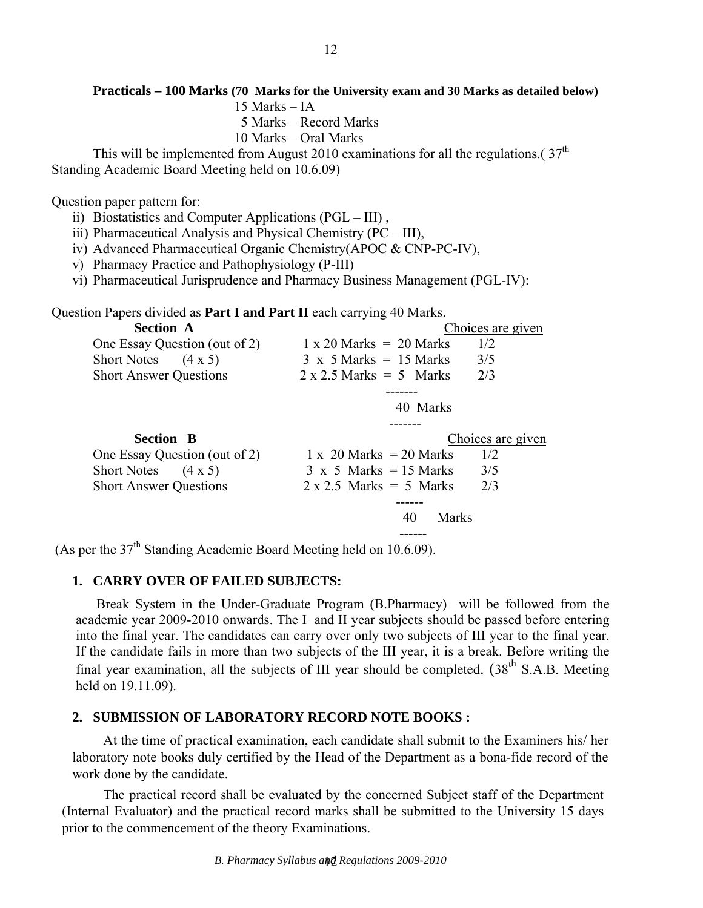## **Practicals – 100 Marks (70 Marks for the University exam and 30 Marks as detailed below)**

15 Marks – IA

5 Marks – Record Marks

10 Marks – Oral Marks

This will be implemented from August 2010 examinations for all the regulations.  $(37<sup>th</sup>$ Standing Academic Board Meeting held on 10.6.09)

Question paper pattern for:

- ii) Biostatistics and Computer Applications (PGL III) ,
- iii) Pharmaceutical Analysis and Physical Chemistry (PC III),
- iv) Advanced Pharmaceutical Organic Chemistry(APOC & CNP-PC-IV),
- v) Pharmacy Practice and Pathophysiology (P-III)
- vi) Pharmaceutical Jurisprudence and Pharmacy Business Management (PGL-IV):

Question Papers divided as **Part I and Part II** each carrying 40 Marks.

| <b>Section A</b>                     |                                  | Choices are given |
|--------------------------------------|----------------------------------|-------------------|
| One Essay Question (out of 2)        | $1 \times 20$ Marks $= 20$ Marks | 1/2               |
| $(4 \times 5)$<br><b>Short Notes</b> | $3 \times 5$ Marks = 15 Marks    | 3/5               |
| <b>Short Answer Questions</b>        | $2 \times 2.5$ Marks = 5 Marks   | 2/3               |
|                                      |                                  |                   |
|                                      | 40 Marks                         |                   |
|                                      |                                  |                   |
|                                      |                                  |                   |
| <b>Section B</b>                     |                                  | Choices are given |
| One Essay Question (out of 2)        | $1 \times 20$ Marks = 20 Marks   | 1/2               |
| <b>Short Notes</b><br>$(4 \times 5)$ | $3 \times 5$ Marks = 15 Marks    | 3/5               |
| <b>Short Answer Questions</b>        | $2 \times 2.5$ Marks = 5 Marks   | 2/3               |
|                                      |                                  |                   |
|                                      | Marks<br>40                      |                   |

(As per the 37<sup>th</sup> Standing Academic Board Meeting held on 10.6.09).

## **1. CARRY OVER OF FAILED SUBJECTS:**

Break System in the Under-Graduate Program (B.Pharmacy) will be followed from the academic year 2009-2010 onwards. The I and II year subjects should be passed before entering into the final year. The candidates can carry over only two subjects of III year to the final year. If the candidate fails in more than two subjects of the III year, it is a break. Before writing the final year examination, all the subjects of III year should be completed.  $(38<sup>th</sup> S.A.B. Meeting$ held on 19.11.09).

### **2. SUBMISSION OF LABORATORY RECORD NOTE BOOKS :**

At the time of practical examination, each candidate shall submit to the Examiners his/ her laboratory note books duly certified by the Head of the Department as a bona-fide record of the work done by the candidate.

The practical record shall be evaluated by the concerned Subject staff of the Department (Internal Evaluator) and the practical record marks shall be submitted to the University 15 days prior to the commencement of the theory Examinations.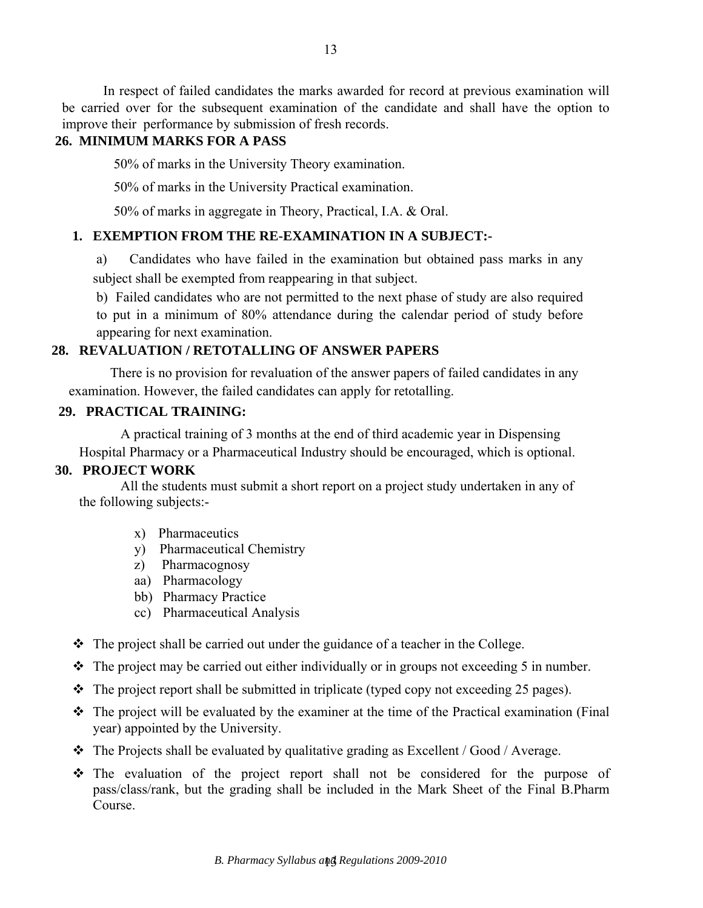In respect of failed candidates the marks awarded for record at previous examination will be carried over for the subsequent examination of the candidate and shall have the option to improve their performance by submission of fresh records.

# **26. MINIMUM MARKS FOR A PASS**

50% of marks in the University Theory examination.

50% of marks in the University Practical examination.

50% of marks in aggregate in Theory, Practical, I.A. & Oral.

# **1. EXEMPTION FROM THE RE-EXAMINATION IN A SUBJECT:-**

a) Candidates who have failed in the examination but obtained pass marks in any subject shall be exempted from reappearing in that subject.

b) Failed candidates who are not permitted to the next phase of study are also required to put in a minimum of 80% attendance during the calendar period of study before appearing for next examination.

# **28. REVALUATION / RETOTALLING OF ANSWER PAPERS**

There is no provision for revaluation of the answer papers of failed candidates in any examination. However, the failed candidates can apply for retotalling.

### **29. PRACTICAL TRAINING:**

A practical training of 3 months at the end of third academic year in Dispensing Hospital Pharmacy or a Pharmaceutical Industry should be encouraged, which is optional.

# **30. PROJECT WORK**

All the students must submit a short report on a project study undertaken in any of the following subjects:-

- x) Pharmaceutics
- y) Pharmaceutical Chemistry
- z) Pharmacognosy
- aa) Pharmacology
- bb) Pharmacy Practice
- cc) Pharmaceutical Analysis
- $\div$  The project shall be carried out under the guidance of a teacher in the College.
- $\cdot \cdot$  The project may be carried out either individually or in groups not exceeding 5 in number.
- $\div$  The project report shall be submitted in triplicate (typed copy not exceeding 25 pages).
- $\cdot \cdot$  The project will be evaluated by the examiner at the time of the Practical examination (Final year) appointed by the University.
- $\cdot \cdot$  The Projects shall be evaluated by qualitative grading as Excellent / Good / Average.
- The evaluation of the project report shall not be considered for the purpose of pass/class/rank, but the grading shall be included in the Mark Sheet of the Final B.Pharm Course.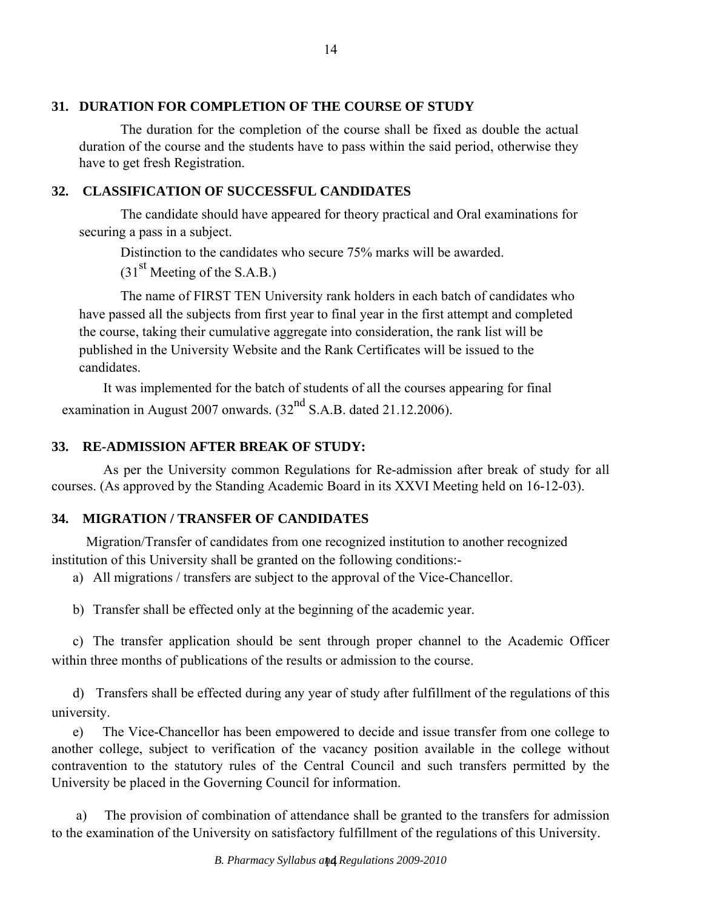# **31. DURATION FOR COMPLETION OF THE COURSE OF STUDY**

The duration for the completion of the course shall be fixed as double the actual duration of the course and the students have to pass within the said period, otherwise they have to get fresh Registration.

# **32. CLASSIFICATION OF SUCCESSFUL CANDIDATES**

The candidate should have appeared for theory practical and Oral examinations for securing a pass in a subject.

Distinction to the candidates who secure 75% marks will be awarded.

 $(31<sup>st</sup>$  Meeting of the S.A.B.)

The name of FIRST TEN University rank holders in each batch of candidates who have passed all the subjects from first year to final year in the first attempt and completed the course, taking their cumulative aggregate into consideration, the rank list will be published in the University Website and the Rank Certificates will be issued to the candidates.

It was implemented for the batch of students of all the courses appearing for final examination in August 2007 onwards.  $(32<sup>nd</sup> S.A.B.$  dated 21.12.2006).

# **33. RE-ADMISSION AFTER BREAK OF STUDY:**

As per the University common Regulations for Re-admission after break of study for all courses. (As approved by the Standing Academic Board in its XXVI Meeting held on 16-12-03).

# **34. MIGRATION / TRANSFER OF CANDIDATES**

Migration/Transfer of candidates from one recognized institution to another recognized institution of this University shall be granted on the following conditions:-

a) All migrations / transfers are subject to the approval of the Vice-Chancellor.

b) Transfer shall be effected only at the beginning of the academic year.

c) The transfer application should be sent through proper channel to the Academic Officer within three months of publications of the results or admission to the course.

d) Transfers shall be effected during any year of study after fulfillment of the regulations of this university.

e) The Vice-Chancellor has been empowered to decide and issue transfer from one college to another college, subject to verification of the vacancy position available in the college without contravention to the statutory rules of the Central Council and such transfers permitted by the University be placed in the Governing Council for information.

a) The provision of combination of attendance shall be granted to the transfers for admission to the examination of the University on satisfactory fulfillment of the regulations of this University.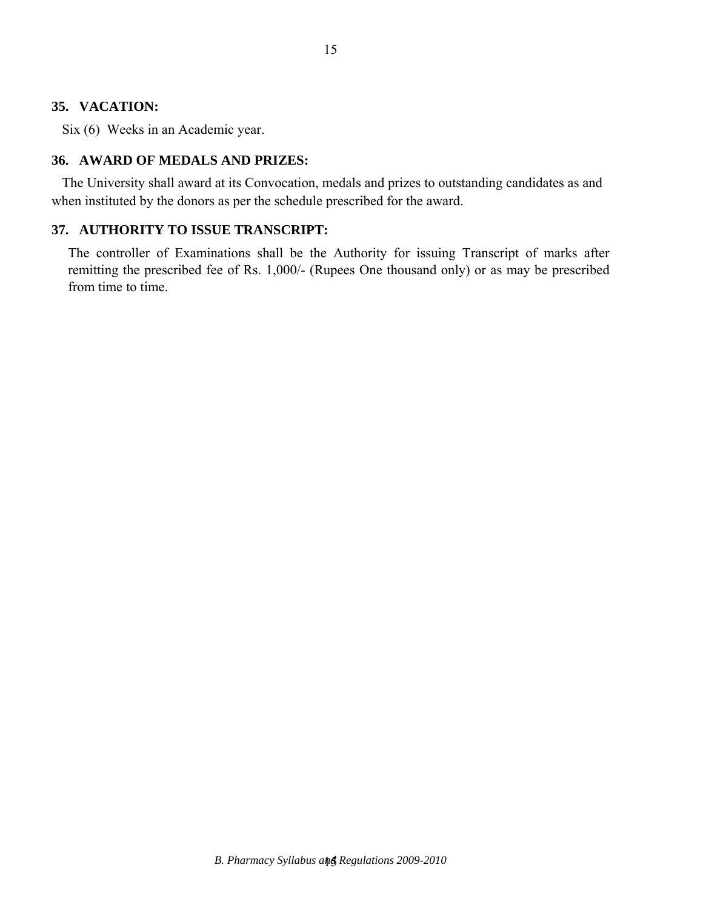### **35. VACATION:**

Six (6) Weeks in an Academic year.

## **36. AWARD OF MEDALS AND PRIZES:**

The University shall award at its Convocation, medals and prizes to outstanding candidates as and when instituted by the donors as per the schedule prescribed for the award.

# **37. AUTHORITY TO ISSUE TRANSCRIPT:**

The controller of Examinations shall be the Authority for issuing Transcript of marks after remitting the prescribed fee of Rs. 1,000/- (Rupees One thousand only) or as may be prescribed from time to time.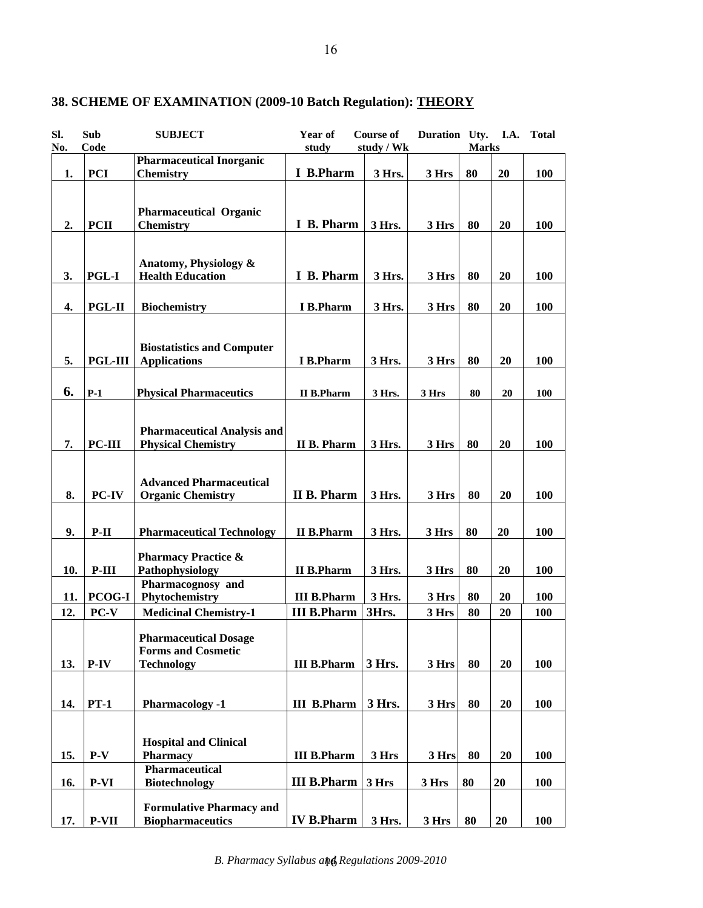| study / Wk<br><b>Marks</b><br><b>Pharmaceutical Inorganic</b><br>I B.Pharm<br><b>PCI</b><br>3 Hrs.<br>80<br>20<br>1.<br>3 Hrs<br>100<br><b>Chemistry</b><br><b>Pharmaceutical Organic</b><br><b>PCII</b><br>I B. Pharm<br>3 Hrs.<br>80<br>20<br>100<br>2.<br><b>Chemistry</b><br>3 Hrs<br>Anatomy, Physiology &<br>I B. Pharm<br>80<br>3.<br><b>PGL-I</b><br><b>Health Education</b><br>3 Hrs.<br>3 Hrs<br>20<br>100<br>80<br><b>PGL-II</b><br>I B.Pharm<br>20<br>100<br>4.<br><b>Biochemistry</b><br>3 Hrs.<br>3 Hrs<br><b>Biostatistics and Computer</b><br><b>PGL-III</b><br>80<br>5.<br><b>Applications</b><br><b>I</b> B.Pharm<br>3 Hrs.<br>3 Hrs<br>20<br>100<br>6.<br>$P-1$<br><b>Physical Pharmaceutics</b><br><b>II B.Pharm</b><br>3 Hrs<br>80<br>20<br>100<br>3 Hrs.<br><b>Pharmaceutical Analysis and</b><br>PC-III<br><b>Physical Chemistry</b><br><b>II B. Pharm</b><br>3 Hrs.<br>3 Hrs<br>80<br>20<br>100<br>7.<br><b>Advanced Pharmaceutical</b><br><b>II B. Pharm</b><br>PC-IV<br>8.<br><b>Organic Chemistry</b><br>3 Hrs.<br>80<br>20<br>100<br>3 Hrs<br>80<br>20<br>9.<br>$P-II$<br><b>Pharmaceutical Technology</b><br><b>II B.Pharm</b><br>3 Hrs.<br>3 Hrs<br>100<br><b>Pharmacy Practice &amp;</b><br>$P-III$<br>Pathophysiology<br><b>II B.Pharm</b><br>3 Hrs.<br>80<br>20<br>100<br>10.<br>3 Hrs<br>Pharmacognosy and<br><b>PCOG-I</b><br>Phytochemistry<br><b>III B.Pharm</b><br>3 Hrs.<br>3 Hrs<br>80<br>100<br>11.<br>20<br><b>III B.Pharm</b><br>3Hrs.<br>$PC-V$<br>12.<br>3 Hrs<br>80<br><b>Medicinal Chemistry-1</b><br>20<br>100<br><b>Pharmaceutical Dosage</b><br><b>Forms and Cosmetic</b><br>3 Hrs.<br>$P-IV$<br><b>Technology</b><br>80<br>20<br>13.<br><b>III B.Pharm</b><br>3 Hrs<br>100<br>3 Hrs.<br>$PT-1$<br>80<br>20<br>14.<br><b>Pharmacology -1</b><br><b>III</b> B.Pharm<br>3 Hrs<br>100<br><b>Hospital and Clinical</b><br>$P-V$<br><b>Pharmacy</b><br><b>III B.Pharm</b><br>3 Hrs<br>15.<br>3 Hrs<br>80<br>20<br><b>100</b><br>Pharmaceutical<br><b>III B.Pharm</b><br><b>P-VI</b><br><b>Biotechnology</b><br>3 Hrs<br>80<br>100<br>16.<br>3 Hrs<br>20 | SI. | Sub  | <b>SUBJECT</b> | Year of | <b>Course of</b> | Duration Uty. | <b>I.A.</b> | <b>Total</b> |
|------------------------------------------------------------------------------------------------------------------------------------------------------------------------------------------------------------------------------------------------------------------------------------------------------------------------------------------------------------------------------------------------------------------------------------------------------------------------------------------------------------------------------------------------------------------------------------------------------------------------------------------------------------------------------------------------------------------------------------------------------------------------------------------------------------------------------------------------------------------------------------------------------------------------------------------------------------------------------------------------------------------------------------------------------------------------------------------------------------------------------------------------------------------------------------------------------------------------------------------------------------------------------------------------------------------------------------------------------------------------------------------------------------------------------------------------------------------------------------------------------------------------------------------------------------------------------------------------------------------------------------------------------------------------------------------------------------------------------------------------------------------------------------------------------------------------------------------------------------------------------------------------------------------------------------------------------------------------------------------------------------------------------------------------------------------------------------------------------|-----|------|----------------|---------|------------------|---------------|-------------|--------------|
|                                                                                                                                                                                                                                                                                                                                                                                                                                                                                                                                                                                                                                                                                                                                                                                                                                                                                                                                                                                                                                                                                                                                                                                                                                                                                                                                                                                                                                                                                                                                                                                                                                                                                                                                                                                                                                                                                                                                                                                                                                                                                                      | No. | Code |                | study   |                  |               |             |              |
|                                                                                                                                                                                                                                                                                                                                                                                                                                                                                                                                                                                                                                                                                                                                                                                                                                                                                                                                                                                                                                                                                                                                                                                                                                                                                                                                                                                                                                                                                                                                                                                                                                                                                                                                                                                                                                                                                                                                                                                                                                                                                                      |     |      |                |         |                  |               |             |              |
|                                                                                                                                                                                                                                                                                                                                                                                                                                                                                                                                                                                                                                                                                                                                                                                                                                                                                                                                                                                                                                                                                                                                                                                                                                                                                                                                                                                                                                                                                                                                                                                                                                                                                                                                                                                                                                                                                                                                                                                                                                                                                                      |     |      |                |         |                  |               |             |              |
|                                                                                                                                                                                                                                                                                                                                                                                                                                                                                                                                                                                                                                                                                                                                                                                                                                                                                                                                                                                                                                                                                                                                                                                                                                                                                                                                                                                                                                                                                                                                                                                                                                                                                                                                                                                                                                                                                                                                                                                                                                                                                                      |     |      |                |         |                  |               |             |              |
|                                                                                                                                                                                                                                                                                                                                                                                                                                                                                                                                                                                                                                                                                                                                                                                                                                                                                                                                                                                                                                                                                                                                                                                                                                                                                                                                                                                                                                                                                                                                                                                                                                                                                                                                                                                                                                                                                                                                                                                                                                                                                                      |     |      |                |         |                  |               |             |              |
|                                                                                                                                                                                                                                                                                                                                                                                                                                                                                                                                                                                                                                                                                                                                                                                                                                                                                                                                                                                                                                                                                                                                                                                                                                                                                                                                                                                                                                                                                                                                                                                                                                                                                                                                                                                                                                                                                                                                                                                                                                                                                                      |     |      |                |         |                  |               |             |              |
|                                                                                                                                                                                                                                                                                                                                                                                                                                                                                                                                                                                                                                                                                                                                                                                                                                                                                                                                                                                                                                                                                                                                                                                                                                                                                                                                                                                                                                                                                                                                                                                                                                                                                                                                                                                                                                                                                                                                                                                                                                                                                                      |     |      |                |         |                  |               |             |              |
|                                                                                                                                                                                                                                                                                                                                                                                                                                                                                                                                                                                                                                                                                                                                                                                                                                                                                                                                                                                                                                                                                                                                                                                                                                                                                                                                                                                                                                                                                                                                                                                                                                                                                                                                                                                                                                                                                                                                                                                                                                                                                                      |     |      |                |         |                  |               |             |              |
|                                                                                                                                                                                                                                                                                                                                                                                                                                                                                                                                                                                                                                                                                                                                                                                                                                                                                                                                                                                                                                                                                                                                                                                                                                                                                                                                                                                                                                                                                                                                                                                                                                                                                                                                                                                                                                                                                                                                                                                                                                                                                                      |     |      |                |         |                  |               |             |              |
|                                                                                                                                                                                                                                                                                                                                                                                                                                                                                                                                                                                                                                                                                                                                                                                                                                                                                                                                                                                                                                                                                                                                                                                                                                                                                                                                                                                                                                                                                                                                                                                                                                                                                                                                                                                                                                                                                                                                                                                                                                                                                                      |     |      |                |         |                  |               |             |              |
|                                                                                                                                                                                                                                                                                                                                                                                                                                                                                                                                                                                                                                                                                                                                                                                                                                                                                                                                                                                                                                                                                                                                                                                                                                                                                                                                                                                                                                                                                                                                                                                                                                                                                                                                                                                                                                                                                                                                                                                                                                                                                                      |     |      |                |         |                  |               |             |              |
|                                                                                                                                                                                                                                                                                                                                                                                                                                                                                                                                                                                                                                                                                                                                                                                                                                                                                                                                                                                                                                                                                                                                                                                                                                                                                                                                                                                                                                                                                                                                                                                                                                                                                                                                                                                                                                                                                                                                                                                                                                                                                                      |     |      |                |         |                  |               |             |              |
|                                                                                                                                                                                                                                                                                                                                                                                                                                                                                                                                                                                                                                                                                                                                                                                                                                                                                                                                                                                                                                                                                                                                                                                                                                                                                                                                                                                                                                                                                                                                                                                                                                                                                                                                                                                                                                                                                                                                                                                                                                                                                                      |     |      |                |         |                  |               |             |              |
|                                                                                                                                                                                                                                                                                                                                                                                                                                                                                                                                                                                                                                                                                                                                                                                                                                                                                                                                                                                                                                                                                                                                                                                                                                                                                                                                                                                                                                                                                                                                                                                                                                                                                                                                                                                                                                                                                                                                                                                                                                                                                                      |     |      |                |         |                  |               |             |              |
|                                                                                                                                                                                                                                                                                                                                                                                                                                                                                                                                                                                                                                                                                                                                                                                                                                                                                                                                                                                                                                                                                                                                                                                                                                                                                                                                                                                                                                                                                                                                                                                                                                                                                                                                                                                                                                                                                                                                                                                                                                                                                                      |     |      |                |         |                  |               |             |              |
|                                                                                                                                                                                                                                                                                                                                                                                                                                                                                                                                                                                                                                                                                                                                                                                                                                                                                                                                                                                                                                                                                                                                                                                                                                                                                                                                                                                                                                                                                                                                                                                                                                                                                                                                                                                                                                                                                                                                                                                                                                                                                                      |     |      |                |         |                  |               |             |              |
|                                                                                                                                                                                                                                                                                                                                                                                                                                                                                                                                                                                                                                                                                                                                                                                                                                                                                                                                                                                                                                                                                                                                                                                                                                                                                                                                                                                                                                                                                                                                                                                                                                                                                                                                                                                                                                                                                                                                                                                                                                                                                                      |     |      |                |         |                  |               |             |              |
|                                                                                                                                                                                                                                                                                                                                                                                                                                                                                                                                                                                                                                                                                                                                                                                                                                                                                                                                                                                                                                                                                                                                                                                                                                                                                                                                                                                                                                                                                                                                                                                                                                                                                                                                                                                                                                                                                                                                                                                                                                                                                                      |     |      |                |         |                  |               |             |              |
|                                                                                                                                                                                                                                                                                                                                                                                                                                                                                                                                                                                                                                                                                                                                                                                                                                                                                                                                                                                                                                                                                                                                                                                                                                                                                                                                                                                                                                                                                                                                                                                                                                                                                                                                                                                                                                                                                                                                                                                                                                                                                                      |     |      |                |         |                  |               |             |              |
|                                                                                                                                                                                                                                                                                                                                                                                                                                                                                                                                                                                                                                                                                                                                                                                                                                                                                                                                                                                                                                                                                                                                                                                                                                                                                                                                                                                                                                                                                                                                                                                                                                                                                                                                                                                                                                                                                                                                                                                                                                                                                                      |     |      |                |         |                  |               |             |              |
|                                                                                                                                                                                                                                                                                                                                                                                                                                                                                                                                                                                                                                                                                                                                                                                                                                                                                                                                                                                                                                                                                                                                                                                                                                                                                                                                                                                                                                                                                                                                                                                                                                                                                                                                                                                                                                                                                                                                                                                                                                                                                                      |     |      |                |         |                  |               |             |              |
|                                                                                                                                                                                                                                                                                                                                                                                                                                                                                                                                                                                                                                                                                                                                                                                                                                                                                                                                                                                                                                                                                                                                                                                                                                                                                                                                                                                                                                                                                                                                                                                                                                                                                                                                                                                                                                                                                                                                                                                                                                                                                                      |     |      |                |         |                  |               |             |              |
|                                                                                                                                                                                                                                                                                                                                                                                                                                                                                                                                                                                                                                                                                                                                                                                                                                                                                                                                                                                                                                                                                                                                                                                                                                                                                                                                                                                                                                                                                                                                                                                                                                                                                                                                                                                                                                                                                                                                                                                                                                                                                                      |     |      |                |         |                  |               |             |              |
|                                                                                                                                                                                                                                                                                                                                                                                                                                                                                                                                                                                                                                                                                                                                                                                                                                                                                                                                                                                                                                                                                                                                                                                                                                                                                                                                                                                                                                                                                                                                                                                                                                                                                                                                                                                                                                                                                                                                                                                                                                                                                                      |     |      |                |         |                  |               |             |              |
|                                                                                                                                                                                                                                                                                                                                                                                                                                                                                                                                                                                                                                                                                                                                                                                                                                                                                                                                                                                                                                                                                                                                                                                                                                                                                                                                                                                                                                                                                                                                                                                                                                                                                                                                                                                                                                                                                                                                                                                                                                                                                                      |     |      |                |         |                  |               |             |              |
|                                                                                                                                                                                                                                                                                                                                                                                                                                                                                                                                                                                                                                                                                                                                                                                                                                                                                                                                                                                                                                                                                                                                                                                                                                                                                                                                                                                                                                                                                                                                                                                                                                                                                                                                                                                                                                                                                                                                                                                                                                                                                                      |     |      |                |         |                  |               |             |              |
|                                                                                                                                                                                                                                                                                                                                                                                                                                                                                                                                                                                                                                                                                                                                                                                                                                                                                                                                                                                                                                                                                                                                                                                                                                                                                                                                                                                                                                                                                                                                                                                                                                                                                                                                                                                                                                                                                                                                                                                                                                                                                                      |     |      |                |         |                  |               |             |              |
|                                                                                                                                                                                                                                                                                                                                                                                                                                                                                                                                                                                                                                                                                                                                                                                                                                                                                                                                                                                                                                                                                                                                                                                                                                                                                                                                                                                                                                                                                                                                                                                                                                                                                                                                                                                                                                                                                                                                                                                                                                                                                                      |     |      |                |         |                  |               |             |              |
|                                                                                                                                                                                                                                                                                                                                                                                                                                                                                                                                                                                                                                                                                                                                                                                                                                                                                                                                                                                                                                                                                                                                                                                                                                                                                                                                                                                                                                                                                                                                                                                                                                                                                                                                                                                                                                                                                                                                                                                                                                                                                                      |     |      |                |         |                  |               |             |              |
|                                                                                                                                                                                                                                                                                                                                                                                                                                                                                                                                                                                                                                                                                                                                                                                                                                                                                                                                                                                                                                                                                                                                                                                                                                                                                                                                                                                                                                                                                                                                                                                                                                                                                                                                                                                                                                                                                                                                                                                                                                                                                                      |     |      |                |         |                  |               |             |              |
|                                                                                                                                                                                                                                                                                                                                                                                                                                                                                                                                                                                                                                                                                                                                                                                                                                                                                                                                                                                                                                                                                                                                                                                                                                                                                                                                                                                                                                                                                                                                                                                                                                                                                                                                                                                                                                                                                                                                                                                                                                                                                                      |     |      |                |         |                  |               |             |              |
|                                                                                                                                                                                                                                                                                                                                                                                                                                                                                                                                                                                                                                                                                                                                                                                                                                                                                                                                                                                                                                                                                                                                                                                                                                                                                                                                                                                                                                                                                                                                                                                                                                                                                                                                                                                                                                                                                                                                                                                                                                                                                                      |     |      |                |         |                  |               |             |              |
|                                                                                                                                                                                                                                                                                                                                                                                                                                                                                                                                                                                                                                                                                                                                                                                                                                                                                                                                                                                                                                                                                                                                                                                                                                                                                                                                                                                                                                                                                                                                                                                                                                                                                                                                                                                                                                                                                                                                                                                                                                                                                                      |     |      |                |         |                  |               |             |              |
|                                                                                                                                                                                                                                                                                                                                                                                                                                                                                                                                                                                                                                                                                                                                                                                                                                                                                                                                                                                                                                                                                                                                                                                                                                                                                                                                                                                                                                                                                                                                                                                                                                                                                                                                                                                                                                                                                                                                                                                                                                                                                                      |     |      |                |         |                  |               |             |              |
|                                                                                                                                                                                                                                                                                                                                                                                                                                                                                                                                                                                                                                                                                                                                                                                                                                                                                                                                                                                                                                                                                                                                                                                                                                                                                                                                                                                                                                                                                                                                                                                                                                                                                                                                                                                                                                                                                                                                                                                                                                                                                                      |     |      |                |         |                  |               |             |              |
|                                                                                                                                                                                                                                                                                                                                                                                                                                                                                                                                                                                                                                                                                                                                                                                                                                                                                                                                                                                                                                                                                                                                                                                                                                                                                                                                                                                                                                                                                                                                                                                                                                                                                                                                                                                                                                                                                                                                                                                                                                                                                                      |     |      |                |         |                  |               |             |              |
|                                                                                                                                                                                                                                                                                                                                                                                                                                                                                                                                                                                                                                                                                                                                                                                                                                                                                                                                                                                                                                                                                                                                                                                                                                                                                                                                                                                                                                                                                                                                                                                                                                                                                                                                                                                                                                                                                                                                                                                                                                                                                                      |     |      |                |         |                  |               |             |              |
|                                                                                                                                                                                                                                                                                                                                                                                                                                                                                                                                                                                                                                                                                                                                                                                                                                                                                                                                                                                                                                                                                                                                                                                                                                                                                                                                                                                                                                                                                                                                                                                                                                                                                                                                                                                                                                                                                                                                                                                                                                                                                                      |     |      |                |         |                  |               |             |              |
|                                                                                                                                                                                                                                                                                                                                                                                                                                                                                                                                                                                                                                                                                                                                                                                                                                                                                                                                                                                                                                                                                                                                                                                                                                                                                                                                                                                                                                                                                                                                                                                                                                                                                                                                                                                                                                                                                                                                                                                                                                                                                                      |     |      |                |         |                  |               |             |              |
|                                                                                                                                                                                                                                                                                                                                                                                                                                                                                                                                                                                                                                                                                                                                                                                                                                                                                                                                                                                                                                                                                                                                                                                                                                                                                                                                                                                                                                                                                                                                                                                                                                                                                                                                                                                                                                                                                                                                                                                                                                                                                                      |     |      |                |         |                  |               |             |              |
|                                                                                                                                                                                                                                                                                                                                                                                                                                                                                                                                                                                                                                                                                                                                                                                                                                                                                                                                                                                                                                                                                                                                                                                                                                                                                                                                                                                                                                                                                                                                                                                                                                                                                                                                                                                                                                                                                                                                                                                                                                                                                                      |     |      |                |         |                  |               |             |              |
|                                                                                                                                                                                                                                                                                                                                                                                                                                                                                                                                                                                                                                                                                                                                                                                                                                                                                                                                                                                                                                                                                                                                                                                                                                                                                                                                                                                                                                                                                                                                                                                                                                                                                                                                                                                                                                                                                                                                                                                                                                                                                                      |     |      |                |         |                  |               |             |              |
|                                                                                                                                                                                                                                                                                                                                                                                                                                                                                                                                                                                                                                                                                                                                                                                                                                                                                                                                                                                                                                                                                                                                                                                                                                                                                                                                                                                                                                                                                                                                                                                                                                                                                                                                                                                                                                                                                                                                                                                                                                                                                                      |     |      |                |         |                  |               |             |              |
|                                                                                                                                                                                                                                                                                                                                                                                                                                                                                                                                                                                                                                                                                                                                                                                                                                                                                                                                                                                                                                                                                                                                                                                                                                                                                                                                                                                                                                                                                                                                                                                                                                                                                                                                                                                                                                                                                                                                                                                                                                                                                                      |     |      |                |         |                  |               |             |              |
|                                                                                                                                                                                                                                                                                                                                                                                                                                                                                                                                                                                                                                                                                                                                                                                                                                                                                                                                                                                                                                                                                                                                                                                                                                                                                                                                                                                                                                                                                                                                                                                                                                                                                                                                                                                                                                                                                                                                                                                                                                                                                                      |     |      |                |         |                  |               |             |              |
|                                                                                                                                                                                                                                                                                                                                                                                                                                                                                                                                                                                                                                                                                                                                                                                                                                                                                                                                                                                                                                                                                                                                                                                                                                                                                                                                                                                                                                                                                                                                                                                                                                                                                                                                                                                                                                                                                                                                                                                                                                                                                                      |     |      |                |         |                  |               |             |              |
|                                                                                                                                                                                                                                                                                                                                                                                                                                                                                                                                                                                                                                                                                                                                                                                                                                                                                                                                                                                                                                                                                                                                                                                                                                                                                                                                                                                                                                                                                                                                                                                                                                                                                                                                                                                                                                                                                                                                                                                                                                                                                                      |     |      |                |         |                  |               |             |              |
|                                                                                                                                                                                                                                                                                                                                                                                                                                                                                                                                                                                                                                                                                                                                                                                                                                                                                                                                                                                                                                                                                                                                                                                                                                                                                                                                                                                                                                                                                                                                                                                                                                                                                                                                                                                                                                                                                                                                                                                                                                                                                                      |     |      |                |         |                  |               |             |              |
| <b>Formulative Pharmacy and</b>                                                                                                                                                                                                                                                                                                                                                                                                                                                                                                                                                                                                                                                                                                                                                                                                                                                                                                                                                                                                                                                                                                                                                                                                                                                                                                                                                                                                                                                                                                                                                                                                                                                                                                                                                                                                                                                                                                                                                                                                                                                                      |     |      |                |         |                  |               |             |              |
| <b>IV B.Pharm</b><br><b>P-VII</b><br><b>Biopharmaceutics</b><br>3 Hrs.<br>20<br>17.<br>3 Hrs<br>80<br>100                                                                                                                                                                                                                                                                                                                                                                                                                                                                                                                                                                                                                                                                                                                                                                                                                                                                                                                                                                                                                                                                                                                                                                                                                                                                                                                                                                                                                                                                                                                                                                                                                                                                                                                                                                                                                                                                                                                                                                                            |     |      |                |         |                  |               |             |              |

# **38. SCHEME OF EXAMINATION (2009-10 Batch Regulation): THEORY**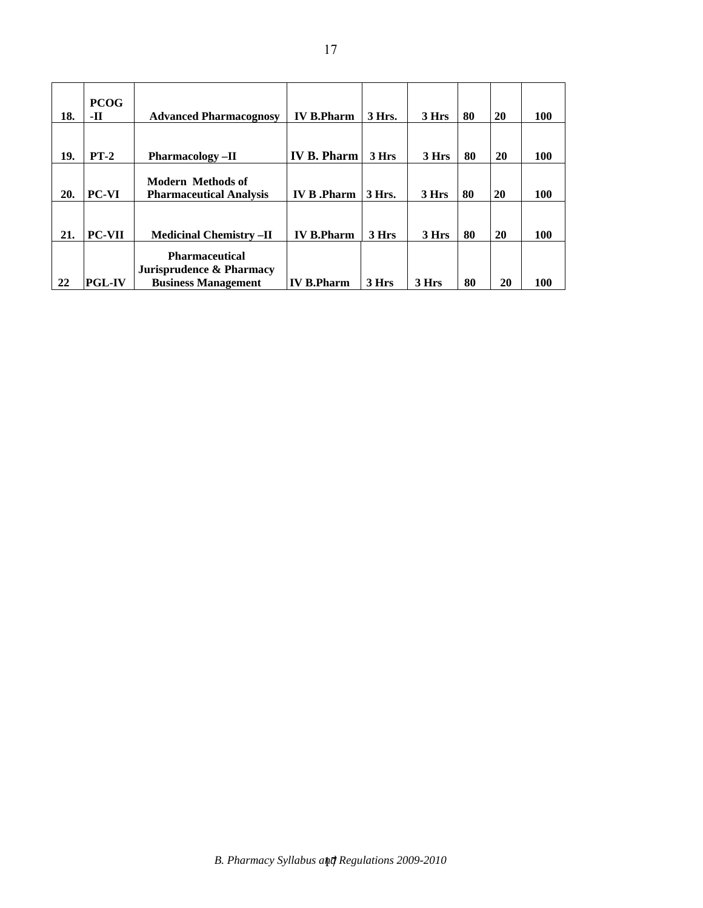| 18. | <b>PCOG</b><br>-11 | <b>Advanced Pharmacognosy</b>                                                   | <b>IV B.Pharm</b>  | 3 Hrs. | 3 Hrs | 80 | 20 | <b>100</b> |
|-----|--------------------|---------------------------------------------------------------------------------|--------------------|--------|-------|----|----|------------|
| 19. | $PT-2$             | <b>Pharmacology</b> -II                                                         | <b>IV B. Pharm</b> | 3 Hrs  | 3 Hrs | 80 | 20 | <b>100</b> |
| 20. | PC-VI              | <b>Modern Methods of</b><br><b>Pharmaceutical Analysis</b>                      | <b>IV B.Pharm</b>  | 3 Hrs. | 3 Hrs | 80 | 20 | <b>100</b> |
| 21. | <b>PC-VII</b>      | <b>Medicinal Chemistry -II</b>                                                  | <b>IV B.Pharm</b>  | 3 Hrs  | 3 Hrs | 80 | 20 | <b>100</b> |
| 22  | <b>PGL-IV</b>      | <b>Pharmaceutical</b><br>Jurisprudence & Pharmacy<br><b>Business Management</b> | <b>IV B.Pharm</b>  | 3 Hrs  | 3 Hrs | 80 | 20 | 100        |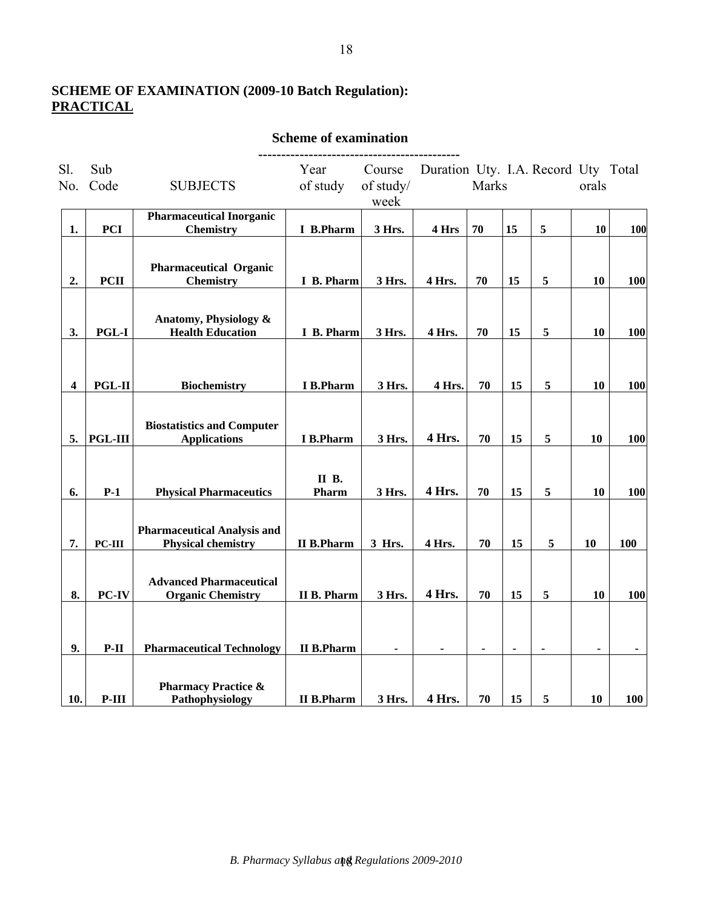# **SCHEME OF EXAMINATION (2009-10 Batch Regulation): PRACTICAL**

| Sl.<br>No. | Sub<br>Code    | <b>SUBJECTS</b>                                                 | Year<br>of study       | Course<br>of study/<br>week | Duration Uty. I.A. Record Uty Total | Marks          |                |                | orals          |                |
|------------|----------------|-----------------------------------------------------------------|------------------------|-----------------------------|-------------------------------------|----------------|----------------|----------------|----------------|----------------|
| 1.         | <b>PCI</b>     | <b>Pharmaceutical Inorganic</b><br><b>Chemistry</b>             | I B.Pharm              | 3 Hrs.                      | 4 Hrs                               | 70             | 15             | 5              | 10             | 100            |
|            |                |                                                                 |                        |                             |                                     |                |                |                |                |                |
| 2.         | <b>PCII</b>    | <b>Pharmaceutical Organic</b><br><b>Chemistry</b>               | I B. Pharm             | 3 Hrs.                      | 4 Hrs.                              | 70             | 15             | 5              | 10             | <b>100</b>     |
| 3.         | $PGL-I$        | Anatomy, Physiology &<br><b>Health Education</b>                | I B. Pharm             | 3 Hrs.                      | 4 Hrs.                              | 70             | 15             | $\sqrt{5}$     | 10             | 100            |
| 4          | <b>PGL-II</b>  | <b>Biochemistry</b>                                             | <b>I</b> B.Pharm       | 3 Hrs.                      | 4 Hrs.                              | 70             | 15             | 5              | 10             | <b>100</b>     |
| 5.         | <b>PGL-III</b> | <b>Biostatistics and Computer</b><br><b>Applications</b>        | I B.Pharm              | 3 Hrs.                      | 4 Hrs.                              | 70             | 15             | 5              | 10             | 100            |
| 6.         | $P-1$          | <b>Physical Pharmaceutics</b>                                   | <b>II B</b> .<br>Pharm | 3 Hrs.                      | 4 Hrs.                              | 70             | 15             | 5              | 10             | 100            |
| 7.         | $PC-III$       | <b>Pharmaceutical Analysis and</b><br><b>Physical chemistry</b> | <b>II B.Pharm</b>      | 3 Hrs.                      | 4 Hrs.                              | 70             | 15             | 5              | 10             | <b>100</b>     |
| 8.         | PC-IV          | <b>Advanced Pharmaceutical</b><br><b>Organic Chemistry</b>      | II B. Pharm            | 3 Hrs.                      | 4 Hrs.                              | 70             | 15             | $\sqrt{5}$     | 10             | <b>100</b>     |
| 9.         | $P-II$         | <b>Pharmaceutical Technology</b>                                | <b>II B.Pharm</b>      | ä,                          |                                     | $\blacksquare$ | $\blacksquare$ | $\blacksquare$ | $\blacksquare$ | $\blacksquare$ |
| 10.        | $P-III$        | <b>Pharmacy Practice &amp;</b><br>Pathophysiology               | <b>II B.Pharm</b>      | 3 Hrs.                      | 4 Hrs.                              | 70             | 15             | 5              | 10             | 100            |

 **Scheme of examination**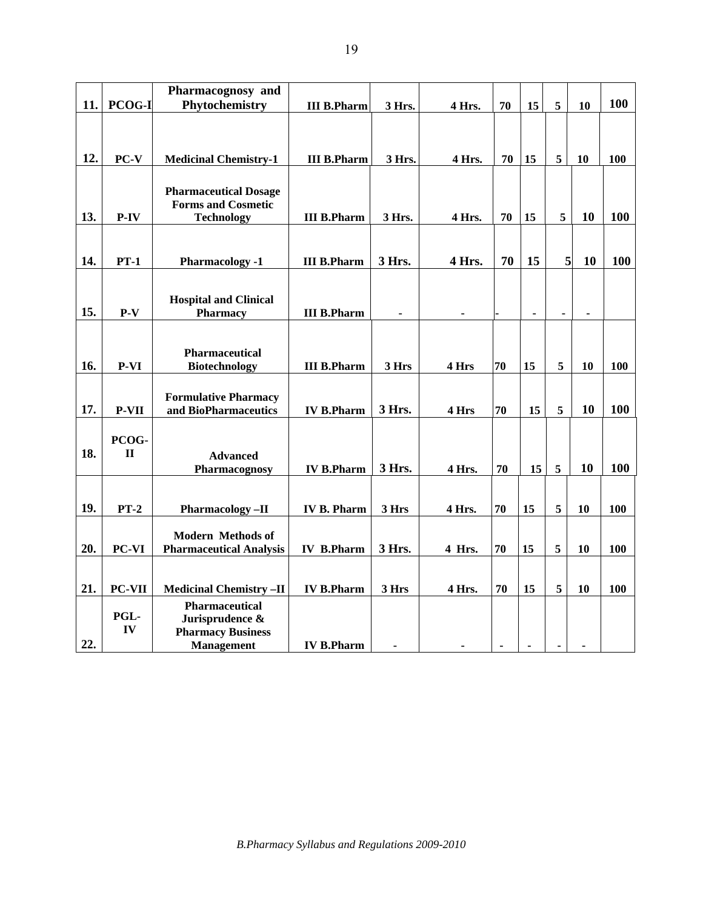|            | Pharmacognosy and                                                                 |                                                                                                                                                                                                                                                                                                         |                                                                                                                                                      |                                                                            |                                                                  |                                  |                                              |                                 |                                                          |
|------------|-----------------------------------------------------------------------------------|---------------------------------------------------------------------------------------------------------------------------------------------------------------------------------------------------------------------------------------------------------------------------------------------------------|------------------------------------------------------------------------------------------------------------------------------------------------------|----------------------------------------------------------------------------|------------------------------------------------------------------|----------------------------------|----------------------------------------------|---------------------------------|----------------------------------------------------------|
| PCOG-I     | Phytochemistry                                                                    | <b>III B.Pharm</b>                                                                                                                                                                                                                                                                                      | 3 Hrs.                                                                                                                                               | 4 Hrs.                                                                     | 70                                                               | 15                               | 5                                            | 10                              | 100                                                      |
|            |                                                                                   |                                                                                                                                                                                                                                                                                                         |                                                                                                                                                      |                                                                            |                                                                  |                                  |                                              |                                 |                                                          |
|            |                                                                                   |                                                                                                                                                                                                                                                                                                         |                                                                                                                                                      |                                                                            |                                                                  |                                  |                                              |                                 |                                                          |
|            |                                                                                   |                                                                                                                                                                                                                                                                                                         |                                                                                                                                                      |                                                                            |                                                                  |                                  |                                              |                                 |                                                          |
|            |                                                                                   |                                                                                                                                                                                                                                                                                                         |                                                                                                                                                      |                                                                            |                                                                  |                                  |                                              |                                 | 100                                                      |
|            |                                                                                   |                                                                                                                                                                                                                                                                                                         |                                                                                                                                                      |                                                                            |                                                                  |                                  |                                              |                                 |                                                          |
|            |                                                                                   |                                                                                                                                                                                                                                                                                                         |                                                                                                                                                      |                                                                            |                                                                  |                                  |                                              |                                 |                                                          |
|            |                                                                                   |                                                                                                                                                                                                                                                                                                         |                                                                                                                                                      |                                                                            |                                                                  |                                  |                                              |                                 | 100                                                      |
|            |                                                                                   |                                                                                                                                                                                                                                                                                                         |                                                                                                                                                      |                                                                            |                                                                  |                                  |                                              |                                 |                                                          |
|            |                                                                                   |                                                                                                                                                                                                                                                                                                         |                                                                                                                                                      |                                                                            |                                                                  |                                  |                                              |                                 |                                                          |
|            |                                                                                   |                                                                                                                                                                                                                                                                                                         |                                                                                                                                                      |                                                                            |                                                                  |                                  |                                              |                                 | <b>100</b>                                               |
|            |                                                                                   |                                                                                                                                                                                                                                                                                                         |                                                                                                                                                      |                                                                            |                                                                  |                                  |                                              |                                 |                                                          |
|            |                                                                                   |                                                                                                                                                                                                                                                                                                         |                                                                                                                                                      |                                                                            |                                                                  |                                  |                                              |                                 |                                                          |
|            | <b>Hospital and Clinical</b>                                                      |                                                                                                                                                                                                                                                                                                         |                                                                                                                                                      |                                                                            |                                                                  |                                  |                                              |                                 |                                                          |
| $P-V$      | <b>Pharmacy</b>                                                                   | <b>III B.Pharm</b>                                                                                                                                                                                                                                                                                      | ۰                                                                                                                                                    |                                                                            |                                                                  |                                  | $\blacksquare$                               | $\blacksquare$                  |                                                          |
|            |                                                                                   |                                                                                                                                                                                                                                                                                                         |                                                                                                                                                      |                                                                            |                                                                  |                                  |                                              |                                 |                                                          |
|            |                                                                                   |                                                                                                                                                                                                                                                                                                         |                                                                                                                                                      |                                                                            |                                                                  |                                  |                                              |                                 |                                                          |
|            |                                                                                   |                                                                                                                                                                                                                                                                                                         |                                                                                                                                                      |                                                                            |                                                                  |                                  |                                              |                                 |                                                          |
|            |                                                                                   |                                                                                                                                                                                                                                                                                                         |                                                                                                                                                      |                                                                            |                                                                  |                                  |                                              |                                 | 100                                                      |
|            |                                                                                   |                                                                                                                                                                                                                                                                                                         |                                                                                                                                                      |                                                                            |                                                                  |                                  |                                              |                                 |                                                          |
|            |                                                                                   |                                                                                                                                                                                                                                                                                                         |                                                                                                                                                      |                                                                            |                                                                  |                                  |                                              |                                 | 100                                                      |
|            |                                                                                   |                                                                                                                                                                                                                                                                                                         |                                                                                                                                                      |                                                                            |                                                                  |                                  |                                              |                                 |                                                          |
|            |                                                                                   |                                                                                                                                                                                                                                                                                                         |                                                                                                                                                      |                                                                            |                                                                  |                                  |                                              |                                 |                                                          |
|            |                                                                                   |                                                                                                                                                                                                                                                                                                         |                                                                                                                                                      |                                                                            |                                                                  |                                  |                                              |                                 |                                                          |
|            |                                                                                   |                                                                                                                                                                                                                                                                                                         |                                                                                                                                                      |                                                                            |                                                                  |                                  |                                              |                                 | 100                                                      |
|            |                                                                                   |                                                                                                                                                                                                                                                                                                         |                                                                                                                                                      |                                                                            |                                                                  |                                  |                                              |                                 |                                                          |
|            |                                                                                   |                                                                                                                                                                                                                                                                                                         |                                                                                                                                                      |                                                                            |                                                                  |                                  |                                              |                                 |                                                          |
|            |                                                                                   |                                                                                                                                                                                                                                                                                                         |                                                                                                                                                      |                                                                            | 70                                                               |                                  |                                              |                                 | 100                                                      |
|            |                                                                                   |                                                                                                                                                                                                                                                                                                         |                                                                                                                                                      |                                                                            |                                                                  |                                  |                                              |                                 |                                                          |
|            | <b>Modern Methods of</b>                                                          |                                                                                                                                                                                                                                                                                                         |                                                                                                                                                      |                                                                            |                                                                  |                                  |                                              |                                 |                                                          |
| PC-VI      | <b>Pharmaceutical Analysis</b>                                                    | <b>IV B.Pharm</b>                                                                                                                                                                                                                                                                                       |                                                                                                                                                      | 4 Hrs.                                                                     | 70                                                               |                                  |                                              | 10                              | 100                                                      |
|            |                                                                                   |                                                                                                                                                                                                                                                                                                         |                                                                                                                                                      |                                                                            |                                                                  |                                  |                                              |                                 |                                                          |
|            |                                                                                   |                                                                                                                                                                                                                                                                                                         |                                                                                                                                                      |                                                                            |                                                                  |                                  |                                              |                                 |                                                          |
|            |                                                                                   |                                                                                                                                                                                                                                                                                                         |                                                                                                                                                      |                                                                            |                                                                  |                                  |                                              |                                 |                                                          |
| PC-VII     | <b>Medicinal Chemistry-II</b>                                                     | <b>IV B.Pharm</b>                                                                                                                                                                                                                                                                                       | 3 Hrs                                                                                                                                                | 4 Hrs.                                                                     | 70                                                               | 15                               | 5                                            | 10                              | 100                                                      |
|            | <b>Pharmaceutical</b>                                                             |                                                                                                                                                                                                                                                                                                         |                                                                                                                                                      |                                                                            |                                                                  |                                  |                                              |                                 |                                                          |
| PGL-<br>IV | Jurisprudence &<br><b>Pharmacy Business</b>                                       |                                                                                                                                                                                                                                                                                                         |                                                                                                                                                      |                                                                            |                                                                  |                                  |                                              |                                 |                                                          |
|            | PC-V<br>P-IV<br>$PT-1$<br>P-VI<br><b>P-VII</b><br>PCOG-<br>$\mathbf{H}$<br>$PT-2$ | <b>Medicinal Chemistry-1</b><br><b>Pharmaceutical Dosage</b><br><b>Forms and Cosmetic</b><br><b>Technology</b><br><b>Pharmacology -1</b><br>Pharmaceutical<br><b>Biotechnology</b><br><b>Formulative Pharmacy</b><br>and BioPharmaceutics<br><b>Advanced</b><br>Pharmacognosy<br><b>Pharmacology-II</b> | <b>III B.Pharm</b><br><b>III B.Pharm</b><br><b>III B.Pharm</b><br><b>III B.Pharm</b><br><b>IV B.Pharm</b><br><b>IV B.Pharm</b><br><b>IV B. Pharm</b> | 3 Hrs.<br>3 Hrs.<br>3 Hrs.<br>3 Hrs<br>3 Hrs.<br>3 Hrs.<br>3 Hrs<br>3 Hrs. | 4 Hrs.<br>4 Hrs.<br>4 Hrs.<br>4 Hrs<br>4 Hrs<br>4 Hrs.<br>4 Hrs. | 70<br>70<br>70<br>70<br>70<br>70 | 15<br>15<br>15<br>15<br>15<br>15<br>15<br>15 | 5<br>5<br>5<br>5<br>5<br>5<br>5 | 10<br>10<br>5 <sub>l</sub><br>10<br>10<br>10<br>10<br>10 |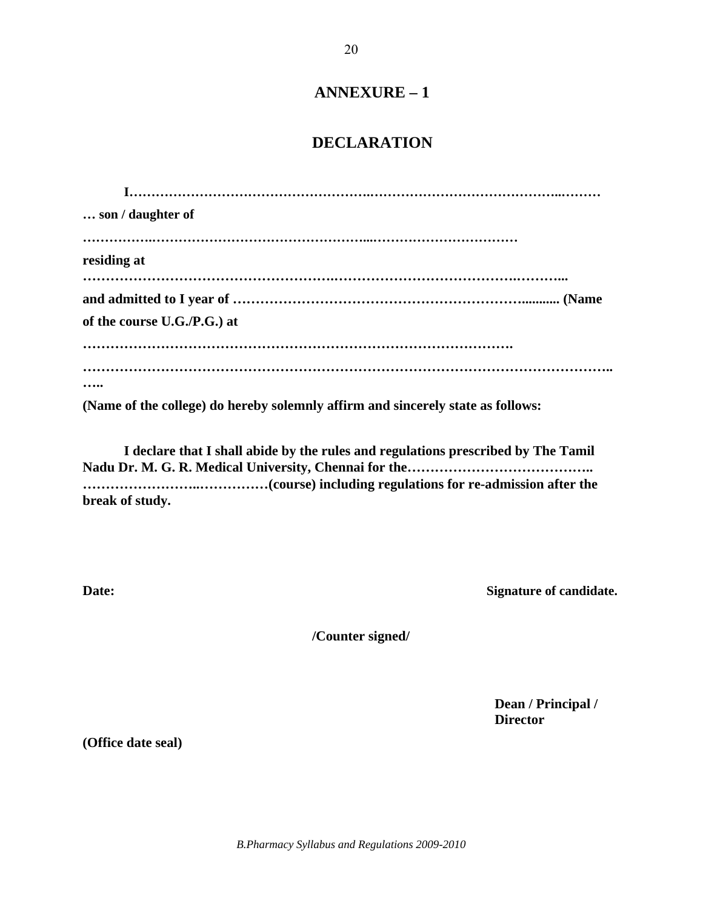# **ANNEXURE – 1**

# **DECLARATION**

| son / daughter of                                                               |
|---------------------------------------------------------------------------------|
|                                                                                 |
| residing at                                                                     |
|                                                                                 |
|                                                                                 |
| of the course U.G./P.G.) at                                                     |
|                                                                                 |
|                                                                                 |
|                                                                                 |
| (Name of the college) do hereby solemnly affirm and sincerely state as follows: |

**I declare that I shall abide by the rules and regulations prescribed by The Tamil Nadu Dr. M. G. R. Medical University, Chennai for the………………………………….. ……………………..……………(course) including regulations for re-admission after the break of study.**

**Date:** Signature of candidate.

**/Counter signed/**

**Dean / Principal / Director**

**(Office date seal)**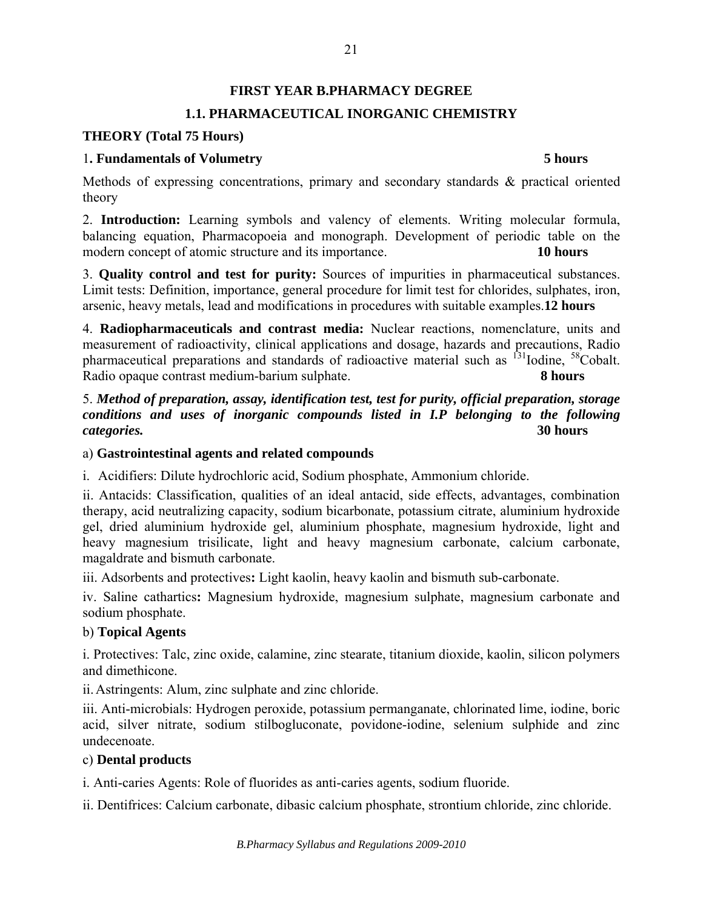# **FIRST YEAR B.PHARMACY DEGREE 1.1. PHARMACEUTICAL INORGANIC CHEMISTRY**

# **THEORY (Total 75 Hours)**

## 1**. Fundamentals of Volumetry 5 hours**

Methods of expressing concentrations, primary and secondary standards & practical oriented theory

2. **Introduction:** Learning symbols and valency of elements. Writing molecular formula, balancing equation, Pharmacopoeia and monograph. Development of periodic table on the modern concept of atomic structure and its importance. **10 hours** 

3. **Quality control and test for purity:** Sources of impurities in pharmaceutical substances. Limit tests: Definition, importance, general procedure for limit test for chlorides, sulphates, iron, arsenic, heavy metals, lead and modifications in procedures with suitable examples.**12 hours**

4. **Radiopharmaceuticals and contrast media:** Nuclear reactions, nomenclature, units and measurement of radioactivity, clinical applications and dosage, hazards and precautions, Radio pharmaceutical preparations and standards of radioactive material such as <sup>131</sup>Iodine. <sup>58</sup>Cobalt. Radio opaque contrast medium-barium sulphate. **8 hours** 

5. *Method of preparation, assay, identification test, test for purity, official preparation, storage conditions and uses of inorganic compounds listed in I.P belonging to the following categories.* **30 hours** 

## a) **Gastrointestinal agents and related compounds**

i. Acidifiers: Dilute hydrochloric acid, Sodium phosphate, Ammonium chloride.

ii. Antacids: Classification, qualities of an ideal antacid, side effects, advantages, combination therapy, acid neutralizing capacity, sodium bicarbonate, potassium citrate, aluminium hydroxide gel, dried aluminium hydroxide gel, aluminium phosphate, magnesium hydroxide, light and heavy magnesium trisilicate, light and heavy magnesium carbonate, calcium carbonate, magaldrate and bismuth carbonate.

iii. Adsorbents and protectives**:** Light kaolin, heavy kaolin and bismuth sub-carbonate.

iv. Saline cathartics**:** Magnesium hydroxide, magnesium sulphate, magnesium carbonate and sodium phosphate.

# b) **Topical Agents**

i. Protectives: Talc, zinc oxide, calamine, zinc stearate, titanium dioxide, kaolin, silicon polymers and dimethicone.

ii.Astringents: Alum, zinc sulphate and zinc chloride.

iii. Anti-microbials: Hydrogen peroxide, potassium permanganate, chlorinated lime, iodine, boric acid, silver nitrate, sodium stilbogluconate, povidone-iodine, selenium sulphide and zinc undecenoate.

# c) **Dental products**

i. Anti-caries Agents: Role of fluorides as anti-caries agents, sodium fluoride.

ii. Dentifrices: Calcium carbonate, dibasic calcium phosphate, strontium chloride, zinc chloride.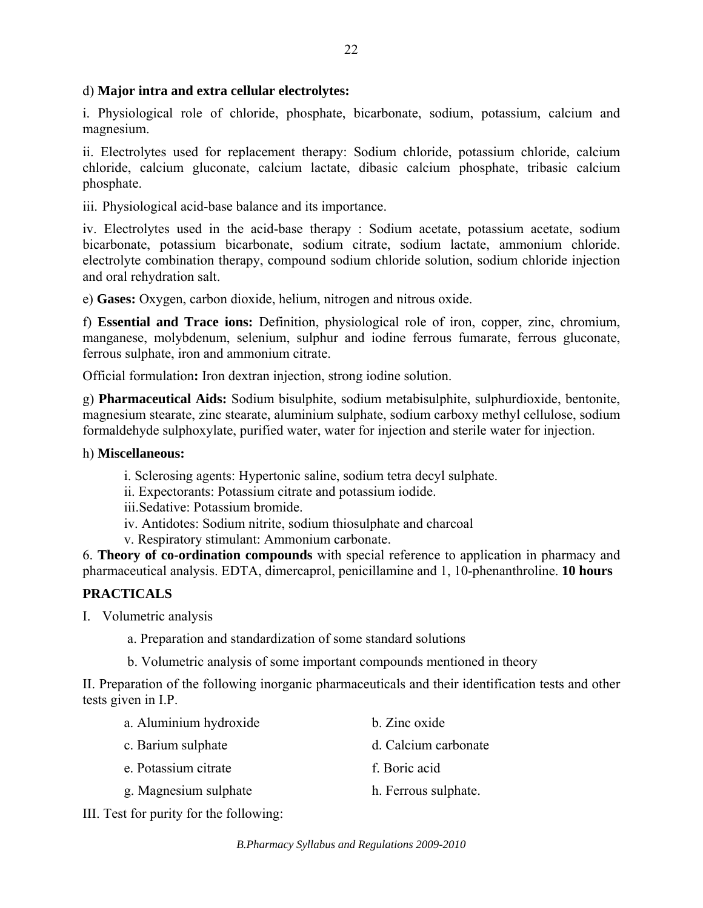# d) **Major intra and extra cellular electrolytes:**

i. Physiological role of chloride, phosphate, bicarbonate, sodium, potassium, calcium and magnesium.

ii. Electrolytes used for replacement therapy: Sodium chloride, potassium chloride, calcium chloride, calcium gluconate, calcium lactate, dibasic calcium phosphate, tribasic calcium phosphate.

iii. Physiological acid-base balance and its importance.

iv. Electrolytes used in the acid-base therapy : Sodium acetate, potassium acetate, sodium bicarbonate, potassium bicarbonate, sodium citrate, sodium lactate, ammonium chloride. electrolyte combination therapy, compound sodium chloride solution, sodium chloride injection and oral rehydration salt.

e) **Gases:** Oxygen, carbon dioxide, helium, nitrogen and nitrous oxide.

f) **Essential and Trace ions:** Definition, physiological role of iron, copper, zinc, chromium, manganese, molybdenum, selenium, sulphur and iodine ferrous fumarate, ferrous gluconate, ferrous sulphate, iron and ammonium citrate.

Official formulation**:** Iron dextran injection, strong iodine solution.

g) **Pharmaceutical Aids:** Sodium bisulphite, sodium metabisulphite, sulphurdioxide, bentonite, magnesium stearate, zinc stearate, aluminium sulphate, sodium carboxy methyl cellulose, sodium formaldehyde sulphoxylate, purified water, water for injection and sterile water for injection.

#### h) **Miscellaneous:**

- i. Sclerosing agents: Hypertonic saline, sodium tetra decyl sulphate.
- ii. Expectorants: Potassium citrate and potassium iodide.

iii.Sedative: Potassium bromide.

- iv. Antidotes: Sodium nitrite, sodium thiosulphate and charcoal
- v. Respiratory stimulant: Ammonium carbonate.

6. **Theory of co-ordination compounds** with special reference to application in pharmacy and pharmaceutical analysis. EDTA, dimercaprol, penicillamine and 1, 10-phenanthroline. **10 hours**

# **PRACTICALS**

- I. Volumetric analysis
	- a. Preparation and standardization of some standard solutions
	- b. Volumetric analysis of some important compounds mentioned in theory

II. Preparation of the following inorganic pharmaceuticals and their identification tests and other tests given in I.P.

| a. Aluminium hydroxide                                                                                                                                                                                                                                                                                                                  | b. Zinc oxide        |
|-----------------------------------------------------------------------------------------------------------------------------------------------------------------------------------------------------------------------------------------------------------------------------------------------------------------------------------------|----------------------|
| c. Barium sulphate                                                                                                                                                                                                                                                                                                                      | d. Calcium carbonate |
| e. Potassium citrate                                                                                                                                                                                                                                                                                                                    | f. Boric acid        |
| g. Magnesium sulphate                                                                                                                                                                                                                                                                                                                   | h. Ferrous sulphate. |
| $\ell$ , $\ell$ , and $\ell$ , $\ell$ , $\ell$ , $\ell$ , $\ell$ , $\ell$ , $\ell$ , $\ell$ , $\ell$ , $\ell$ , $\ell$ , $\ell$ , $\ell$ , $\ell$ , $\ell$ , $\ell$ , $\ell$ , $\ell$ , $\ell$ , $\ell$ , $\ell$ , $\ell$ , $\ell$ , $\ell$ , $\ell$ , $\ell$ , $\ell$ , $\ell$ , $\ell$ , $\ell$ , $\ell$ , $\ell$ , $\ell$ , $\ell$ , |                      |

III. Test for purity for the following: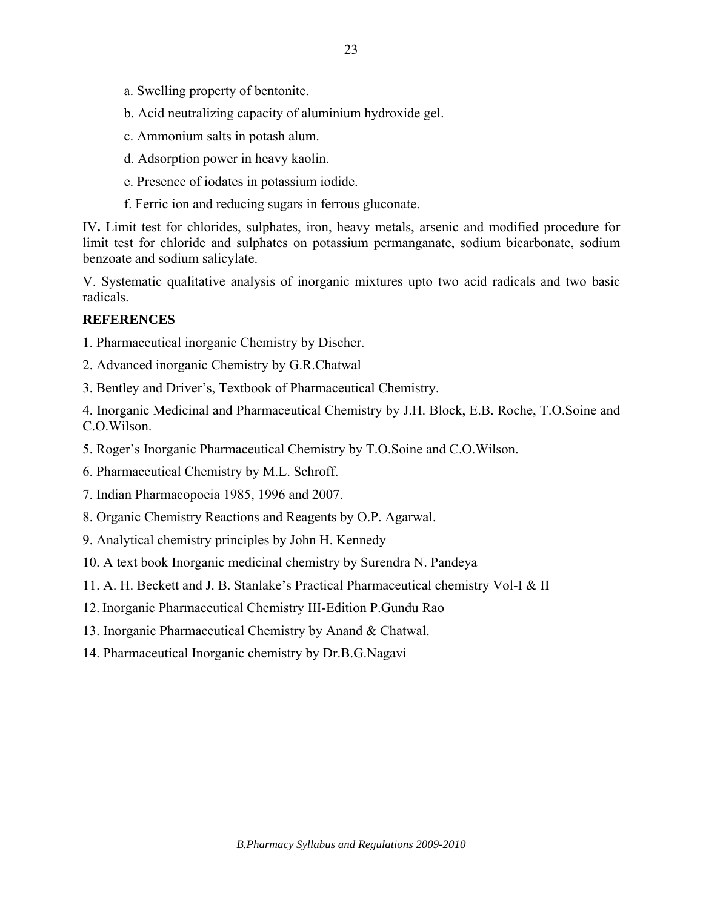- a. Swelling property of bentonite.
- b. Acid neutralizing capacity of aluminium hydroxide gel.
- c. Ammonium salts in potash alum.
- d. Adsorption power in heavy kaolin.
- e. Presence of iodates in potassium iodide.
- f. Ferric ion and reducing sugars in ferrous gluconate.

IV**.** Limit test for chlorides, sulphates, iron, heavy metals, arsenic and modified procedure for limit test for chloride and sulphates on potassium permanganate, sodium bicarbonate, sodium benzoate and sodium salicylate.

V. Systematic qualitative analysis of inorganic mixtures upto two acid radicals and two basic radicals.

### **REFERENCES**

1. Pharmaceutical inorganic Chemistry by Discher.

2. Advanced inorganic Chemistry by G.R.Chatwal

3. Bentley and Driver's, Textbook of Pharmaceutical Chemistry.

4. Inorganic Medicinal and Pharmaceutical Chemistry by J.H. Block, E.B. Roche, T.O.Soine and C.O.Wilson.

5. Roger's Inorganic Pharmaceutical Chemistry by T.O.Soine and C.O.Wilson.

6. Pharmaceutical Chemistry by M.L. Schroff.

7. Indian Pharmacopoeia 1985, 1996 and 2007.

- 8. Organic Chemistry Reactions and Reagents by O.P. Agarwal.
- 9. Analytical chemistry principles by John H. Kennedy
- 10. A text book Inorganic medicinal chemistry by Surendra N. Pandeya
- 11. A. H. Beckett and J. B. Stanlake's Practical Pharmaceutical chemistry Vol-I & II
- 12. Inorganic Pharmaceutical Chemistry III-Edition P.Gundu Rao
- 13. Inorganic Pharmaceutical Chemistry by Anand & Chatwal.
- 14. Pharmaceutical Inorganic chemistry by Dr.B.G.Nagavi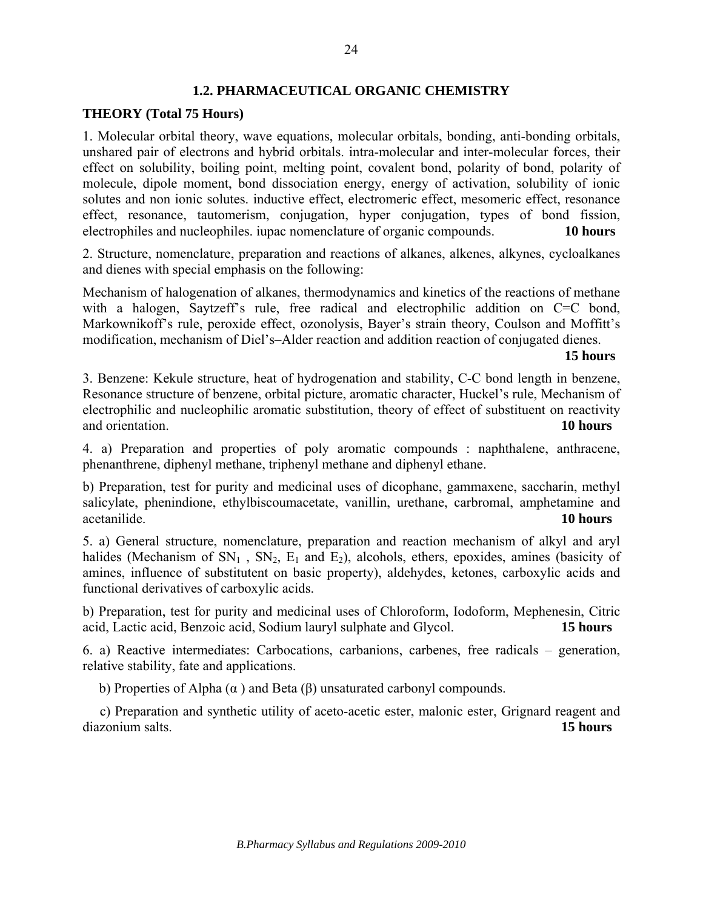## **1.2. PHARMACEUTICAL ORGANIC CHEMISTRY**

### **THEORY (Total 75 Hours)**

1. Molecular orbital theory, wave equations, molecular orbitals, bonding, anti-bonding orbitals, unshared pair of electrons and hybrid orbitals. intra-molecular and inter-molecular forces, their effect on solubility, boiling point, melting point, covalent bond, polarity of bond, polarity of molecule, dipole moment, bond dissociation energy, energy of activation, solubility of ionic solutes and non ionic solutes. inductive effect, electromeric effect, mesomeric effect, resonance effect, resonance, tautomerism, conjugation, hyper conjugation, types of bond fission, electrophiles and nucleophiles. iupac nomenclature of organic compounds. **10 hours** 

2. Structure, nomenclature, preparation and reactions of alkanes, alkenes, alkynes, cycloalkanes and dienes with special emphasis on the following:

Mechanism of halogenation of alkanes, thermodynamics and kinetics of the reactions of methane with a halogen, Saytzeff's rule, free radical and electrophilic addition on C=C bond, Markownikoff's rule, peroxide effect, ozonolysis, Bayer's strain theory, Coulson and Moffitt's modification, mechanism of Diel's–Alder reaction and addition reaction of conjugated dienes.

#### **15 hours**

3. Benzene: Kekule structure, heat of hydrogenation and stability, C-C bond length in benzene, Resonance structure of benzene, orbital picture, aromatic character, Huckel's rule, Mechanism of electrophilic and nucleophilic aromatic substitution, theory of effect of substituent on reactivity and orientation. **10 hours**

4. a) Preparation and properties of poly aromatic compounds : naphthalene, anthracene, phenanthrene, diphenyl methane, triphenyl methane and diphenyl ethane.

b) Preparation, test for purity and medicinal uses of dicophane, gammaxene, saccharin, methyl salicylate, phenindione, ethylbiscoumacetate, vanillin, urethane, carbromal, amphetamine and acetanilide. **10 hours** 

5. a) General structure, nomenclature, preparation and reaction mechanism of alkyl and aryl halides (Mechanism of  $SN_1$ ,  $SN_2$ ,  $E_1$  and  $E_2$ ), alcohols, ethers, epoxides, amines (basicity of amines, influence of substitutent on basic property), aldehydes, ketones, carboxylic acids and functional derivatives of carboxylic acids.

b) Preparation, test for purity and medicinal uses of Chloroform, Iodoform, Mephenesin, Citric acid, Lactic acid, Benzoic acid, Sodium lauryl sulphate and Glycol. **15 hours** 

6. a) Reactive intermediates: Carbocations, carbanions, carbenes, free radicals – generation, relative stability, fate and applications.

b) Properties of Alpha  $(\alpha)$  and Beta  $(\beta)$  unsaturated carbonyl compounds.

 c) Preparation and synthetic utility of aceto-acetic ester, malonic ester, Grignard reagent and diazonium salts. **15 hours**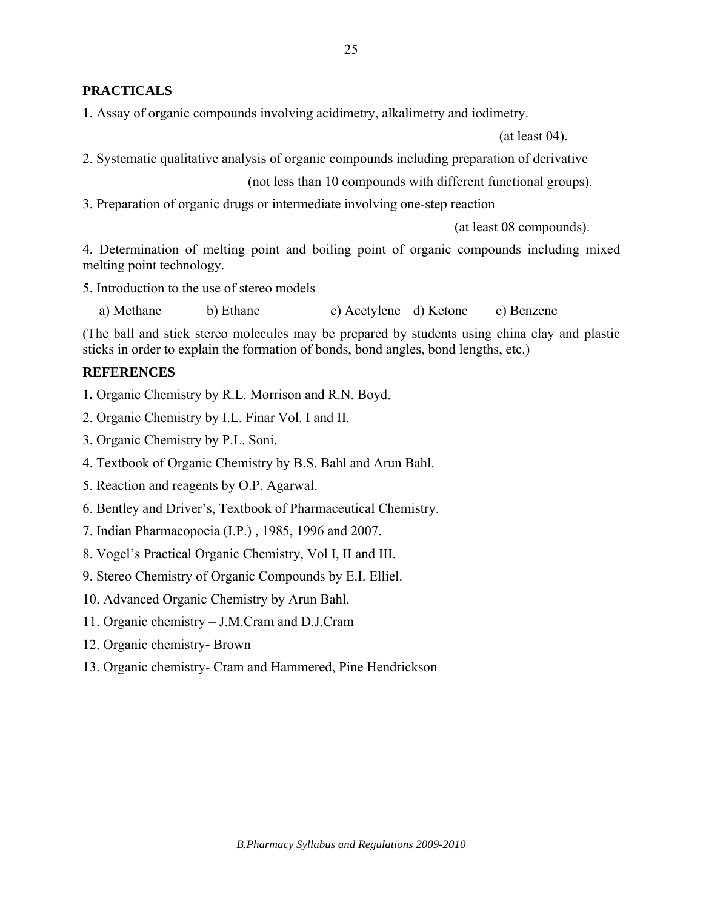# **PRACTICALS**

1. Assay of organic compounds involving acidimetry, alkalimetry and iodimetry.

(at least 04).

2. Systematic qualitative analysis of organic compounds including preparation of derivative

(not less than 10 compounds with different functional groups).

3. Preparation of organic drugs or intermediate involving one-step reaction

(at least 08 compounds).

4. Determination of melting point and boiling point of organic compounds including mixed melting point technology.

5. Introduction to the use of stereo models

a) Methane b) Ethane c) Acetylene d) Ketone e) Benzene

(The ball and stick stereo molecules may be prepared by students using china clay and plastic sticks in order to explain the formation of bonds, bond angles, bond lengths, etc.)

## **REFERENCES**

1**.** Organic Chemistry by R.L. Morrison and R.N. Boyd.

- 2. Organic Chemistry by I.L. Finar Vol. I and II.
- 3. Organic Chemistry by P.L. Soni.
- 4. Textbook of Organic Chemistry by B.S. Bahl and Arun Bahl.
- 5. Reaction and reagents by O.P. Agarwal.
- 6. Bentley and Driver's, Textbook of Pharmaceutical Chemistry.
- 7. Indian Pharmacopoeia (I.P.) , 1985, 1996 and 2007.
- 8. Vogel's Practical Organic Chemistry, Vol I, II and III.
- 9. Stereo Chemistry of Organic Compounds by E.I. Elliel.
- 10. Advanced Organic Chemistry by Arun Bahl.
- 11. Organic chemistry J.M.Cram and D.J.Cram
- 12. Organic chemistry- Brown
- 13. Organic chemistry- Cram and Hammered, Pine Hendrickson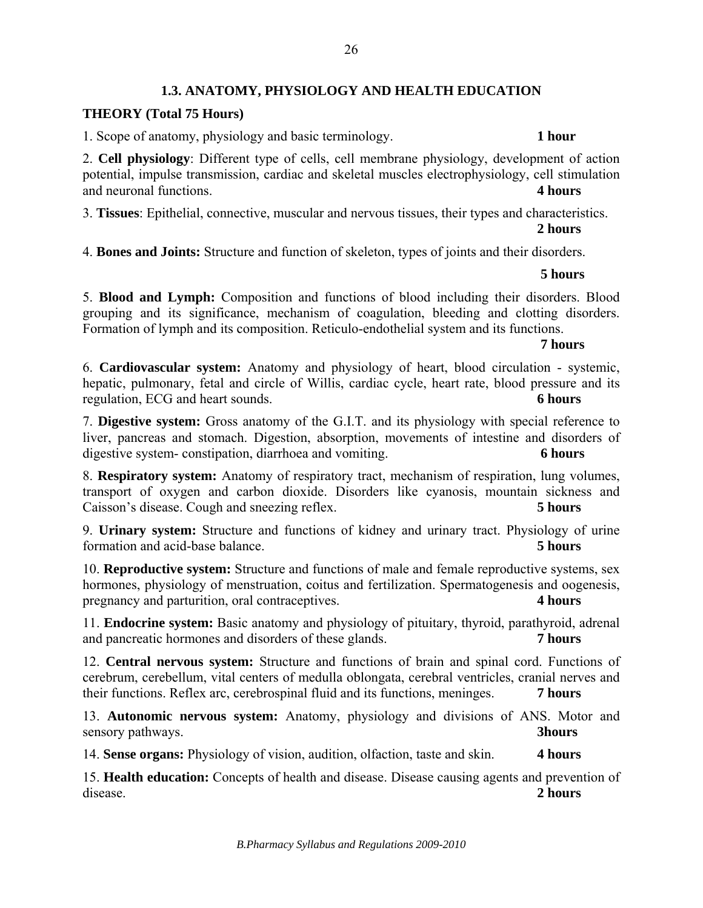# **1.3. ANATOMY, PHYSIOLOGY AND HEALTH EDUCATION**

## **THEORY (Total 75 Hours)**

1. Scope of anatomy, physiology and basic terminology. **1 hour** 

2. **Cell physiology**: Different type of cells, cell membrane physiology, development of action potential, impulse transmission, cardiac and skeletal muscles electrophysiology, cell stimulation and neuronal functions. **4 hours**

3. **Tissues**: Epithelial, connective, muscular and nervous tissues, their types and characteristics.

#### **2 hours**

4. **Bones and Joints:** Structure and function of skeleton, types of joints and their disorders.

#### **5 hours**

5. **Blood and Lymph:** Composition and functions of blood including their disorders. Blood grouping and its significance, mechanism of coagulation, bleeding and clotting disorders. Formation of lymph and its composition. Reticulo-endothelial system and its functions.

#### **7 hours**

6. **Cardiovascular system:** Anatomy and physiology of heart, blood circulation - systemic, hepatic, pulmonary, fetal and circle of Willis, cardiac cycle, heart rate, blood pressure and its regulation, ECG and heart sounds. **6 hours**

7. **Digestive system:** Gross anatomy of the G.I.T. and its physiology with special reference to liver, pancreas and stomach. Digestion, absorption, movements of intestine and disorders of digestive system- constipation, diarrhoea and vomiting. **6 hours**

8. **Respiratory system:** Anatomy of respiratory tract, mechanism of respiration, lung volumes, transport of oxygen and carbon dioxide. Disorders like cyanosis, mountain sickness and Caisson's disease. Cough and sneezing reflex. **5 hours**

9. **Urinary system:** Structure and functions of kidney and urinary tract. Physiology of urine formation and acid-base balance. **5 hours**

10. **Reproductive system:** Structure and functions of male and female reproductive systems, sex hormones, physiology of menstruation, coitus and fertilization. Spermatogenesis and oogenesis, pregnancy and parturition, oral contraceptives. **4 hours**

11. **Endocrine system:** Basic anatomy and physiology of pituitary, thyroid, parathyroid, adrenal and pancreatic hormones and disorders of these glands. **7 hours**

12. **Central nervous system:** Structure and functions of brain and spinal cord. Functions of cerebrum, cerebellum, vital centers of medulla oblongata, cerebral ventricles, cranial nerves and their functions. Reflex arc, cerebrospinal fluid and its functions, meninges. **7 hours**

13. **Autonomic nervous system:** Anatomy, physiology and divisions of ANS. Motor and sensory pathways. **3hours**

14. **Sense organs:** Physiology of vision, audition, olfaction, taste and skin. **4 hours**

15. **Health education:** Concepts of health and disease. Disease causing agents and prevention of disease. **2 hours**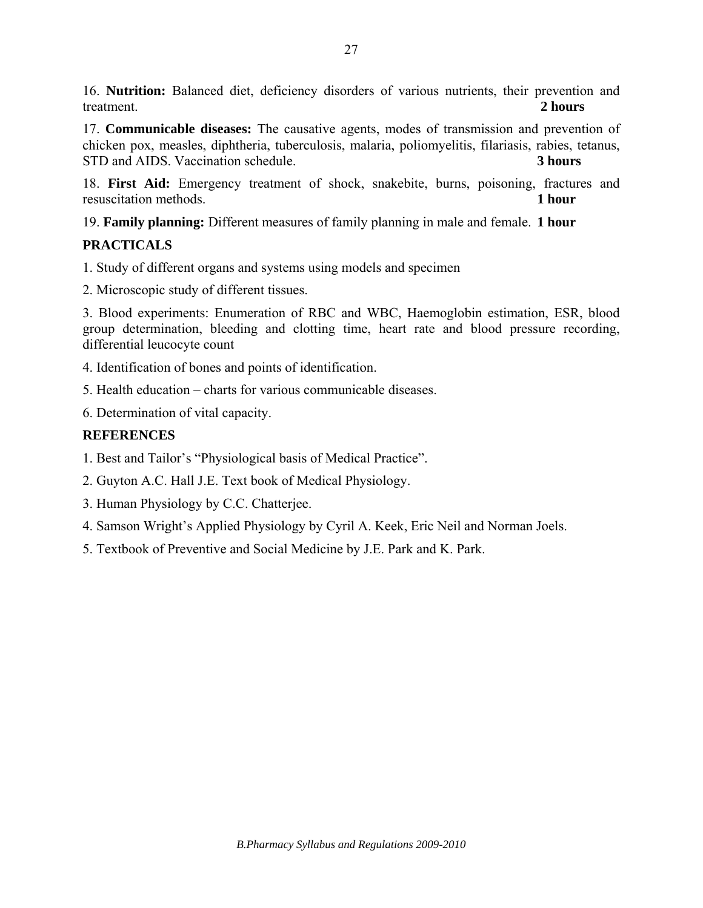16. **Nutrition:** Balanced diet, deficiency disorders of various nutrients, their prevention and treatment. **2 hours**

17. **Communicable diseases:** The causative agents, modes of transmission and prevention of chicken pox, measles, diphtheria, tuberculosis, malaria, poliomyelitis, filariasis, rabies, tetanus, STD and AIDS. Vaccination schedule. **3 hours**

18. **First Aid:** Emergency treatment of shock, snakebite, burns, poisoning, fractures and resuscitation methods. **1 hour**

19. **Family planning:** Different measures of family planning in male and female. **1 hour** 

# **PRACTICALS**

1. Study of different organs and systems using models and specimen

2. Microscopic study of different tissues.

3. Blood experiments: Enumeration of RBC and WBC, Haemoglobin estimation, ESR, blood group determination, bleeding and clotting time, heart rate and blood pressure recording, differential leucocyte count

- 4. Identification of bones and points of identification.
- 5. Health education charts for various communicable diseases.

6. Determination of vital capacity.

# **REFERENCES**

1. Best and Tailor's "Physiological basis of Medical Practice".

2. Guyton A.C. Hall J.E. Text book of Medical Physiology.

- 3. Human Physiology by C.C. Chatterjee.
- 4. Samson Wright's Applied Physiology by Cyril A. Keek, Eric Neil and Norman Joels.
- 5. Textbook of Preventive and Social Medicine by J.E. Park and K. Park.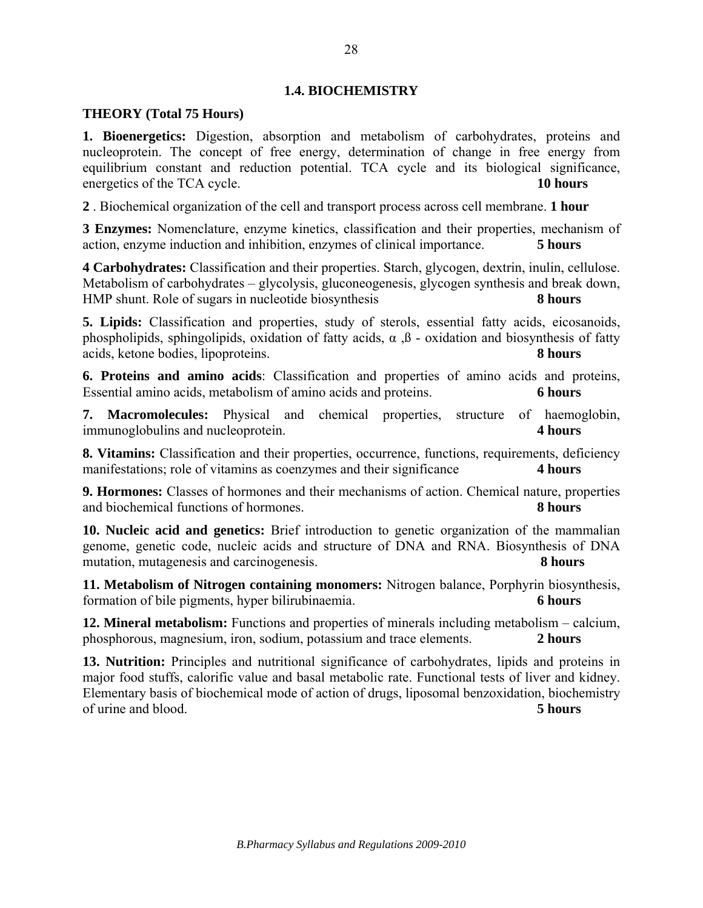## **1.4. BIOCHEMISTRY**

### **THEORY (Total 75 Hours)**

**1. Bioenergetics:** Digestion, absorption and metabolism of carbohydrates, proteins and nucleoprotein. The concept of free energy, determination of change in free energy from equilibrium constant and reduction potential. TCA cycle and its biological significance, energetics of the TCA cycle. **10 hours**

**2** . Biochemical organization of the cell and transport process across cell membrane. **1 hour** 

**3 Enzymes:** Nomenclature, enzyme kinetics, classification and their properties, mechanism of action, enzyme induction and inhibition, enzymes of clinical importance. **5 hours** 

**4 Carbohydrates:** Classification and their properties. Starch, glycogen, dextrin, inulin, cellulose. Metabolism of carbohydrates – glycolysis, gluconeogenesis, glycogen synthesis and break down, HMP shunt. Role of sugars in nucleotide biosynthesis **8 hours**

**5. Lipids:** Classification and properties, study of sterols, essential fatty acids, eicosanoids, phospholipids, sphingolipids, oxidation of fatty acids,  $\alpha$ ,  $\beta$  - oxidation and biosynthesis of fatty acids, ketone bodies, lipoproteins. **8 hours** 

**6. Proteins and amino acids**: Classification and properties of amino acids and proteins, Essential amino acids, metabolism of amino acids and proteins. **6 hours** 

**7. Macromolecules:** Physical and chemical properties, structure of haemoglobin, immunoglobulins and nucleoprotein. **4 hours** 

**8. Vitamins:** Classification and their properties, occurrence, functions, requirements, deficiency manifestations; role of vitamins as coenzymes and their significance **4 hours** 

**9. Hormones:** Classes of hormones and their mechanisms of action. Chemical nature, properties and biochemical functions of hormones. **8 hours** 

**10. Nucleic acid and genetics:** Brief introduction to genetic organization of the mammalian genome, genetic code, nucleic acids and structure of DNA and RNA. Biosynthesis of DNA mutation, mutagenesis and carcinogenesis. **8 hours** 

**11. Metabolism of Nitrogen containing monomers:** Nitrogen balance, Porphyrin biosynthesis, formation of bile pigments, hyper bilirubinaemia. **6 hours** 

**12. Mineral metabolism:** Functions and properties of minerals including metabolism – calcium, phosphorous, magnesium, iron, sodium, potassium and trace elements. **2 hours**

**13. Nutrition:** Principles and nutritional significance of carbohydrates, lipids and proteins in major food stuffs, calorific value and basal metabolic rate. Functional tests of liver and kidney. Elementary basis of biochemical mode of action of drugs, liposomal benzoxidation, biochemistry of urine and blood. **5 hours**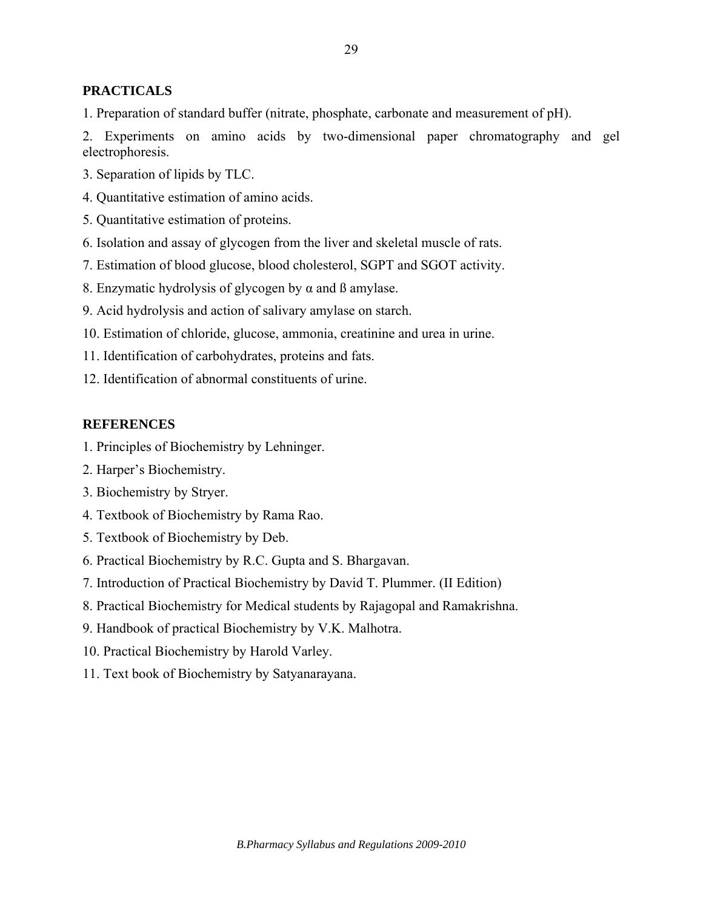# **PRACTICALS**

1. Preparation of standard buffer (nitrate, phosphate, carbonate and measurement of pH).

2. Experiments on amino acids by two-dimensional paper chromatography and gel electrophoresis.

- 3. Separation of lipids by TLC.
- 4. Quantitative estimation of amino acids.
- 5. Quantitative estimation of proteins.
- 6. Isolation and assay of glycogen from the liver and skeletal muscle of rats.
- 7. Estimation of blood glucose, blood cholesterol, SGPT and SGOT activity.
- 8. Enzymatic hydrolysis of glycogen by  $\alpha$  and  $\beta$  amylase.
- 9. Acid hydrolysis and action of salivary amylase on starch.
- 10. Estimation of chloride, glucose, ammonia, creatinine and urea in urine.
- 11. Identification of carbohydrates, proteins and fats.
- 12. Identification of abnormal constituents of urine.

#### **REFERENCES**

- 1. Principles of Biochemistry by Lehninger.
- 2. Harper's Biochemistry.
- 3. Biochemistry by Stryer.
- 4. Textbook of Biochemistry by Rama Rao.
- 5. Textbook of Biochemistry by Deb.
- 6. Practical Biochemistry by R.C. Gupta and S. Bhargavan.
- 7. Introduction of Practical Biochemistry by David T. Plummer. (II Edition)
- 8. Practical Biochemistry for Medical students by Rajagopal and Ramakrishna.
- 9. Handbook of practical Biochemistry by V.K. Malhotra.
- 10. Practical Biochemistry by Harold Varley.
- 11. Text book of Biochemistry by Satyanarayana.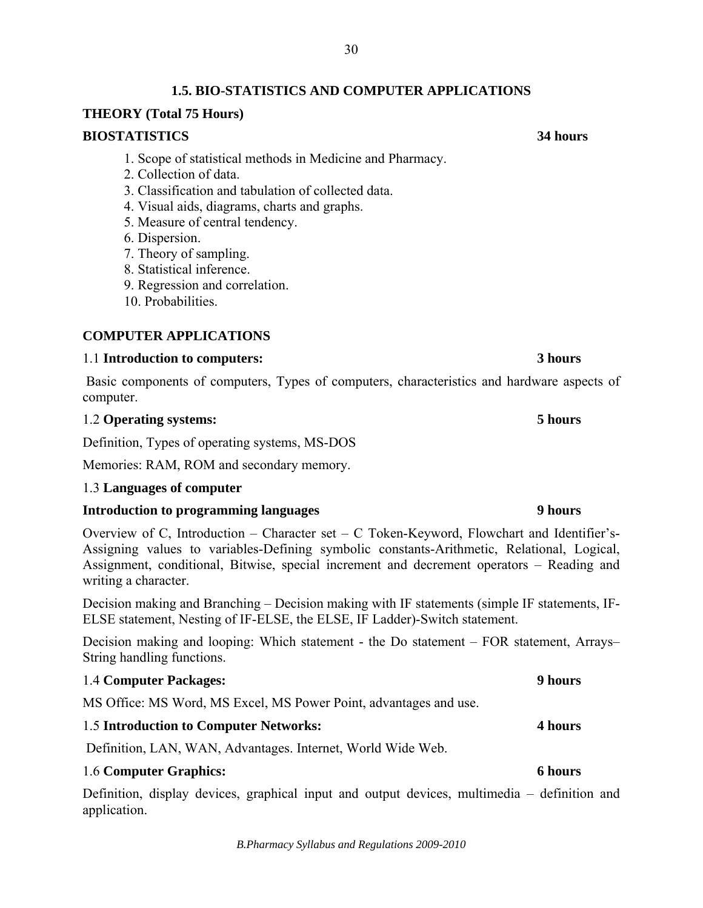# **1.5. BIO-STATISTICS AND COMPUTER APPLICATIONS**

### **THEORY (Total 75 Hours)**

#### **BIOSTATISTICS 34 hours**

- 1. Scope of statistical methods in Medicine and Pharmacy.
- 2. Collection of data.
- 3. Classification and tabulation of collected data.
- 4. Visual aids, diagrams, charts and graphs.
- 5. Measure of central tendency.
- 6. Dispersion.
- 7. Theory of sampling.
- 8. Statistical inference.
- 9. Regression and correlation.
- 10. Probabilities.

### **COMPUTER APPLICATIONS**

#### 1.1 **Introduction to computers: 3 hours**

Basic components of computers, Types of computers, characteristics and hardware aspects of computer.

## 1.2 **Operating systems: 5 hours**

Definition, Types of operating systems, MS-DOS

Memories: RAM, ROM and secondary memory.

#### 1.3 **Languages of computer**

## **Introduction to programming languages 9 hours**

Overview of C, Introduction – Character set – C Token-Keyword, Flowchart and Identifier's-Assigning values to variables-Defining symbolic constants-Arithmetic, Relational, Logical, Assignment, conditional, Bitwise, special increment and decrement operators – Reading and writing a character.

Decision making and Branching – Decision making with IF statements (simple IF statements, IF-ELSE statement, Nesting of IF-ELSE, the ELSE, IF Ladder)-Switch statement.

Decision making and looping: Which statement - the Do statement – FOR statement, Arrays– String handling functions.

### 1.4 **Computer Packages: 9 hours**

MS Office: MS Word, MS Excel, MS Power Point, advantages and use.

## 1.5 **Introduction to Computer Networks: 4 hours**

Definition, LAN, WAN, Advantages. Internet, World Wide Web.

#### 1.6 **Computer Graphics: 6 hours**

Definition, display devices, graphical input and output devices, multimedia – definition and application.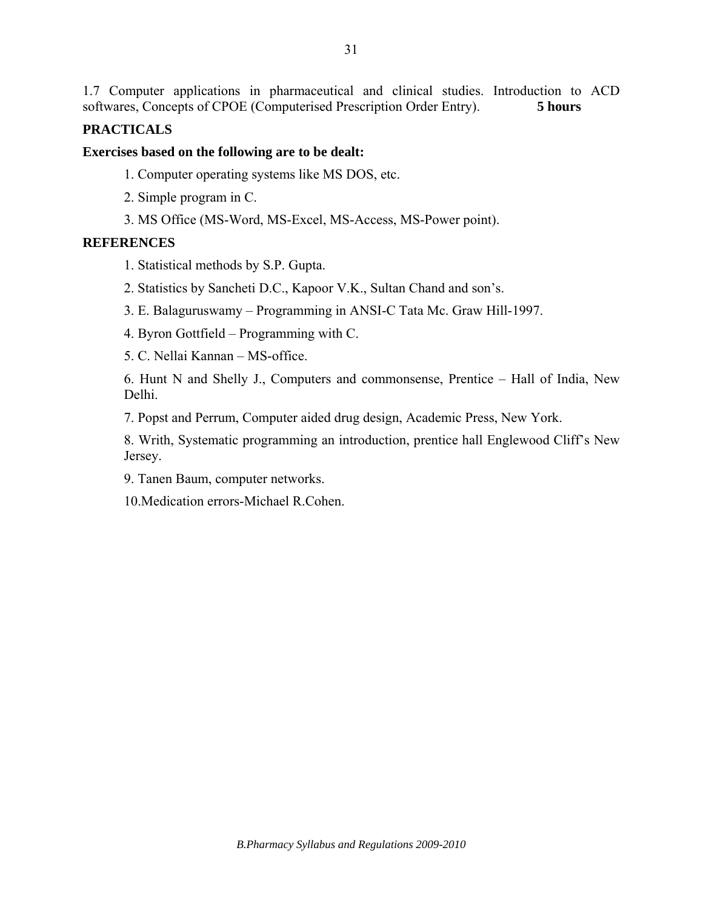1.7 Computer applications in pharmaceutical and clinical studies. Introduction to ACD softwares, Concepts of CPOE (Computerised Prescription Order Entry). **5 hours** 

# **PRACTICALS**

### **Exercises based on the following are to be dealt:**

- 1. Computer operating systems like MS DOS, etc.
- 2. Simple program in C.
- 3. MS Office (MS-Word, MS-Excel, MS-Access, MS-Power point).

### **REFERENCES**

- 1. Statistical methods by S.P. Gupta.
- 2. Statistics by Sancheti D.C., Kapoor V.K., Sultan Chand and son's.
- 3. E. Balaguruswamy Programming in ANSI-C Tata Mc. Graw Hill-1997.
- 4. Byron Gottfield Programming with C.
- 5. C. Nellai Kannan MS-office.

6. Hunt N and Shelly J., Computers and commonsense, Prentice – Hall of India, New Delhi.

7. Popst and Perrum, Computer aided drug design, Academic Press, New York.

8. Writh, Systematic programming an introduction, prentice hall Englewood Cliff's New Jersey.

9. Tanen Baum, computer networks.

10.Medication errors-Michael R.Cohen.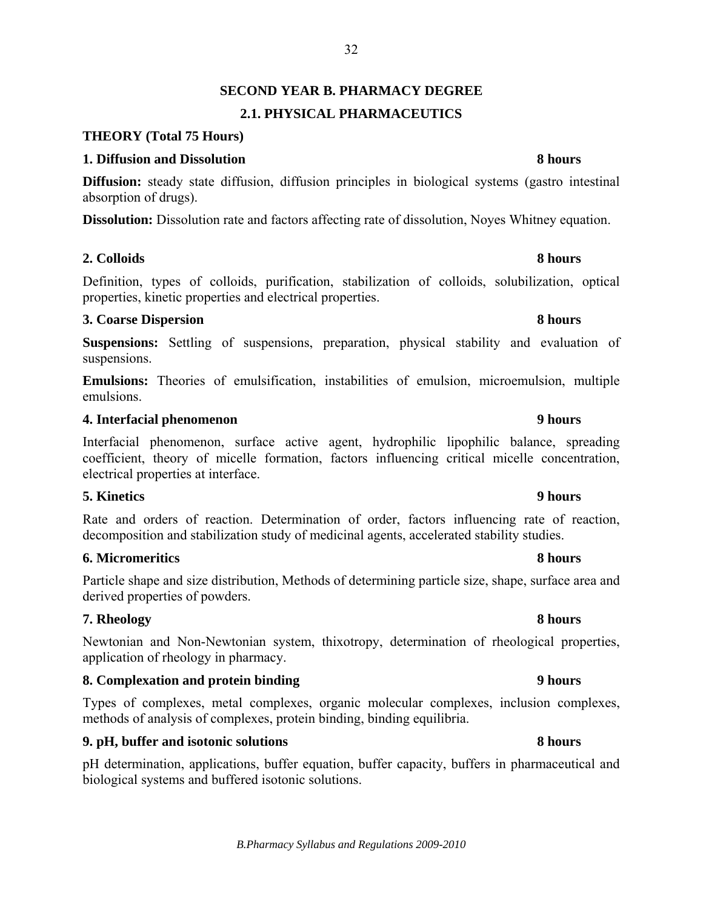# 32

# **SECOND YEAR B. PHARMACY DEGREE 2.1. PHYSICAL PHARMACEUTICS**

# **THEORY (Total 75 Hours)**

## **1. Diffusion and Dissolution** 8 hours

**Diffusion:** steady state diffusion, diffusion principles in biological systems (gastro intestinal absorption of drugs).

**Dissolution:** Dissolution rate and factors affecting rate of dissolution, Noyes Whitney equation.

# **2. Colloids 8 hours**

Definition, types of colloids, purification, stabilization of colloids, solubilization, optical properties, kinetic properties and electrical properties.

## **3. Coarse Dispersion 8 hours 3. Coarse Dispersion 8 hours**

**Suspensions:** Settling of suspensions, preparation, physical stability and evaluation of suspensions.

**Emulsions:** Theories of emulsification, instabilities of emulsion, microemulsion, multiple emulsions.

## **4. Interfacial phenomenon 9 hours**

Interfacial phenomenon, surface active agent, hydrophilic lipophilic balance, spreading coefficient, theory of micelle formation, factors influencing critical micelle concentration, electrical properties at interface.

# **5. Kinetics 9 hours**

Rate and orders of reaction. Determination of order, factors influencing rate of reaction, decomposition and stabilization study of medicinal agents, accelerated stability studies.

# **6. Micromeritics 8 hours**

Particle shape and size distribution, Methods of determining particle size, shape, surface area and derived properties of powders.

# **7. Rheology 8 hours**

Newtonian and Non-Newtonian system, thixotropy, determination of rheological properties, application of rheology in pharmacy.

# **8.** Complexation and protein binding 9 hours **9 hours**

Types of complexes, metal complexes, organic molecular complexes, inclusion complexes, methods of analysis of complexes, protein binding, binding equilibria.

# **9. pH, buffer and isotonic solutions 8 hours** 8 hours

pH determination, applications, buffer equation, buffer capacity, buffers in pharmaceutical and biological systems and buffered isotonic solutions.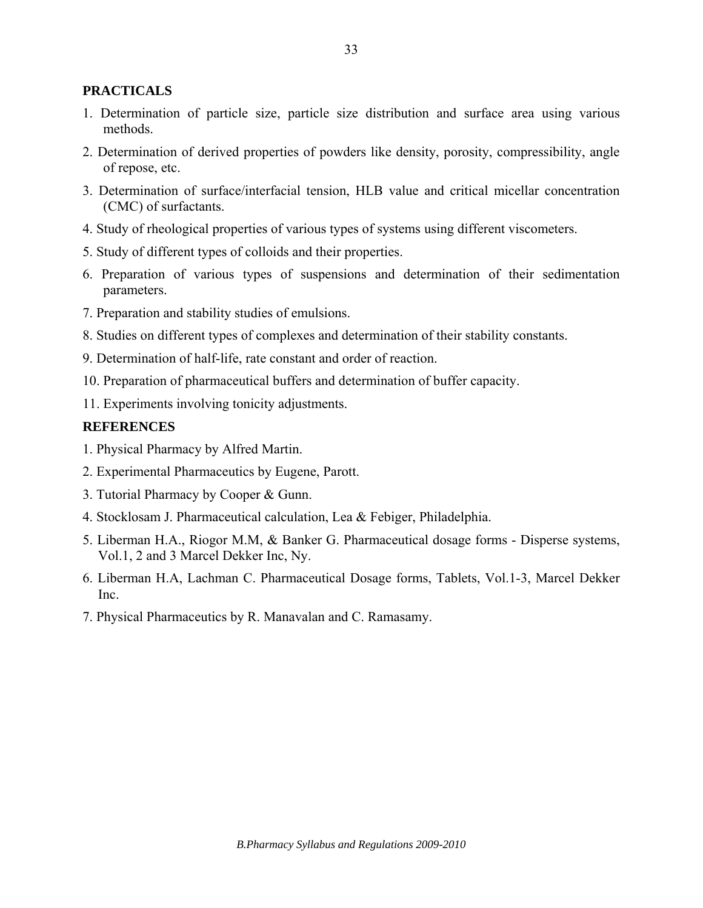# **PRACTICALS**

- 1. Determination of particle size, particle size distribution and surface area using various methods.
- 2. Determination of derived properties of powders like density, porosity, compressibility, angle of repose, etc.
- 3. Determination of surface/interfacial tension, HLB value and critical micellar concentration (CMC) of surfactants.
- 4. Study of rheological properties of various types of systems using different viscometers.
- 5. Study of different types of colloids and their properties.
- 6. Preparation of various types of suspensions and determination of their sedimentation parameters.
- 7. Preparation and stability studies of emulsions.
- 8. Studies on different types of complexes and determination of their stability constants.
- 9. Determination of half-life, rate constant and order of reaction.
- 10. Preparation of pharmaceutical buffers and determination of buffer capacity.
- 11. Experiments involving tonicity adjustments.

## **REFERENCES**

- 1. Physical Pharmacy by Alfred Martin.
- 2. Experimental Pharmaceutics by Eugene, Parott.
- 3. Tutorial Pharmacy by Cooper & Gunn.
- 4. Stocklosam J. Pharmaceutical calculation, Lea & Febiger, Philadelphia.
- 5. Liberman H.A., Riogor M.M, & Banker G. Pharmaceutical dosage forms Disperse systems, Vol.1, 2 and 3 Marcel Dekker Inc, Ny.
- 6. Liberman H.A, Lachman C. Pharmaceutical Dosage forms, Tablets, Vol.1-3, Marcel Dekker Inc.
- 7. Physical Pharmaceutics by R. Manavalan and C. Ramasamy.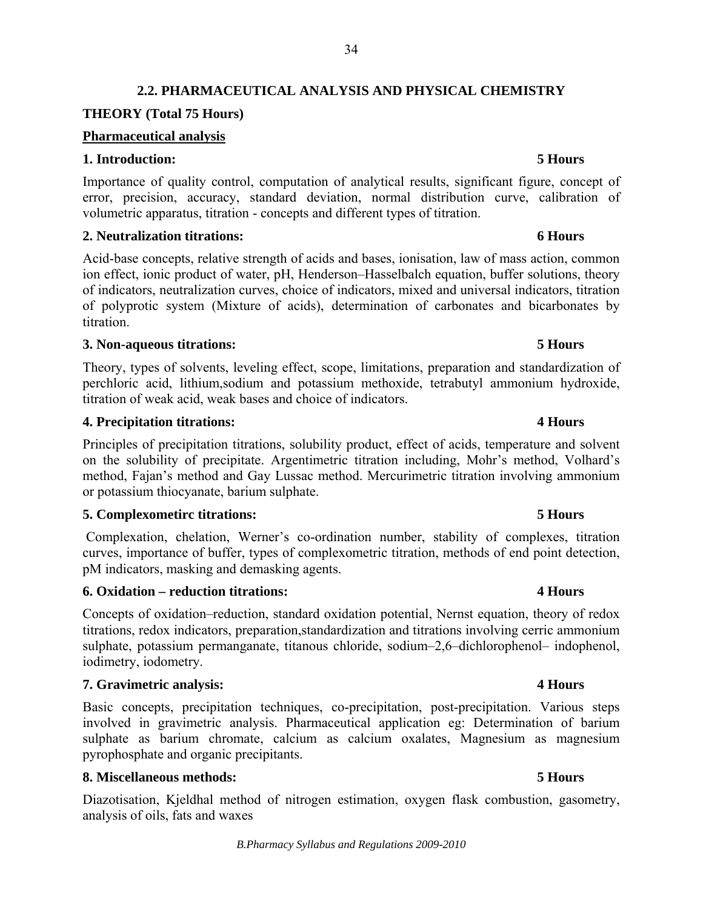# **2.2. PHARMACEUTICAL ANALYSIS AND PHYSICAL CHEMISTRY**

# **THEORY (Total 75 Hours)**

# **Pharmaceutical analysis**

## **1. Introduction: 5 Hours**

Importance of quality control, computation of analytical results, significant figure, concept of error, precision, accuracy, standard deviation, normal distribution curve, calibration of volumetric apparatus, titration - concepts and different types of titration.

## **2. Neutralization titrations: 6 Hours**

Acid-base concepts, relative strength of acids and bases, ionisation, law of mass action, common ion effect, ionic product of water, pH, Henderson–Hasselbalch equation, buffer solutions, theory of indicators, neutralization curves, choice of indicators, mixed and universal indicators, titration of polyprotic system (Mixture of acids), determination of carbonates and bicarbonates by titration.

### **3. Non-aqueous titrations: 5 Hours**

Theory, types of solvents, leveling effect, scope, limitations, preparation and standardization of perchloric acid, lithium,sodium and potassium methoxide, tetrabutyl ammonium hydroxide, titration of weak acid, weak bases and choice of indicators.

## **4. Precipitation titrations: 4 Hours**

Principles of precipitation titrations, solubility product, effect of acids, temperature and solvent on the solubility of precipitate. Argentimetric titration including, Mohr's method, Volhard's method, Fajan's method and Gay Lussac method. Mercurimetric titration involving ammonium or potassium thiocyanate, barium sulphate.

### **5. Complexometirc titrations: 5 Hours**

Complexation, chelation, Werner's co-ordination number, stability of complexes, titration curves, importance of buffer, types of complexometric titration, methods of end point detection, pM indicators, masking and demasking agents.

### **6. Oxidation – reduction titrations: 4 Hours**

Concepts of oxidation–reduction, standard oxidation potential, Nernst equation, theory of redox titrations, redox indicators, preparation,standardization and titrations involving cerric ammonium sulphate, potassium permanganate, titanous chloride, sodium–2,6–dichlorophenol– indophenol, iodimetry, iodometry.

# **7. Gravimetric analysis: 4 Hours**

Basic concepts, precipitation techniques, co-precipitation, post-precipitation. Various steps involved in gravimetric analysis. Pharmaceutical application eg: Determination of barium sulphate as barium chromate, calcium as calcium oxalates, Magnesium as magnesium pyrophosphate and organic precipitants.

### **8. Miscellaneous methods: 5 Hours**

Diazotisation, Kjeldhal method of nitrogen estimation, oxygen flask combustion, gasometry, analysis of oils, fats and waxes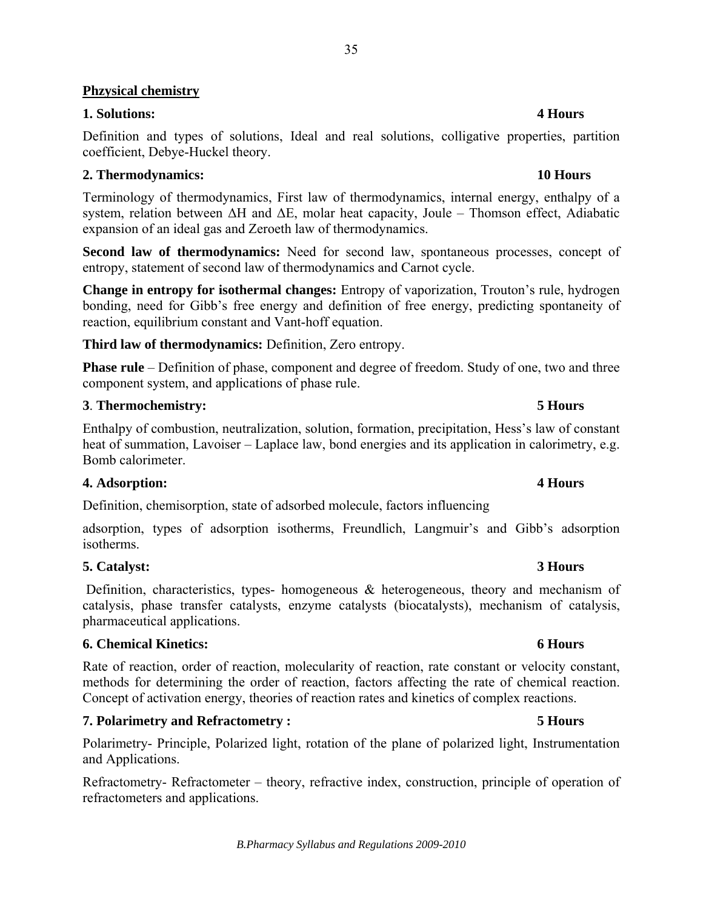# **Phzysical chemistry**

# **1. Solutions: 4 Hours**

Definition and types of solutions, Ideal and real solutions, colligative properties, partition coefficient, Debye-Huckel theory.

# **2. Thermodynamics: 10 Hours**

Terminology of thermodynamics, First law of thermodynamics, internal energy, enthalpy of a system, relation between ΔH and ΔE, molar heat capacity, Joule – Thomson effect, Adiabatic expansion of an ideal gas and Zeroeth law of thermodynamics.

**Second law of thermodynamics:** Need for second law, spontaneous processes, concept of entropy, statement of second law of thermodynamics and Carnot cycle.

**Change in entropy for isothermal changes:** Entropy of vaporization, Trouton's rule, hydrogen bonding, need for Gibb's free energy and definition of free energy, predicting spontaneity of reaction, equilibrium constant and Vant-hoff equation.

**Third law of thermodynamics:** Definition, Zero entropy.

**Phase rule** – Definition of phase, component and degree of freedom. Study of one, two and three component system, and applications of phase rule.

# **3**. **Thermochemistry: 5 Hours**

Enthalpy of combustion, neutralization, solution, formation, precipitation, Hess's law of constant heat of summation, Lavoiser – Laplace law, bond energies and its application in calorimetry, e.g. Bomb calorimeter.

# **4. Adsorption: 4 Hours**

Definition, chemisorption, state of adsorbed molecule, factors influencing

adsorption, types of adsorption isotherms, Freundlich, Langmuir's and Gibb's adsorption isotherms.

# **5. Catalyst: 3 Hours**

Definition, characteristics, types- homogeneous  $\&$  heterogeneous, theory and mechanism of catalysis, phase transfer catalysts, enzyme catalysts (biocatalysts), mechanism of catalysis, pharmaceutical applications.

# **6. Chemical Kinetics: 6 Hours**

Rate of reaction, order of reaction, molecularity of reaction, rate constant or velocity constant, methods for determining the order of reaction, factors affecting the rate of chemical reaction. Concept of activation energy, theories of reaction rates and kinetics of complex reactions.

# **7. Polarimetry and Refractometry : 5 Hours**

Polarimetry- Principle, Polarized light, rotation of the plane of polarized light, Instrumentation and Applications.

Refractometry- Refractometer – theory, refractive index, construction, principle of operation of refractometers and applications.

# *B.Pharmacy Syllabus and Regulations 2009-2010*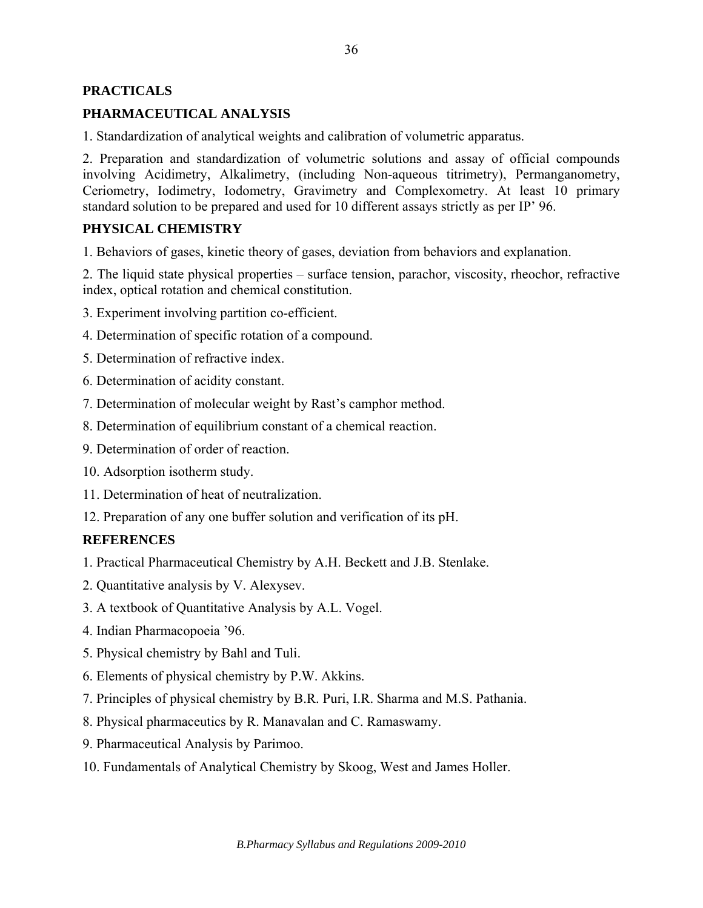## **PRACTICALS**

# **PHARMACEUTICAL ANALYSIS**

1. Standardization of analytical weights and calibration of volumetric apparatus.

2. Preparation and standardization of volumetric solutions and assay of official compounds involving Acidimetry, Alkalimetry, (including Non-aqueous titrimetry), Permanganometry, Ceriometry, Iodimetry, Iodometry, Gravimetry and Complexometry. At least 10 primary standard solution to be prepared and used for 10 different assays strictly as per IP' 96.

## **PHYSICAL CHEMISTRY**

1. Behaviors of gases, kinetic theory of gases, deviation from behaviors and explanation.

2. The liquid state physical properties – surface tension, parachor, viscosity, rheochor, refractive index, optical rotation and chemical constitution.

- 3. Experiment involving partition co-efficient.
- 4. Determination of specific rotation of a compound.
- 5. Determination of refractive index.
- 6. Determination of acidity constant.
- 7. Determination of molecular weight by Rast's camphor method.
- 8. Determination of equilibrium constant of a chemical reaction.
- 9. Determination of order of reaction.
- 10. Adsorption isotherm study.
- 11. Determination of heat of neutralization.
- 12. Preparation of any one buffer solution and verification of its pH.

### **REFERENCES**

- 1. Practical Pharmaceutical Chemistry by A.H. Beckett and J.B. Stenlake.
- 2. Quantitative analysis by V. Alexysev.
- 3. A textbook of Quantitative Analysis by A.L. Vogel.
- 4. Indian Pharmacopoeia '96.
- 5. Physical chemistry by Bahl and Tuli.
- 6. Elements of physical chemistry by P.W. Akkins.
- 7. Principles of physical chemistry by B.R. Puri, I.R. Sharma and M.S. Pathania.
- 8. Physical pharmaceutics by R. Manavalan and C. Ramaswamy.
- 9. Pharmaceutical Analysis by Parimoo.
- 10. Fundamentals of Analytical Chemistry by Skoog, West and James Holler.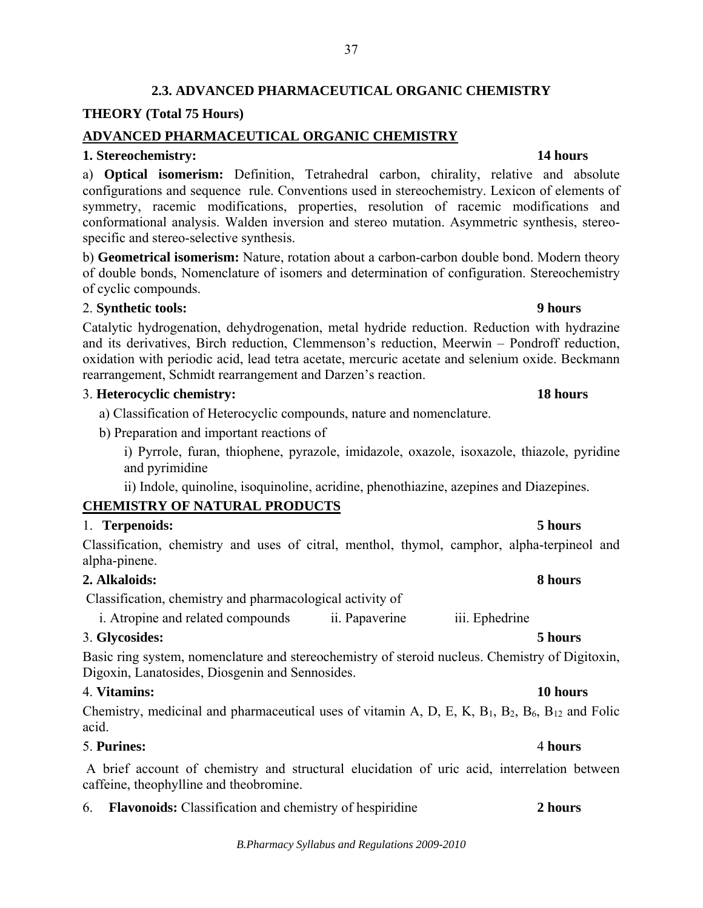# **2.3. ADVANCED PHARMACEUTICAL ORGANIC CHEMISTRY**

37

### **THEORY (Total 75 Hours)**

### **ADVANCED PHARMACEUTICAL ORGANIC CHEMISTRY**

### **1. Stereochemistry: 14 hours**

a) **Optical isomerism:** Definition, Tetrahedral carbon, chirality, relative and absolute configurations and sequence rule. Conventions used in stereochemistry. Lexicon of elements of symmetry, racemic modifications, properties, resolution of racemic modifications and conformational analysis. Walden inversion and stereo mutation. Asymmetric synthesis, stereospecific and stereo-selective synthesis.

b) **Geometrical isomerism:** Nature, rotation about a carbon-carbon double bond. Modern theory of double bonds, Nomenclature of isomers and determination of configuration. Stereochemistry of cyclic compounds.

## 2. **Synthetic tools: 9 hours**

Catalytic hydrogenation, dehydrogenation, metal hydride reduction. Reduction with hydrazine and its derivatives, Birch reduction, Clemmenson's reduction, Meerwin – Pondroff reduction, oxidation with periodic acid, lead tetra acetate, mercuric acetate and selenium oxide. Beckmann rearrangement, Schmidt rearrangement and Darzen's reaction.

### 3. **Heterocyclic chemistry: 18 hours**

- a) Classification of Heterocyclic compounds, nature and nomenclature.
- b) Preparation and important reactions of

i) Pyrrole, furan, thiophene, pyrazole, imidazole, oxazole, isoxazole, thiazole, pyridine and pyrimidine

ii) Indole, quinoline, isoquinoline, acridine, phenothiazine, azepines and Diazepines.

## **CHEMISTRY OF NATURAL PRODUCTS**

## 1. **Terpenoids: 5 hours**

Classification, chemistry and uses of citral, menthol, thymol, camphor, alpha-terpineol and alpha-pinene.

## **2. Alkaloids: 8 hours**

Classification, chemistry and pharmacological activity of

i. Atropine and related compounds ii. Papaverine iii. Ephedrine

## 3. **Glycosides: 5 hours**

Basic ring system, nomenclature and stereochemistry of steroid nucleus. Chemistry of Digitoxin, Digoxin, Lanatosides, Diosgenin and Sennosides.

## 4. **Vitamins: 10 hours**

Chemistry, medicinal and pharmaceutical uses of vitamin A, D, E, K,  $B_1$ ,  $B_2$ ,  $B_6$ ,  $B_{12}$  and Folic acid.

## 5. **Purines:** 4 **hours**

 A brief account of chemistry and structural elucidation of uric acid, interrelation between caffeine, theophylline and theobromine.

6. **Flavonoids:** Classification and chemistry of hespiridine **2 hours**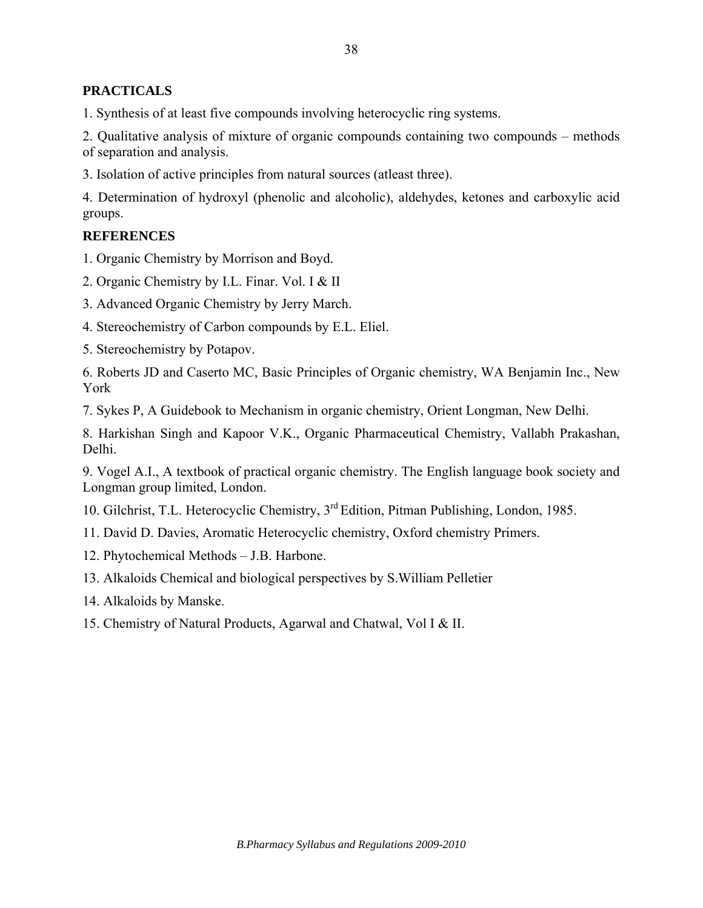# **PRACTICALS**

1. Synthesis of at least five compounds involving heterocyclic ring systems.

2. Qualitative analysis of mixture of organic compounds containing two compounds – methods of separation and analysis.

3. Isolation of active principles from natural sources (atleast three).

4. Determination of hydroxyl (phenolic and alcoholic), aldehydes, ketones and carboxylic acid groups.

## **REFERENCES**

1. Organic Chemistry by Morrison and Boyd.

2. Organic Chemistry by I.L. Finar. Vol. I & II

3. Advanced Organic Chemistry by Jerry March.

4. Stereochemistry of Carbon compounds by E.L. Eliel.

5. Stereochemistry by Potapov.

6. Roberts JD and Caserto MC, Basic Principles of Organic chemistry, WA Benjamin Inc., New York

7. Sykes P, A Guidebook to Mechanism in organic chemistry, Orient Longman, New Delhi.

8. Harkishan Singh and Kapoor V.K., Organic Pharmaceutical Chemistry, Vallabh Prakashan, Delhi.

9. Vogel A.I., A textbook of practical organic chemistry. The English language book society and Longman group limited, London.

10. Gilchrist, T.L. Heterocyclic Chemistry, 3rd Edition, Pitman Publishing, London, 1985.

11. David D. Davies, Aromatic Heterocyclic chemistry, Oxford chemistry Primers.

- 12. Phytochemical Methods J.B. Harbone.
- 13. Alkaloids Chemical and biological perspectives by S.William Pelletier
- 14. Alkaloids by Manske.

15. Chemistry of Natural Products, Agarwal and Chatwal, Vol I & II.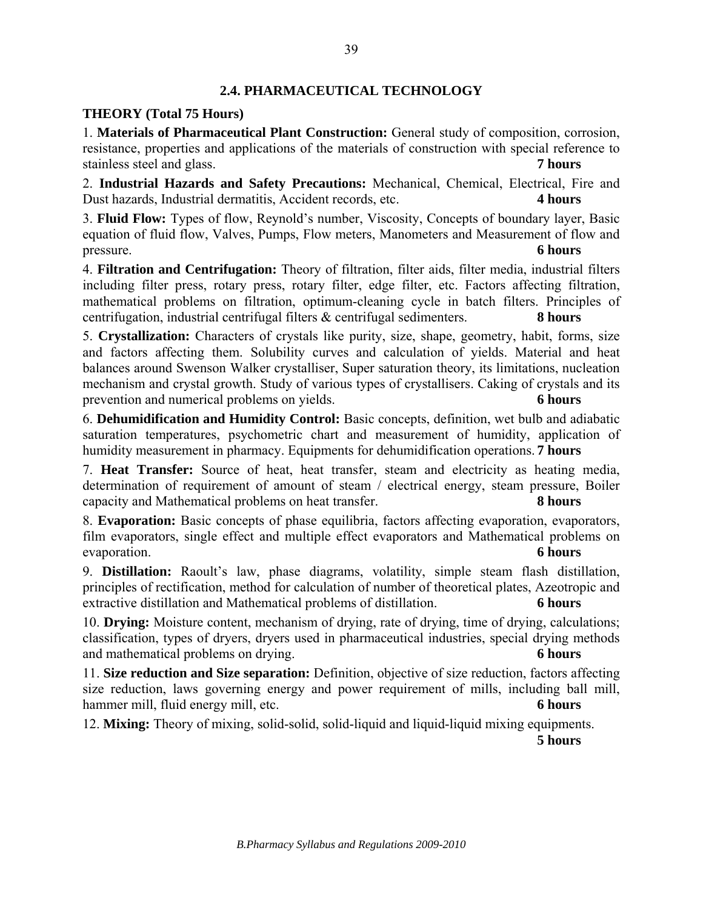## **2.4. PHARMACEUTICAL TECHNOLOGY**

## **THEORY (Total 75 Hours)**

1. **Materials of Pharmaceutical Plant Construction:** General study of composition, corrosion, resistance, properties and applications of the materials of construction with special reference to stainless steel and glass. **7 hours**

2. **Industrial Hazards and Safety Precautions:** Mechanical, Chemical, Electrical, Fire and Dust hazards, Industrial dermatitis, Accident records, etc. **4 hours**

3. **Fluid Flow:** Types of flow, Reynold's number, Viscosity, Concepts of boundary layer, Basic equation of fluid flow, Valves, Pumps, Flow meters, Manometers and Measurement of flow and pressure. **6 hours** 

4. **Filtration and Centrifugation:** Theory of filtration, filter aids, filter media, industrial filters including filter press, rotary press, rotary filter, edge filter, etc. Factors affecting filtration, mathematical problems on filtration, optimum-cleaning cycle in batch filters. Principles of centrifugation, industrial centrifugal filters & centrifugal sedimenters. **8 hours** 

5. **Crystallization:** Characters of crystals like purity, size, shape, geometry, habit, forms, size and factors affecting them. Solubility curves and calculation of yields. Material and heat balances around Swenson Walker crystalliser, Super saturation theory, its limitations, nucleation mechanism and crystal growth. Study of various types of crystallisers. Caking of crystals and its prevention and numerical problems on yields. **6 hours** 

6. **Dehumidification and Humidity Control:** Basic concepts, definition, wet bulb and adiabatic saturation temperatures, psychometric chart and measurement of humidity, application of humidity measurement in pharmacy. Equipments for dehumidification operations. **7 hours** 

7. **Heat Transfer:** Source of heat, heat transfer, steam and electricity as heating media, determination of requirement of amount of steam / electrical energy, steam pressure, Boiler capacity and Mathematical problems on heat transfer. **8 hours** 

8. **Evaporation:** Basic concepts of phase equilibria, factors affecting evaporation, evaporators, film evaporators, single effect and multiple effect evaporators and Mathematical problems on evaporation. **6 hours**

9. **Distillation:** Raoult's law, phase diagrams, volatility, simple steam flash distillation, principles of rectification, method for calculation of number of theoretical plates, Azeotropic and extractive distillation and Mathematical problems of distillation. **6 hours**

10. **Drying:** Moisture content, mechanism of drying, rate of drying, time of drying, calculations; classification, types of dryers, dryers used in pharmaceutical industries, special drying methods and mathematical problems on drying. **6 hours**

11. **Size reduction and Size separation:** Definition, objective of size reduction, factors affecting size reduction, laws governing energy and power requirement of mills, including ball mill, hammer mill, fluid energy mill, etc. **6 hours** 

12. **Mixing:** Theory of mixing, solid-solid, solid-liquid and liquid-liquid mixing equipments.

**5 hours**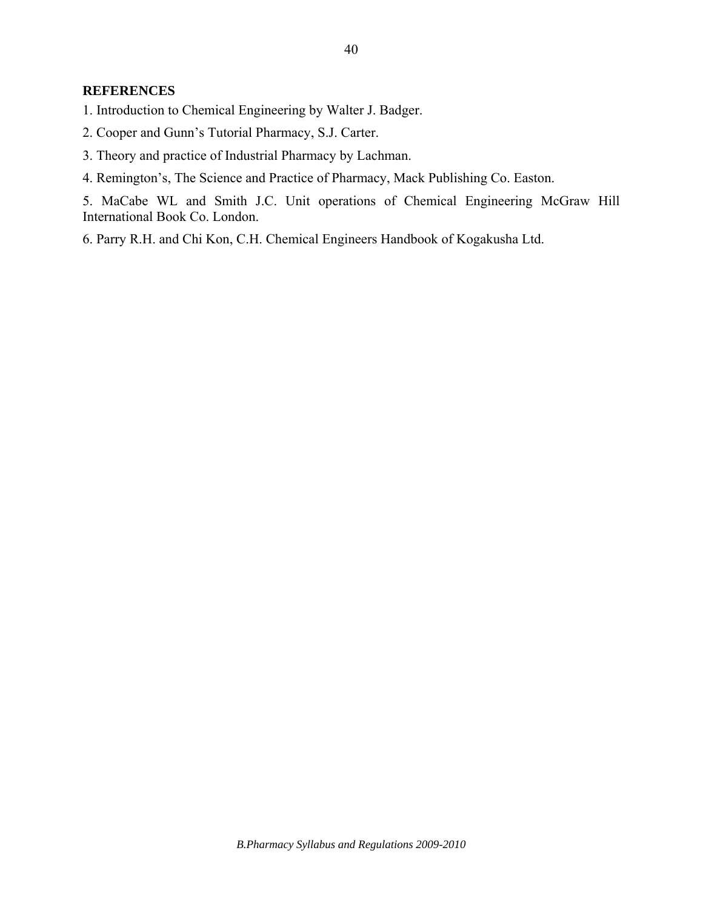### **REFERENCES**

- 1. Introduction to Chemical Engineering by Walter J. Badger.
- 2. Cooper and Gunn's Tutorial Pharmacy, S.J. Carter.
- 3. Theory and practice of Industrial Pharmacy by Lachman.
- 4. Remington's, The Science and Practice of Pharmacy, Mack Publishing Co. Easton.

5. MaCabe WL and Smith J.C. Unit operations of Chemical Engineering McGraw Hill International Book Co. London.

6. Parry R.H. and Chi Kon, C.H. Chemical Engineers Handbook of Kogakusha Ltd.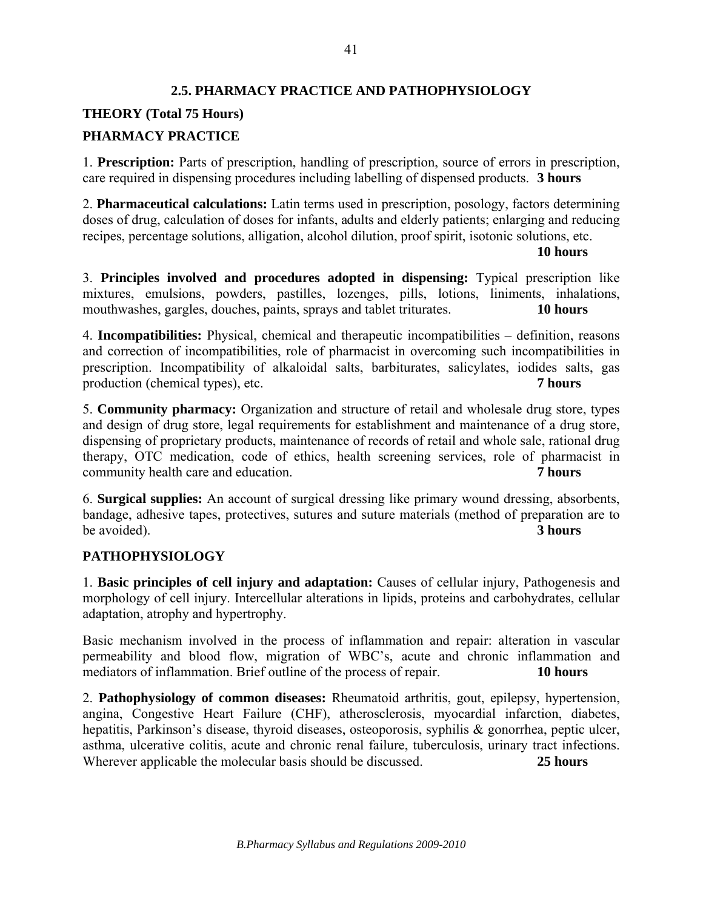# **2.5. PHARMACY PRACTICE AND PATHOPHYSIOLOGY**

# **THEORY (Total 75 Hours)**

# **PHARMACY PRACTICE**

1. **Prescription:** Parts of prescription, handling of prescription, source of errors in prescription, care required in dispensing procedures including labelling of dispensed products. **3 hours**

2. **Pharmaceutical calculations:** Latin terms used in prescription, posology, factors determining doses of drug, calculation of doses for infants, adults and elderly patients; enlarging and reducing recipes, percentage solutions, alligation, alcohol dilution, proof spirit, isotonic solutions, etc.

**10 hours**

3. **Principles involved and procedures adopted in dispensing:** Typical prescription like mixtures, emulsions, powders, pastilles, lozenges, pills, lotions, liniments, inhalations, mouthwashes, gargles, douches, paints, sprays and tablet triturates. **10 hours**

4. **Incompatibilities:** Physical, chemical and therapeutic incompatibilities – definition, reasons and correction of incompatibilities, role of pharmacist in overcoming such incompatibilities in prescription. Incompatibility of alkaloidal salts, barbiturates, salicylates, iodides salts, gas production (chemical types), etc. **7 hours**

5. **Community pharmacy:** Organization and structure of retail and wholesale drug store, types and design of drug store, legal requirements for establishment and maintenance of a drug store, dispensing of proprietary products, maintenance of records of retail and whole sale, rational drug therapy, OTC medication, code of ethics, health screening services, role of pharmacist in community health care and education. **7 hours**

6. **Surgical supplies:** An account of surgical dressing like primary wound dressing, absorbents, bandage, adhesive tapes, protectives, sutures and suture materials (method of preparation are to be avoided). **3 hours**

# **PATHOPHYSIOLOGY**

1. **Basic principles of cell injury and adaptation:** Causes of cellular injury, Pathogenesis and morphology of cell injury. Intercellular alterations in lipids, proteins and carbohydrates, cellular adaptation, atrophy and hypertrophy.

Basic mechanism involved in the process of inflammation and repair: alteration in vascular permeability and blood flow, migration of WBC's, acute and chronic inflammation and mediators of inflammation. Brief outline of the process of repair. **10 hours**

2. **Pathophysiology of common diseases:** Rheumatoid arthritis, gout, epilepsy, hypertension, angina, Congestive Heart Failure (CHF), atherosclerosis, myocardial infarction, diabetes, hepatitis, Parkinson's disease, thyroid diseases, osteoporosis, syphilis & gonorrhea, peptic ulcer, asthma, ulcerative colitis, acute and chronic renal failure, tuberculosis, urinary tract infections. Wherever applicable the molecular basis should be discussed. **25 hours**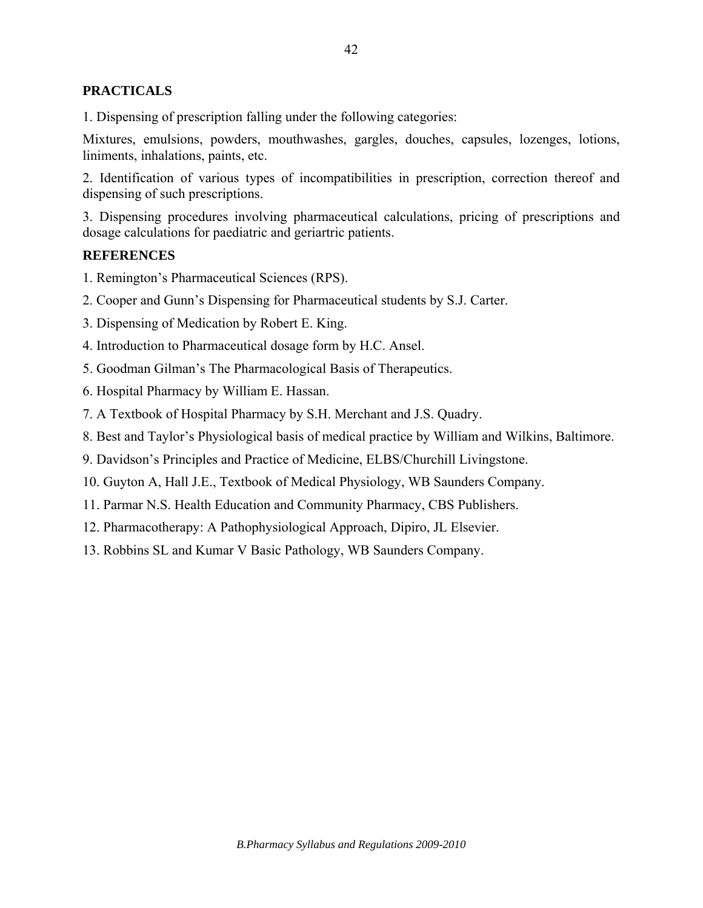## **PRACTICALS**

1. Dispensing of prescription falling under the following categories:

Mixtures, emulsions, powders, mouthwashes, gargles, douches, capsules, lozenges, lotions, liniments, inhalations, paints, etc.

2. Identification of various types of incompatibilities in prescription, correction thereof and dispensing of such prescriptions.

3. Dispensing procedures involving pharmaceutical calculations, pricing of prescriptions and dosage calculations for paediatric and geriartric patients.

## **REFERENCES**

- 1. Remington's Pharmaceutical Sciences (RPS).
- 2. Cooper and Gunn's Dispensing for Pharmaceutical students by S.J. Carter.
- 3. Dispensing of Medication by Robert E. King.
- 4. Introduction to Pharmaceutical dosage form by H.C. Ansel.
- 5. Goodman Gilman's The Pharmacological Basis of Therapeutics.
- 6. Hospital Pharmacy by William E. Hassan.
- 7. A Textbook of Hospital Pharmacy by S.H. Merchant and J.S. Quadry.
- 8. Best and Taylor's Physiological basis of medical practice by William and Wilkins, Baltimore.
- 9. Davidson's Principles and Practice of Medicine, ELBS/Churchill Livingstone.
- 10. Guyton A, Hall J.E., Textbook of Medical Physiology, WB Saunders Company.
- 11. Parmar N.S. Health Education and Community Pharmacy, CBS Publishers.
- 12. Pharmacotherapy: A Pathophysiological Approach, Dipiro, JL Elsevier.
- 13. Robbins SL and Kumar V Basic Pathology, WB Saunders Company.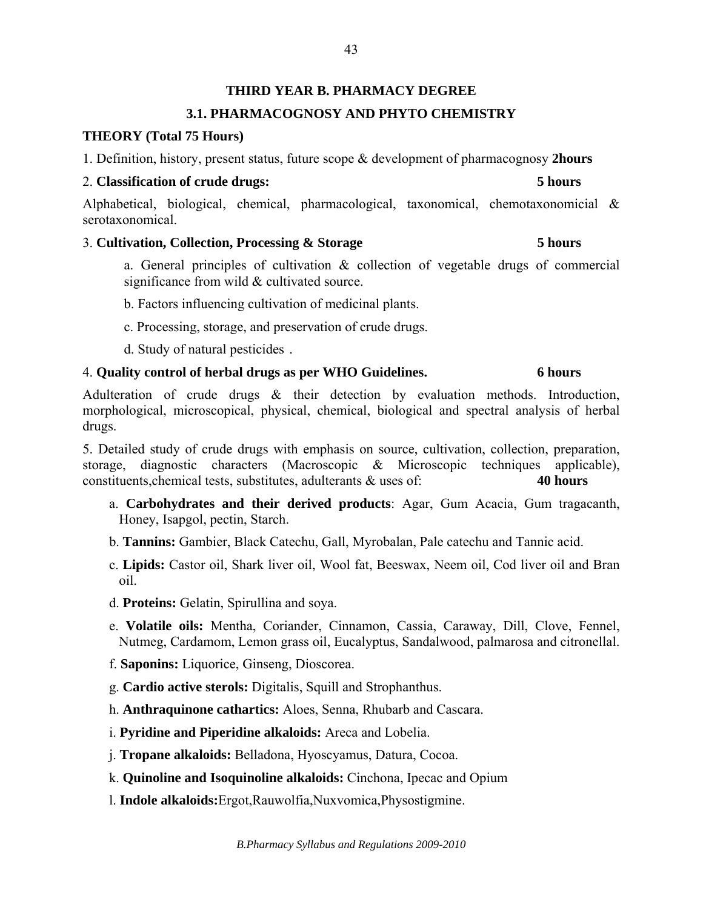# **THIRD YEAR B. PHARMACY DEGREE 3.1. PHARMACOGNOSY AND PHYTO CHEMISTRY**

## **THEORY (Total 75 Hours)**

1. Definition, history, present status, future scope & development of pharmacognosy **2hours** 

## 2. **Classification of crude drugs: 5 hours**

Alphabetical, biological, chemical, pharmacological, taxonomical, chemotaxonomicial & serotaxonomical.

## 3. **Cultivation, Collection, Processing & Storage 5 hours**

a. General principles of cultivation & collection of vegetable drugs of commercial significance from wild & cultivated source.

b. Factors influencing cultivation of medicinal plants.

c. Processing, storage, and preservation of crude drugs.

d. Study of natural pesticides .

# 4. **Quality control of herbal drugs as per WHO Guidelines. 6 hours**

Adulteration of crude drugs & their detection by evaluation methods. Introduction, morphological, microscopical, physical, chemical, biological and spectral analysis of herbal drugs.

5. Detailed study of crude drugs with emphasis on source, cultivation, collection, preparation, storage, diagnostic characters (Macroscopic & Microscopic techniques applicable), constituents,chemical tests, substitutes, adulterants & uses of: **40 hours**

- a. **Carbohydrates and their derived products**: Agar, Gum Acacia, Gum tragacanth, Honey, Isapgol, pectin, Starch.
- b. **Tannins:** Gambier, Black Catechu, Gall, Myrobalan, Pale catechu and Tannic acid.
- c. **Lipids:** Castor oil, Shark liver oil, Wool fat, Beeswax, Neem oil, Cod liver oil and Bran oil.
- d. **Proteins:** Gelatin, Spirullina and soya.
- e. **Volatile oils:** Mentha, Coriander, Cinnamon, Cassia, Caraway, Dill, Clove, Fennel, Nutmeg, Cardamom, Lemon grass oil, Eucalyptus, Sandalwood, palmarosa and citronellal.
- f. **Saponins:** Liquorice, Ginseng, Dioscorea.
- g. **Cardio active sterols:** Digitalis, Squill and Strophanthus.
- h. **Anthraquinone cathartics:** Aloes, Senna, Rhubarb and Cascara.
- i. **Pyridine and Piperidine alkaloids:** Areca and Lobelia.
- j. **Tropane alkaloids:** Belladona, Hyoscyamus, Datura, Cocoa.
- k. **Quinoline and Isoquinoline alkaloids:** Cinchona, Ipecac and Opium
- l. **Indole alkaloids:**Ergot,Rauwolfia,Nuxvomica,Physostigmine.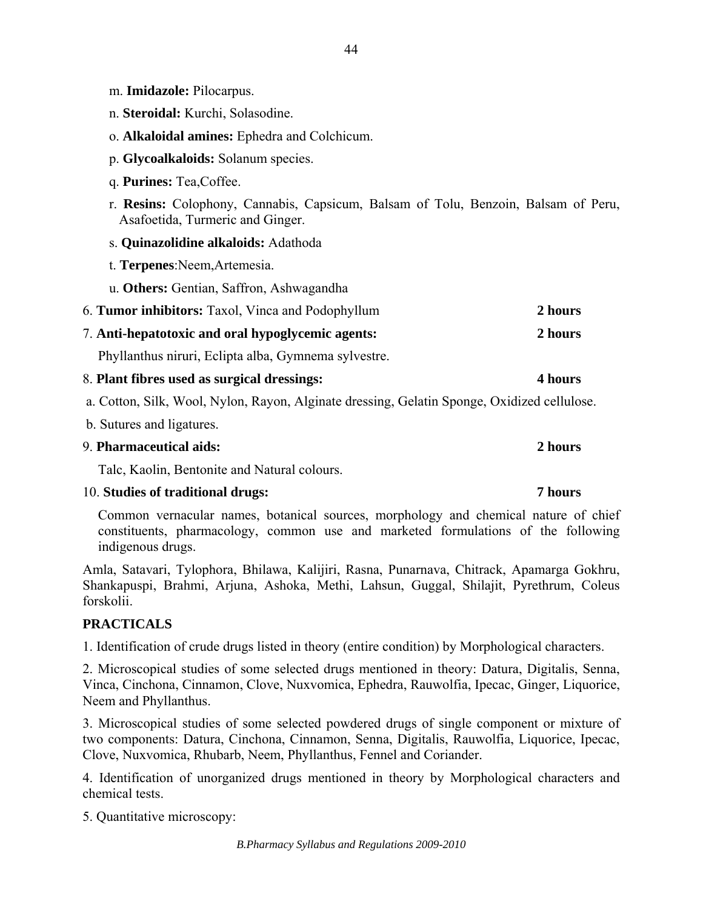- m. **Imidazole:** Pilocarpus.
- n. **Steroidal:** Kurchi, Solasodine.
- o. **Alkaloidal amines:** Ephedra and Colchicum.
- p. **Glycoalkaloids:** Solanum species.
- q. **Purines:** Tea,Coffee.
- r. **Resins:** Colophony, Cannabis, Capsicum, Balsam of Tolu, Benzoin, Balsam of Peru, Asafoetida, Turmeric and Ginger.
- s. **Quinazolidine alkaloids:** Adathoda
- t. **Terpenes**:Neem,Artemesia.
- u. **Others:** Gentian, Saffron, Ashwagandha

| 6. Tumor inhibitors: Taxol, Vinca and Podophyllum |  | 2 hours |
|---------------------------------------------------|--|---------|
|---------------------------------------------------|--|---------|

7. **Anti-hepatotoxic and oral hypoglycemic agents: 2 hours** 

Phyllanthus niruri, Eclipta alba, Gymnema sylvestre.

- 8. **Plant fibres used as surgical dressings: 4 hours**
- a. Cotton, Silk, Wool, Nylon, Rayon, Alginate dressing, Gelatin Sponge, Oxidized cellulose.
- b. Sutures and ligatures.

### 9. **Pharmaceutical aids: 2 hours**

Talc, Kaolin, Bentonite and Natural colours.

## 10. **Studies of traditional drugs: 7 hours**

Common vernacular names, botanical sources, morphology and chemical nature of chief constituents, pharmacology, common use and marketed formulations of the following indigenous drugs.

Amla, Satavari, Tylophora, Bhilawa, Kalijiri, Rasna, Punarnava, Chitrack, Apamarga Gokhru, Shankapuspi, Brahmi, Arjuna, Ashoka, Methi, Lahsun, Guggal, Shilajit, Pyrethrum, Coleus forskolii.

# **PRACTICALS**

1. Identification of crude drugs listed in theory (entire condition) by Morphological characters.

2. Microscopical studies of some selected drugs mentioned in theory: Datura, Digitalis, Senna, Vinca, Cinchona, Cinnamon, Clove, Nuxvomica, Ephedra, Rauwolfia, Ipecac, Ginger, Liquorice, Neem and Phyllanthus.

3. Microscopical studies of some selected powdered drugs of single component or mixture of two components: Datura, Cinchona, Cinnamon, Senna, Digitalis, Rauwolfia, Liquorice, Ipecac, Clove, Nuxvomica, Rhubarb, Neem, Phyllanthus, Fennel and Coriander.

4. Identification of unorganized drugs mentioned in theory by Morphological characters and chemical tests.

5. Quantitative microscopy: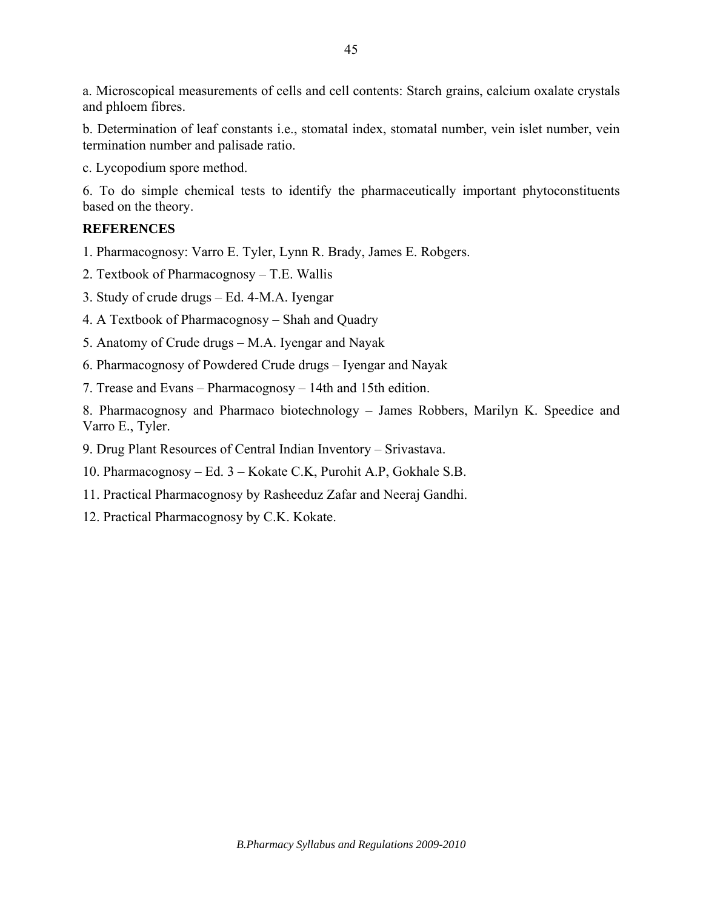a. Microscopical measurements of cells and cell contents: Starch grains, calcium oxalate crystals and phloem fibres.

b. Determination of leaf constants i.e., stomatal index, stomatal number, vein islet number, vein termination number and palisade ratio.

c. Lycopodium spore method.

6. To do simple chemical tests to identify the pharmaceutically important phytoconstituents based on the theory.

# **REFERENCES**

- 1. Pharmacognosy: Varro E. Tyler, Lynn R. Brady, James E. Robgers.
- 2. Textbook of Pharmacognosy T.E. Wallis
- 3. Study of crude drugs Ed. 4-M.A. Iyengar
- 4. A Textbook of Pharmacognosy Shah and Quadry
- 5. Anatomy of Crude drugs M.A. Iyengar and Nayak
- 6. Pharmacognosy of Powdered Crude drugs Iyengar and Nayak
- 7. Trease and Evans Pharmacognosy 14th and 15th edition.

8. Pharmacognosy and Pharmaco biotechnology – James Robbers, Marilyn K. Speedice and Varro E., Tyler.

- 9. Drug Plant Resources of Central Indian Inventory Srivastava.
- 10. Pharmacognosy Ed. 3 Kokate C.K, Purohit A.P, Gokhale S.B.
- 11. Practical Pharmacognosy by Rasheeduz Zafar and Neeraj Gandhi.
- 12. Practical Pharmacognosy by C.K. Kokate.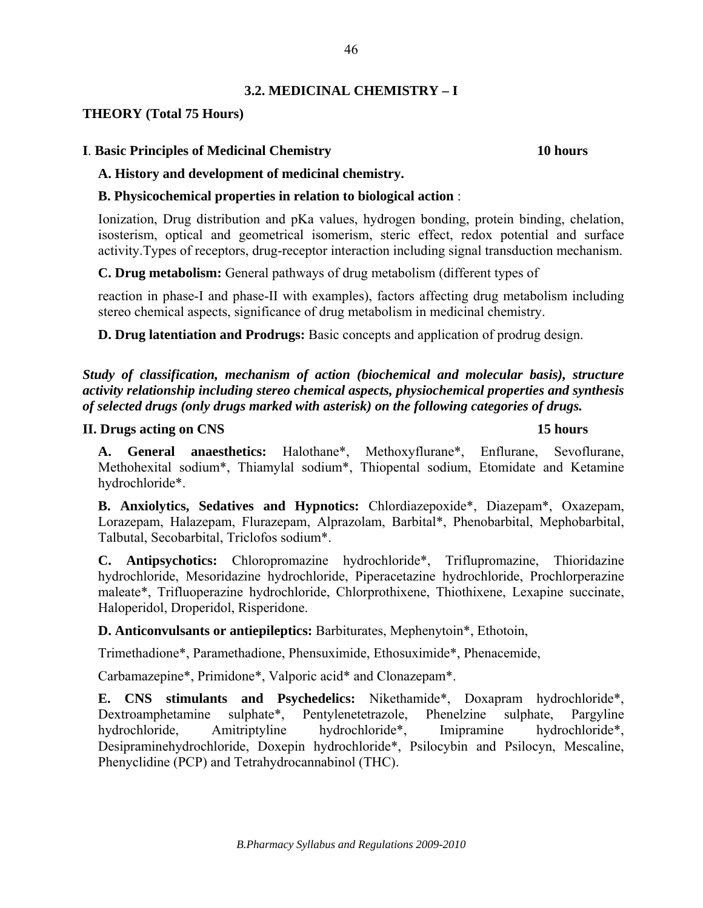# **3.2. MEDICINAL CHEMISTRY – I**

## **THEORY (Total 75 Hours)**

## **I**. **Basic Principles of Medicinal Chemistry 10 hours**

## **A. History and development of medicinal chemistry.**

## **B. Physicochemical properties in relation to biological action** :

Ionization, Drug distribution and pKa values, hydrogen bonding, protein binding, chelation, isosterism, optical and geometrical isomerism, steric effect, redox potential and surface activity.Types of receptors, drug-receptor interaction including signal transduction mechanism.

**C. Drug metabolism:** General pathways of drug metabolism (different types of

reaction in phase-I and phase-II with examples), factors affecting drug metabolism including stereo chemical aspects, significance of drug metabolism in medicinal chemistry.

**D. Drug latentiation and Prodrugs:** Basic concepts and application of prodrug design.

*Study of classification, mechanism of action (biochemical and molecular basis), structure activity relationship including stereo chemical aspects, physiochemical properties and synthesis of selected drugs (only drugs marked with asterisk) on the following categories of drugs.* 

## **II. Drugs acting on CNS 15 hours**

**A. General anaesthetics:** Halothane\*, Methoxyflurane\*, Enflurane, Sevoflurane, Methohexital sodium\*, Thiamylal sodium\*, Thiopental sodium, Etomidate and Ketamine hydrochloride\*.

**B. Anxiolytics, Sedatives and Hypnotics:** Chlordiazepoxide\*, Diazepam\*, Oxazepam, Lorazepam, Halazepam, Flurazepam, Alprazolam, Barbital\*, Phenobarbital, Mephobarbital, Talbutal, Secobarbital, Triclofos sodium\*.

**C. Antipsychotics:** Chloropromazine hydrochloride\*, Triflupromazine, Thioridazine hydrochloride, Mesoridazine hydrochloride, Piperacetazine hydrochloride, Prochlorperazine maleate\*, Trifluoperazine hydrochloride, Chlorprothixene, Thiothixene, Lexapine succinate, Haloperidol, Droperidol, Risperidone.

**D. Anticonvulsants or antiepileptics:** Barbiturates, Mephenytoin\*, Ethotoin,

Trimethadione\*, Paramethadione, Phensuximide, Ethosuximide\*, Phenacemide,

Carbamazepine\*, Primidone\*, Valporic acid\* and Clonazepam\*.

**E. CNS stimulants and Psychedelics:** Nikethamide\*, Doxapram hydrochloride\*, Dextroamphetamine sulphate\*, Pentylenetetrazole, Phenelzine sulphate, Pargyline hydrochloride, Amitriptyline hydrochloride\*, Imipramine hydrochloride\*, Desipraminehydrochloride, Doxepin hydrochloride\*, Psilocybin and Psilocyn, Mescaline, Phenyclidine (PCP) and Tetrahydrocannabinol (THC).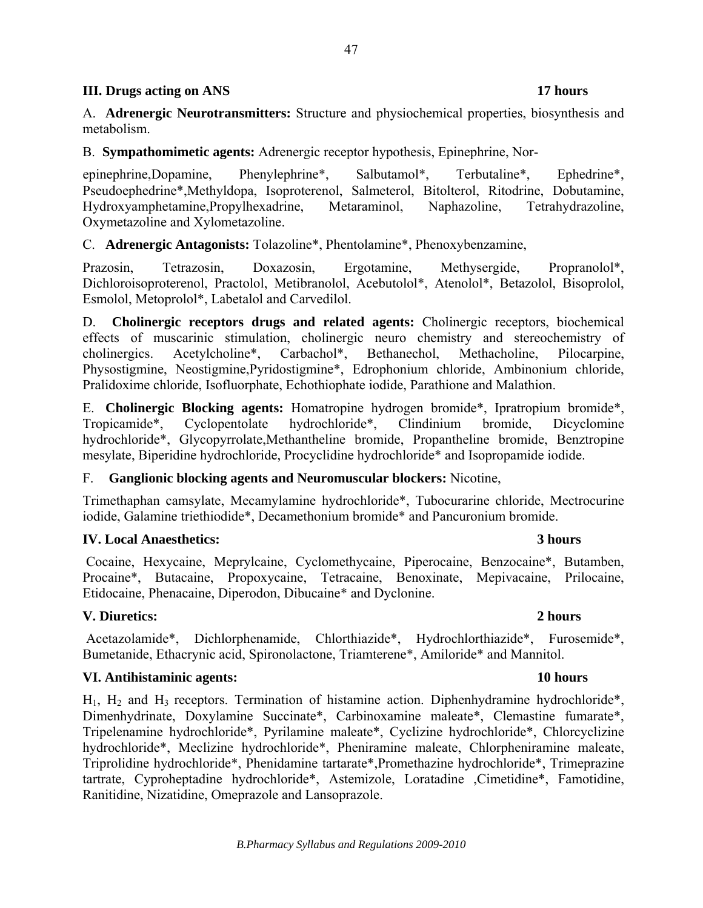## **III.** Drugs acting on ANS 17 hours **17** hours

A. **Adrenergic Neurotransmitters:** Structure and physiochemical properties, biosynthesis and metabolism.

B. **Sympathomimetic agents:** Adrenergic receptor hypothesis, Epinephrine, Nor-

epinephrine,Dopamine, Phenylephrine\*, Salbutamol\*, Terbutaline\*, Ephedrine\*, Pseudoephedrine\*,Methyldopa, Isoproterenol, Salmeterol, Bitolterol, Ritodrine, Dobutamine, Hydroxyamphetamine,Propylhexadrine, Metaraminol, Naphazoline, Tetrahydrazoline, Oxymetazoline and Xylometazoline.

C. **Adrenergic Antagonists:** Tolazoline\*, Phentolamine\*, Phenoxybenzamine,

Prazosin, Tetrazosin, Doxazosin, Ergotamine, Methysergide, Propranolol\*, Dichloroisoproterenol, Practolol, Metibranolol, Acebutolol\*, Atenolol\*, Betazolol, Bisoprolol, Esmolol, Metoprolol\*, Labetalol and Carvedilol.

D. **Cholinergic receptors drugs and related agents:** Cholinergic receptors, biochemical effects of muscarinic stimulation, cholinergic neuro chemistry and stereochemistry of cholinergics. Acetylcholine\*, Carbachol\*, Bethanechol, Methacholine, Pilocarpine, Physostigmine, Neostigmine,Pyridostigmine\*, Edrophonium chloride, Ambinonium chloride, Pralidoxime chloride, Isofluorphate, Echothiophate iodide, Parathione and Malathion.

E. **Cholinergic Blocking agents:** Homatropine hydrogen bromide\*, Ipratropium bromide\*, Tropicamide\*, Cyclopentolate hydrochloride\*, Clindinium bromide, Dicyclomine hydrochloride\*, Glycopyrrolate,Methantheline bromide, Propantheline bromide, Benztropine mesylate, Biperidine hydrochloride, Procyclidine hydrochloride\* and Isopropamide iodide.

## F. **Ganglionic blocking agents and Neuromuscular blockers:** Nicotine,

Trimethaphan camsylate, Mecamylamine hydrochloride\*, Tubocurarine chloride, Mectrocurine iodide, Galamine triethiodide\*, Decamethonium bromide\* and Pancuronium bromide.

# **IV. Local Anaesthetics: 3 hours**

Cocaine, Hexycaine, Meprylcaine, Cyclomethycaine, Piperocaine, Benzocaine\*, Butamben, Procaine\*, Butacaine, Propoxycaine, Tetracaine, Benoxinate, Mepivacaine, Prilocaine, Etidocaine, Phenacaine, Diperodon, Dibucaine\* and Dyclonine.

# **V. Diuretics: 2 hours**

 Acetazolamide\*, Dichlorphenamide, Chlorthiazide\*, Hydrochlorthiazide\*, Furosemide\*, Bumetanide, Ethacrynic acid, Spironolactone, Triamterene\*, Amiloride\* and Mannitol.

## **VI. Antihistaminic agents: 10 hours**

 $H_1$ ,  $H_2$  and  $H_3$  receptors. Termination of histamine action. Diphenhydramine hydrochloride\*, Dimenhydrinate, Doxylamine Succinate\*, Carbinoxamine maleate\*, Clemastine fumarate\*, Tripelenamine hydrochloride\*, Pyrilamine maleate\*, Cyclizine hydrochloride\*, Chlorcyclizine hydrochloride\*, Meclizine hydrochloride\*, Pheniramine maleate, Chlorpheniramine maleate, Triprolidine hydrochloride\*, Phenidamine tartarate\*,Promethazine hydrochloride\*, Trimeprazine tartrate, Cyproheptadine hydrochloride\*, Astemizole, Loratadine ,Cimetidine\*, Famotidine, Ranitidine, Nizatidine, Omeprazole and Lansoprazole.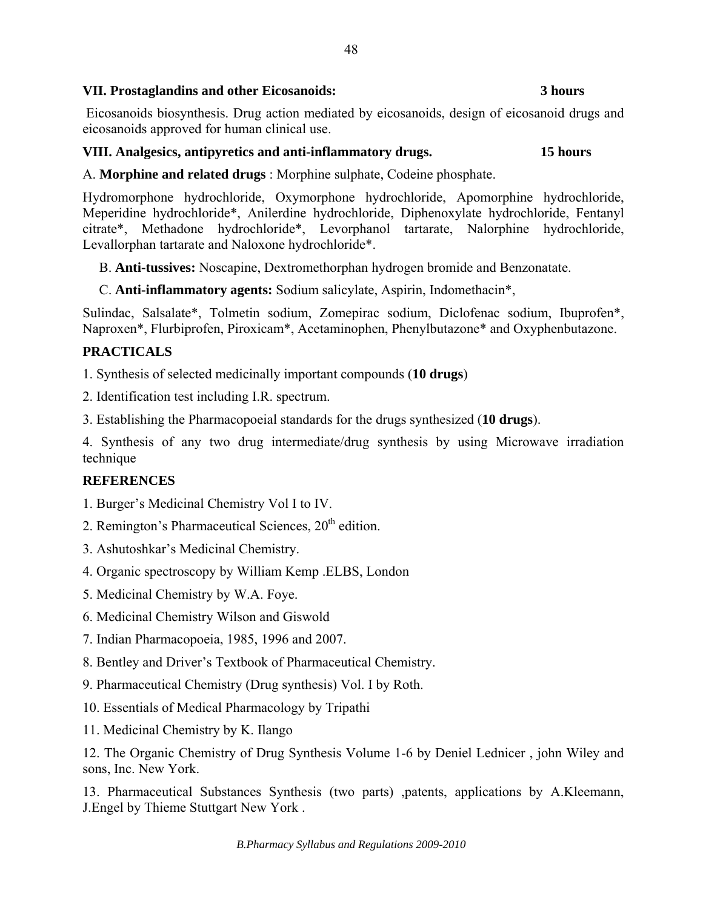# **VII. Prostaglandins and other Eicosanoids: 3 hours**

 Eicosanoids biosynthesis. Drug action mediated by eicosanoids, design of eicosanoid drugs and eicosanoids approved for human clinical use.

# **VIII. Analgesics, antipyretics and anti-inflammatory drugs. 15 hours**

A. **Morphine and related drugs** : Morphine sulphate, Codeine phosphate.

Hydromorphone hydrochloride, Oxymorphone hydrochloride, Apomorphine hydrochloride, Meperidine hydrochloride\*, Anilerdine hydrochloride, Diphenoxylate hydrochloride, Fentanyl citrate\*, Methadone hydrochloride\*, Levorphanol tartarate, Nalorphine hydrochloride, Levallorphan tartarate and Naloxone hydrochloride\*.

B. **Anti-tussives:** Noscapine, Dextromethorphan hydrogen bromide and Benzonatate.

C. **Anti-inflammatory agents:** Sodium salicylate, Aspirin, Indomethacin\*,

Sulindac, Salsalate\*, Tolmetin sodium, Zomepirac sodium, Diclofenac sodium, Ibuprofen\*, Naproxen\*, Flurbiprofen, Piroxicam\*, Acetaminophen, Phenylbutazone\* and Oxyphenbutazone.

# **PRACTICALS**

1. Synthesis of selected medicinally important compounds (**10 drugs**)

2. Identification test including I.R. spectrum.

3. Establishing the Pharmacopoeial standards for the drugs synthesized (**10 drugs**).

4. Synthesis of any two drug intermediate/drug synthesis by using Microwave irradiation technique

# **REFERENCES**

- 1. Burger's Medicinal Chemistry Vol I to IV.
- 2. Remington's Pharmaceutical Sciences,  $20<sup>th</sup>$  edition.
- 3. Ashutoshkar's Medicinal Chemistry.
- 4. Organic spectroscopy by William Kemp .ELBS, London
- 5. Medicinal Chemistry by W.A. Foye.
- 6. Medicinal Chemistry Wilson and Giswold
- 7. Indian Pharmacopoeia, 1985, 1996 and 2007.
- 8. Bentley and Driver's Textbook of Pharmaceutical Chemistry.
- 9. Pharmaceutical Chemistry (Drug synthesis) Vol. I by Roth.
- 10. Essentials of Medical Pharmacology by Tripathi
- 11. Medicinal Chemistry by K. Ilango

12. The Organic Chemistry of Drug Synthesis Volume 1-6 by Deniel Lednicer , john Wiley and sons, Inc. New York.

13. Pharmaceutical Substances Synthesis (two parts) ,patents, applications by A.Kleemann, J.Engel by Thieme Stuttgart New York .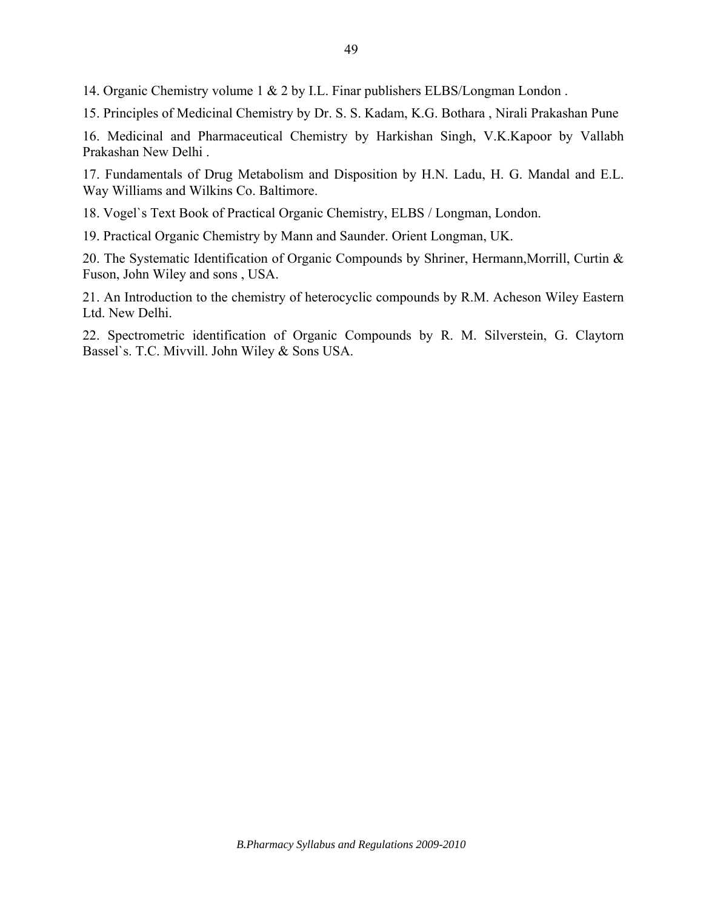14. Organic Chemistry volume 1 & 2 by I.L. Finar publishers ELBS/Longman London .

15. Principles of Medicinal Chemistry by Dr. S. S. Kadam, K.G. Bothara , Nirali Prakashan Pune

16. Medicinal and Pharmaceutical Chemistry by Harkishan Singh, V.K.Kapoor by Vallabh Prakashan New Delhi .

17. Fundamentals of Drug Metabolism and Disposition by H.N. Ladu, H. G. Mandal and E.L. Way Williams and Wilkins Co. Baltimore.

18. Vogel`s Text Book of Practical Organic Chemistry, ELBS / Longman, London.

19. Practical Organic Chemistry by Mann and Saunder. Orient Longman, UK.

20. The Systematic Identification of Organic Compounds by Shriner, Hermann,Morrill, Curtin & Fuson, John Wiley and sons , USA.

21. An Introduction to the chemistry of heterocyclic compounds by R.M. Acheson Wiley Eastern Ltd. New Delhi.

22. Spectrometric identification of Organic Compounds by R. M. Silverstein, G. Claytorn Bassel`s. T.C. Mivvill. John Wiley & Sons USA.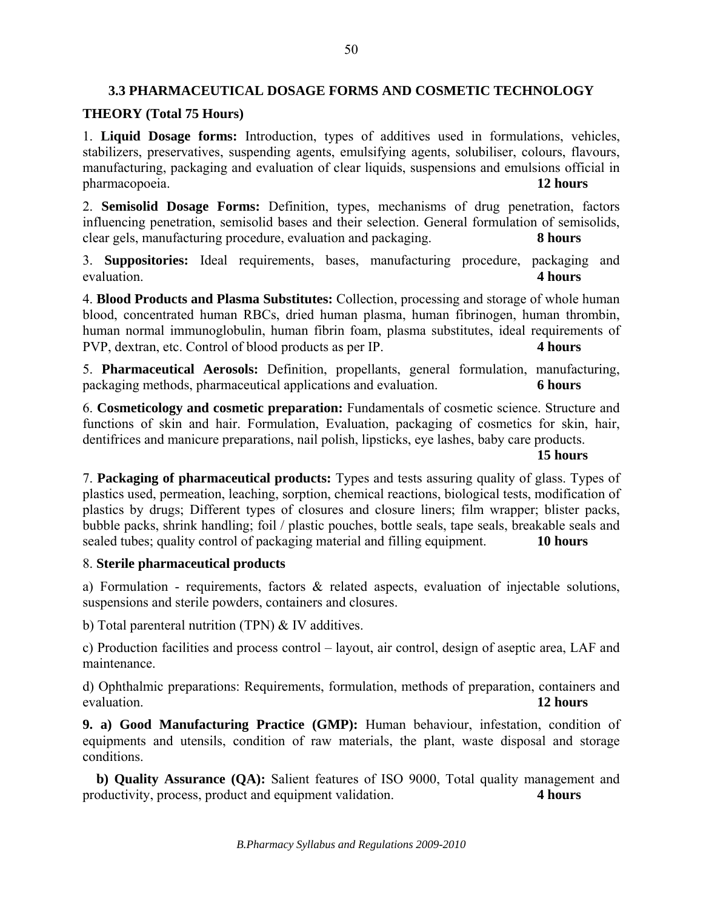## **3.3 PHARMACEUTICAL DOSAGE FORMS AND COSMETIC TECHNOLOGY**

### **THEORY (Total 75 Hours)**

1. **Liquid Dosage forms:** Introduction, types of additives used in formulations, vehicles, stabilizers, preservatives, suspending agents, emulsifying agents, solubiliser, colours, flavours, manufacturing, packaging and evaluation of clear liquids, suspensions and emulsions official in pharmacopoeia. **12 hours**

2. **Semisolid Dosage Forms:** Definition, types, mechanisms of drug penetration, factors influencing penetration, semisolid bases and their selection. General formulation of semisolids, clear gels, manufacturing procedure, evaluation and packaging. **8 hours**

3. **Suppositories:** Ideal requirements, bases, manufacturing procedure, packaging and evaluation. **4 hours** 

4. **Blood Products and Plasma Substitutes:** Collection, processing and storage of whole human blood, concentrated human RBCs, dried human plasma, human fibrinogen, human thrombin, human normal immunoglobulin, human fibrin foam, plasma substitutes, ideal requirements of PVP, dextran, etc. Control of blood products as per IP. **4 hours**

5. **Pharmaceutical Aerosols:** Definition, propellants, general formulation, manufacturing, packaging methods, pharmaceutical applications and evaluation. **6 hours** 

6. **Cosmeticology and cosmetic preparation:** Fundamentals of cosmetic science. Structure and functions of skin and hair. Formulation, Evaluation, packaging of cosmetics for skin, hair, dentifrices and manicure preparations, nail polish, lipsticks, eye lashes, baby care products.

**15 hours**

7. **Packaging of pharmaceutical products:** Types and tests assuring quality of glass. Types of plastics used, permeation, leaching, sorption, chemical reactions, biological tests, modification of plastics by drugs; Different types of closures and closure liners; film wrapper; blister packs, bubble packs, shrink handling; foil / plastic pouches, bottle seals, tape seals, breakable seals and sealed tubes; quality control of packaging material and filling equipment. **10 hours**

## 8. **Sterile pharmaceutical products**

a) Formulation - requirements, factors & related aspects, evaluation of injectable solutions, suspensions and sterile powders, containers and closures.

b) Total parenteral nutrition (TPN) & IV additives.

c) Production facilities and process control – layout, air control, design of aseptic area, LAF and maintenance.

d) Ophthalmic preparations: Requirements, formulation, methods of preparation, containers and evaluation. **12 hours**

**9. a) Good Manufacturing Practice (GMP):** Human behaviour, infestation, condition of equipments and utensils, condition of raw materials, the plant, waste disposal and storage conditions.

 **b) Quality Assurance (QA):** Salient features of ISO 9000, Total quality management and productivity, process, product and equipment validation. **4 hours**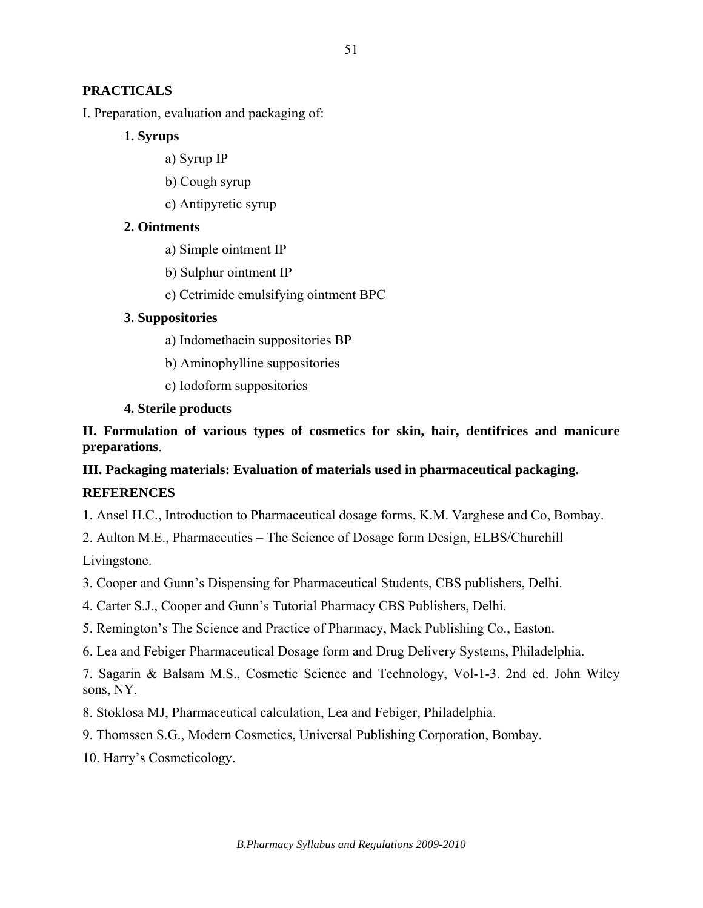# **PRACTICALS**

I. Preparation, evaluation and packaging of:

## **1. Syrups**

- a) Syrup IP
- b) Cough syrup
- c) Antipyretic syrup

# **2. Ointments**

- a) Simple ointment IP
- b) Sulphur ointment IP
- c) Cetrimide emulsifying ointment BPC

# **3. Suppositories**

- a) Indomethacin suppositories BP
- b) Aminophylline suppositories
- c) Iodoform suppositories

# **4. Sterile products**

**II. Formulation of various types of cosmetics for skin, hair, dentifrices and manicure preparations**.

# **III. Packaging materials: Evaluation of materials used in pharmaceutical packaging. REFERENCES**

1. Ansel H.C., Introduction to Pharmaceutical dosage forms, K.M. Varghese and Co, Bombay.

2. Aulton M.E., Pharmaceutics – The Science of Dosage form Design, ELBS/Churchill

Livingstone.

3. Cooper and Gunn's Dispensing for Pharmaceutical Students, CBS publishers, Delhi.

- 4. Carter S.J., Cooper and Gunn's Tutorial Pharmacy CBS Publishers, Delhi.
- 5. Remington's The Science and Practice of Pharmacy, Mack Publishing Co., Easton.
- 6. Lea and Febiger Pharmaceutical Dosage form and Drug Delivery Systems, Philadelphia.

7. Sagarin & Balsam M.S., Cosmetic Science and Technology, Vol-1-3. 2nd ed. John Wiley sons, NY.

8. Stoklosa MJ, Pharmaceutical calculation, Lea and Febiger, Philadelphia.

9. Thomssen S.G., Modern Cosmetics, Universal Publishing Corporation, Bombay.

10. Harry's Cosmeticology.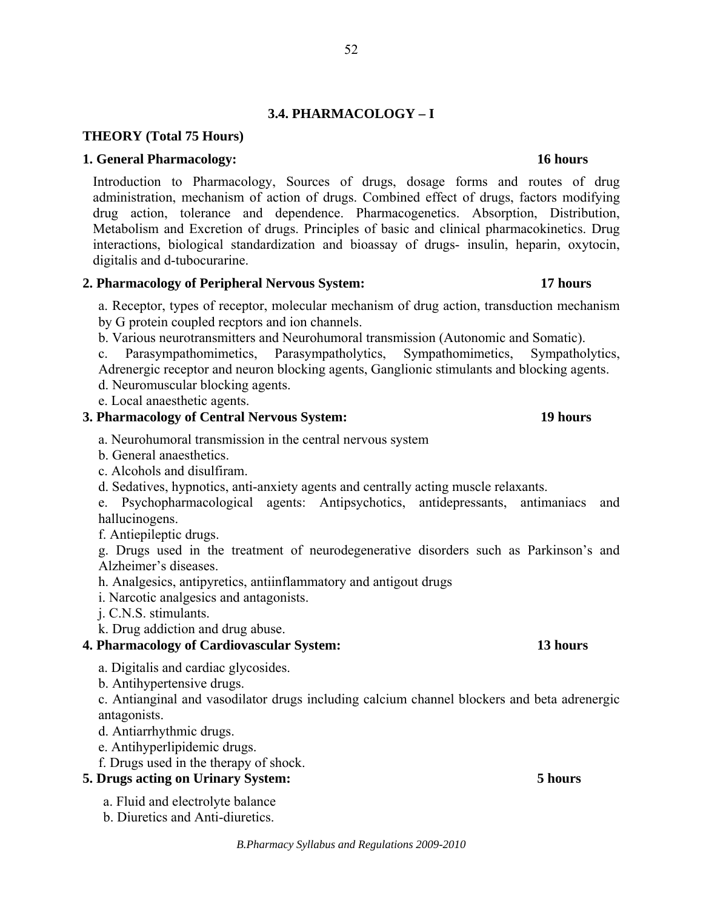# **3.4. PHARMACOLOGY – I**

## **THEORY (Total 75 Hours)**

### **1. General Pharmacology: 16 hours**

Introduction to Pharmacology, Sources of drugs, dosage forms and routes of drug administration, mechanism of action of drugs. Combined effect of drugs, factors modifying drug action, tolerance and dependence. Pharmacogenetics. Absorption, Distribution, Metabolism and Excretion of drugs. Principles of basic and clinical pharmacokinetics. Drug interactions, biological standardization and bioassay of drugs- insulin, heparin, oxytocin, digitalis and d-tubocurarine.

### **2. Pharmacology of Peripheral Nervous System: 17 hours**

a. Receptor, types of receptor, molecular mechanism of drug action, transduction mechanism by G protein coupled recptors and ion channels.

- b. Various neurotransmitters and Neurohumoral transmission (Autonomic and Somatic).
- c. Parasympathomimetics, Parasympatholytics, Sympathomimetics, Sympatholytics, Adrenergic receptor and neuron blocking agents, Ganglionic stimulants and blocking agents.
- d. Neuromuscular blocking agents.
- e. Local anaesthetic agents.

## **3. Pharmacology of Central Nervous System: 19 hours**

- a. Neurohumoral transmission in the central nervous system
- b. General anaesthetics.
- c. Alcohols and disulfiram.
- d. Sedatives, hypnotics, anti-anxiety agents and centrally acting muscle relaxants.

e. Psychopharmacological agents: Antipsychotics, antidepressants, antimaniacs and hallucinogens.

f. Antiepileptic drugs.

g. Drugs used in the treatment of neurodegenerative disorders such as Parkinson's and Alzheimer's diseases.

h. Analgesics, antipyretics, antiinflammatory and antigout drugs

i. Narcotic analgesics and antagonists.

j. C.N.S. stimulants.

k. Drug addiction and drug abuse.

## **4. Pharmacology of Cardiovascular System: 13 hours**

- a. Digitalis and cardiac glycosides.
- b. Antihypertensive drugs.

c. Antianginal and vasodilator drugs including calcium channel blockers and beta adrenergic antagonists.

- d. Antiarrhythmic drugs.
- e. Antihyperlipidemic drugs.
- f. Drugs used in the therapy of shock.

# **5. Drugs acting on Urinary System: 5 hours**

a. Fluid and electrolyte balance

b. Diuretics and Anti-diuretics.

### *B.Pharmacy Syllabus and Regulations 2009-2010*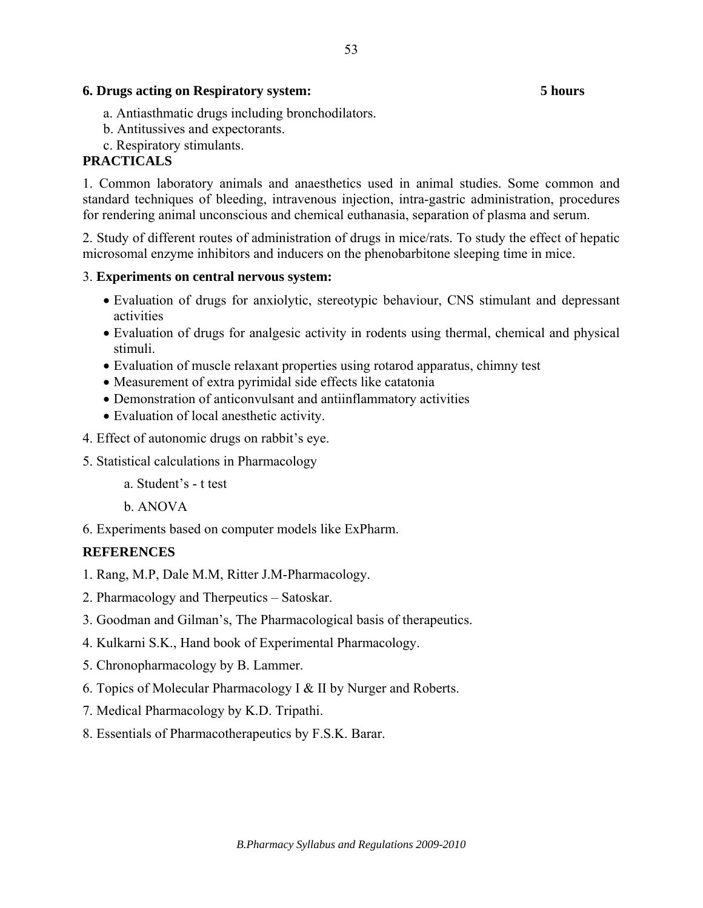### **6. Drugs acting on Respiratory system: 5 hours**

- a. Antiasthmatic drugs including bronchodilators.
- b. Antitussives and expectorants.
- c. Respiratory stimulants.

# **PRACTICALS**

1. Common laboratory animals and anaesthetics used in animal studies. Some common and standard techniques of bleeding, intravenous injection, intra-gastric administration, procedures for rendering animal unconscious and chemical euthanasia, separation of plasma and serum.

2. Study of different routes of administration of drugs in mice/rats. To study the effect of hepatic microsomal enzyme inhibitors and inducers on the phenobarbitone sleeping time in mice.

## 3. **Experiments on central nervous system:**

- Evaluation of drugs for anxiolytic, stereotypic behaviour, CNS stimulant and depressant activities
- Evaluation of drugs for analgesic activity in rodents using thermal, chemical and physical stimuli.
- Evaluation of muscle relaxant properties using rotarod apparatus, chimny test
- Measurement of extra pyrimidal side effects like catatonia
- Demonstration of anticonvulsant and antiinflammatory activities
- Evaluation of local anesthetic activity.
- 4. Effect of autonomic drugs on rabbit's eye.
- 5. Statistical calculations in Pharmacology
	- a. Student's t test
	- b. ANOVA
- 6. Experiments based on computer models like ExPharm.

# **REFERENCES**

- 1. Rang, M.P, Dale M.M, Ritter J.M-Pharmacology.
- 2. Pharmacology and Therpeutics Satoskar.
- 3. Goodman and Gilman's, The Pharmacological basis of therapeutics.
- 4. Kulkarni S.K., Hand book of Experimental Pharmacology.
- 5. Chronopharmacology by B. Lammer.
- 6. Topics of Molecular Pharmacology I & II by Nurger and Roberts.
- 7. Medical Pharmacology by K.D. Tripathi.
- 8. Essentials of Pharmacotherapeutics by F.S.K. Barar.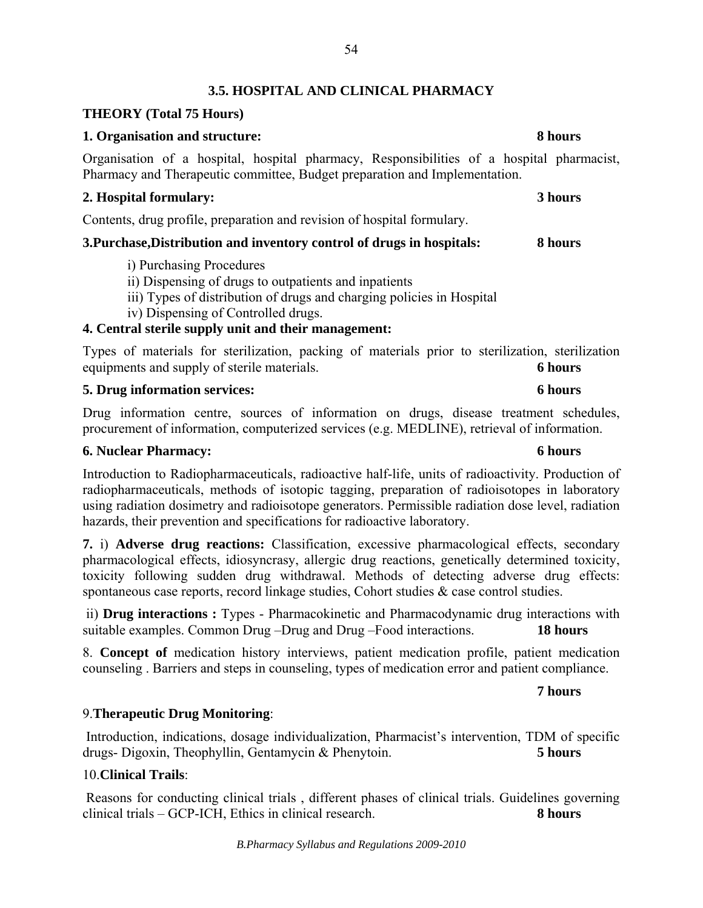# **3.5. HOSPITAL AND CLINICAL PHARMACY**

# **THEORY (Total 75 Hours)**

## **1. Organisation and structure: 8 hours**

Organisation of a hospital, hospital pharmacy, Responsibilities of a hospital pharmacist, Pharmacy and Therapeutic committee, Budget preparation and Implementation.

## **2. Hospital formulary: 3 hours**

Contents, drug profile, preparation and revision of hospital formulary.

# **3.Purchase,Distribution and inventory control of drugs in hospitals: 8 hours**

- i) Purchasing Procedures
- ii) Dispensing of drugs to outpatients and inpatients
- iii) Types of distribution of drugs and charging policies in Hospital
- iv) Dispensing of Controlled drugs.

# **4. Central sterile supply unit and their management:**

Types of materials for sterilization, packing of materials prior to sterilization, sterilization equipments and supply of sterile materials. **6 hours** 

# **5. Drug information services: 6 hours**

Drug information centre, sources of information on drugs, disease treatment schedules, procurement of information, computerized services (e.g. MEDLINE), retrieval of information.

# **6. Nuclear Pharmacy: 6 hours**

Introduction to Radiopharmaceuticals, radioactive half-life, units of radioactivity. Production of radiopharmaceuticals, methods of isotopic tagging, preparation of radioisotopes in laboratory using radiation dosimetry and radioisotope generators. Permissible radiation dose level, radiation hazards, their prevention and specifications for radioactive laboratory.

**7.** i) **Adverse drug reactions:** Classification, excessive pharmacological effects, secondary pharmacological effects, idiosyncrasy, allergic drug reactions, genetically determined toxicity, toxicity following sudden drug withdrawal. Methods of detecting adverse drug effects: spontaneous case reports, record linkage studies, Cohort studies & case control studies.

 ii) **Drug interactions :** Types - Pharmacokinetic and Pharmacodynamic drug interactions with suitable examples. Common Drug –Drug and Drug –Food interactions. **18 hours**

8. **Concept of** medication history interviews, patient medication profile, patient medication counseling . Barriers and steps in counseling, types of medication error and patient compliance.

# **7 hours**

# 9.**Therapeutic Drug Monitoring**:

 Introduction, indications, dosage individualization, Pharmacist's intervention, TDM of specific drugs- Digoxin, Theophyllin, Gentamycin & Phenytoin. **5 hours** 

# 10.**Clinical Trails**:

 Reasons for conducting clinical trials , different phases of clinical trials. Guidelines governing clinical trials – GCP-ICH, Ethics in clinical research. **8 hours**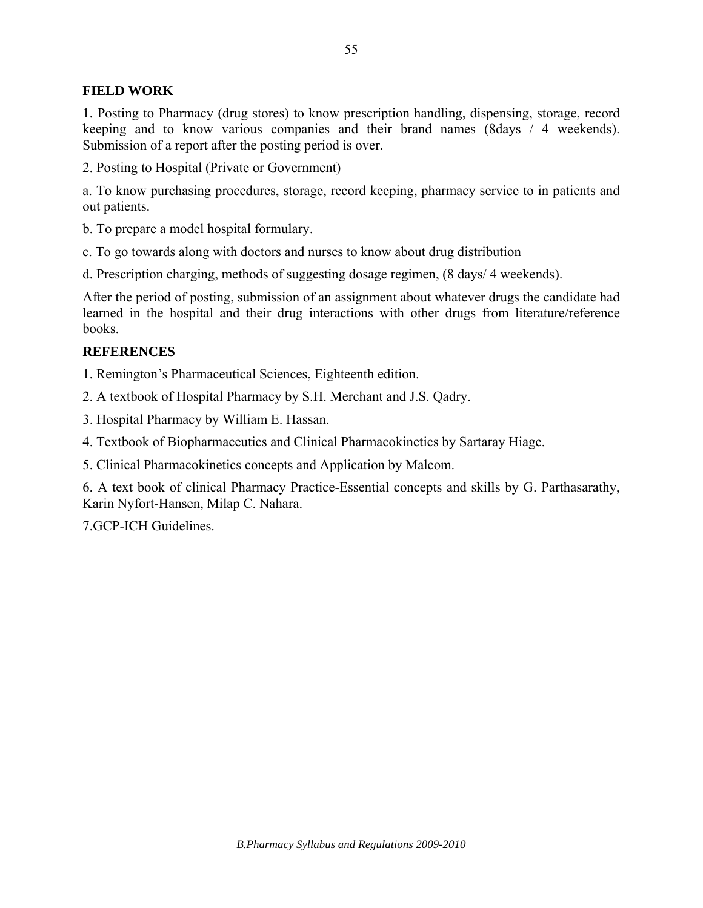## **FIELD WORK**

1. Posting to Pharmacy (drug stores) to know prescription handling, dispensing, storage, record keeping and to know various companies and their brand names (8days / 4 weekends). Submission of a report after the posting period is over.

2. Posting to Hospital (Private or Government)

a. To know purchasing procedures, storage, record keeping, pharmacy service to in patients and out patients.

b. To prepare a model hospital formulary.

c. To go towards along with doctors and nurses to know about drug distribution

d. Prescription charging, methods of suggesting dosage regimen, (8 days/ 4 weekends).

After the period of posting, submission of an assignment about whatever drugs the candidate had learned in the hospital and their drug interactions with other drugs from literature/reference books.

### **REFERENCES**

1. Remington's Pharmaceutical Sciences, Eighteenth edition.

2. A textbook of Hospital Pharmacy by S.H. Merchant and J.S. Qadry.

3. Hospital Pharmacy by William E. Hassan.

4. Textbook of Biopharmaceutics and Clinical Pharmacokinetics by Sartaray Hiage.

5. Clinical Pharmacokinetics concepts and Application by Malcom.

6. A text book of clinical Pharmacy Practice-Essential concepts and skills by G. Parthasarathy, Karin Nyfort-Hansen, Milap C. Nahara.

7.GCP-ICH Guidelines.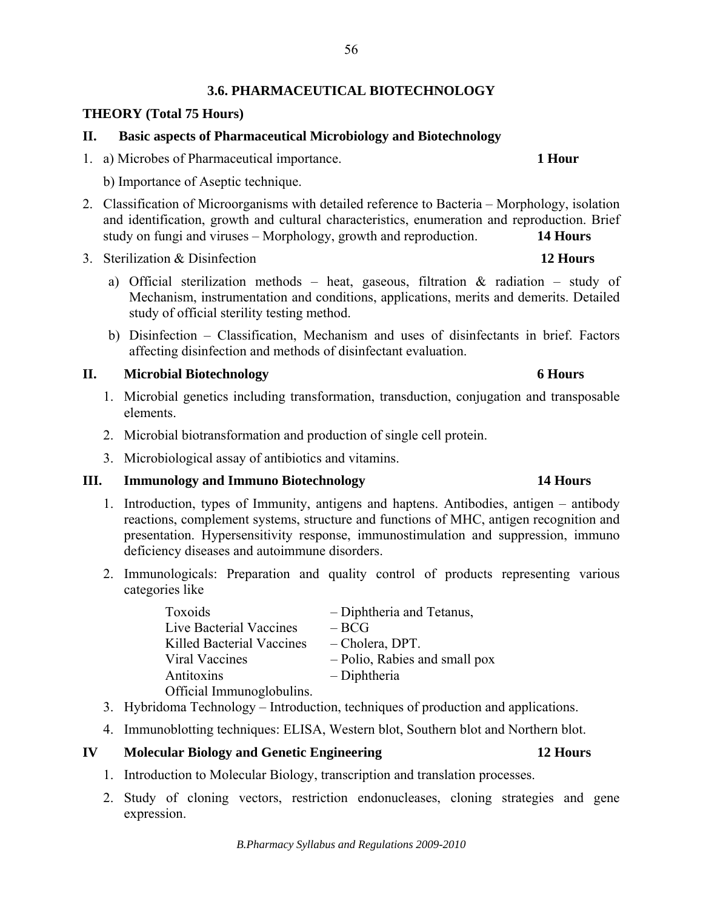# **3.6. PHARMACEUTICAL BIOTECHNOLOGY**

# **THEORY (Total 75 Hours)**

## **II. Basic aspects of Pharmaceutical Microbiology and Biotechnology**

- 1. a) Microbes of Pharmaceutical importance. **1 Hour**
	- b) Importance of Aseptic technique.
- 2. Classification of Microorganisms with detailed reference to Bacteria Morphology, isolation and identification, growth and cultural characteristics, enumeration and reproduction. Brief study on fungi and viruses – Morphology, growth and reproduction. **14 Hours**
- 3. Sterilization & Disinfection **12 Hours**
	- a) Official sterilization methods heat, gaseous, filtration  $\&$  radiation study of Mechanism, instrumentation and conditions, applications, merits and demerits. Detailed study of official sterility testing method.
	- b) Disinfection Classification, Mechanism and uses of disinfectants in brief. Factors affecting disinfection and methods of disinfectant evaluation.

# **II. Microbial Biotechnology 6 Hours**

- 1. Microbial genetics including transformation, transduction, conjugation and transposable elements.
- 2. Microbial biotransformation and production of single cell protein.
- 3. Microbiological assay of antibiotics and vitamins.

# **III. Immunology and Immuno Biotechnology 14 Hours**

- 1. Introduction, types of Immunity, antigens and haptens. Antibodies, antigen antibody reactions, complement systems, structure and functions of MHC, antigen recognition and presentation. Hypersensitivity response, immunostimulation and suppression, immuno deficiency diseases and autoimmune disorders.
- 2. Immunologicals: Preparation and quality control of products representing various categories like

| Toxoids                   | - Diphtheria and Tetanus,     |
|---------------------------|-------------------------------|
| Live Bacterial Vaccines   | $-BCG$                        |
| Killed Bacterial Vaccines | - Cholera, DPT.               |
| Viral Vaccines            | - Polio, Rabies and small pox |
| Antitoxins                | - Diphtheria                  |
| Official Immunoglobulins. |                               |

- 3. Hybridoma Technology Introduction, techniques of production and applications.
- 4. Immunoblotting techniques: ELISA, Western blot, Southern blot and Northern blot.

# **IV Molecular Biology and Genetic Engineering 12 Hours**

- 1. Introduction to Molecular Biology, transcription and translation processes.
- 2. Study of cloning vectors, restriction endonucleases, cloning strategies and gene expression.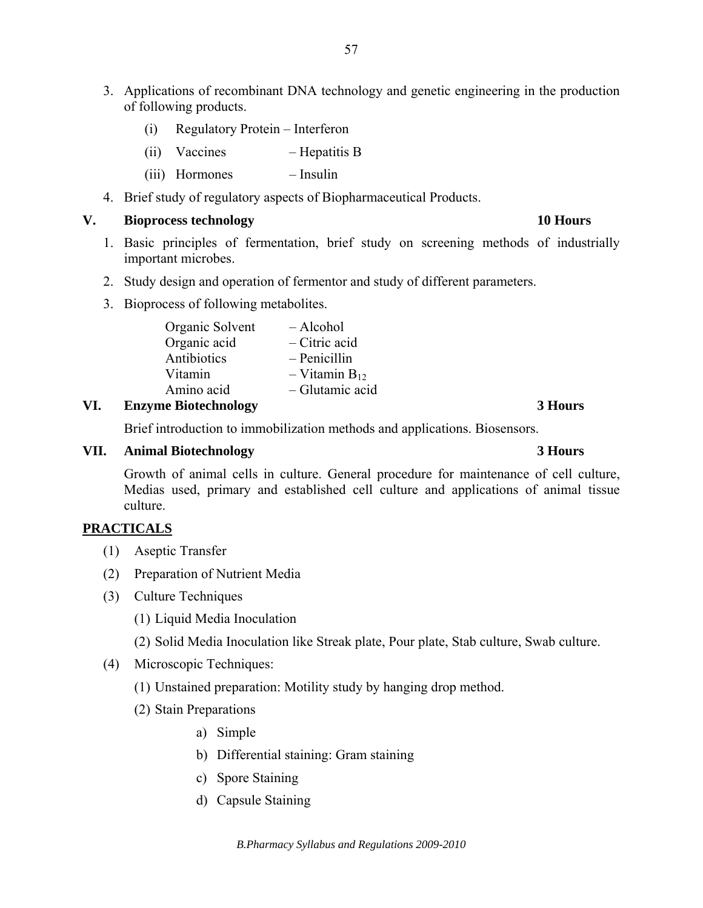- 3. Applications of recombinant DNA technology and genetic engineering in the production of following products.
	- (i) Regulatory Protein Interferon
	- (ii) Vaccines Hepatitis B
	- (iii) Hormones Insulin
- 4. Brief study of regulatory aspects of Biopharmaceutical Products.

### **V. Bioprocess technology 10 Hours**

- 1. Basic principles of fermentation, brief study on screening methods of industrially important microbes.
- 2. Study design and operation of fermentor and study of different parameters.
- 3. Bioprocess of following metabolites.

| Organic Solvent | - Alcohol            |
|-----------------|----------------------|
| Organic acid    | $-$ Citric acid      |
| Antibiotics     | $-$ Penicillin       |
| Vitamin         | $-$ Vitamin $B_{12}$ |
| Amino acid      | - Glutamic acid      |

## **VI. Enzyme Biotechnology 3 Hours**

Brief introduction to immobilization methods and applications. Biosensors.

### **VII. Animal Biotechnology 3 Hours**

## Growth of animal cells in culture. General procedure for maintenance of cell culture, Medias used, primary and established cell culture and applications of animal tissue culture.

## **PRACTICALS**

- (1) Aseptic Transfer
- (2) Preparation of Nutrient Media
- (3) Culture Techniques
	- (1) Liquid Media Inoculation
	- (2) Solid Media Inoculation like Streak plate, Pour plate, Stab culture, Swab culture.
- (4) Microscopic Techniques:
	- (1) Unstained preparation: Motility study by hanging drop method.
	- (2) Stain Preparations
		- a) Simple
		- b) Differential staining: Gram staining
		- c) Spore Staining
		- d) Capsule Staining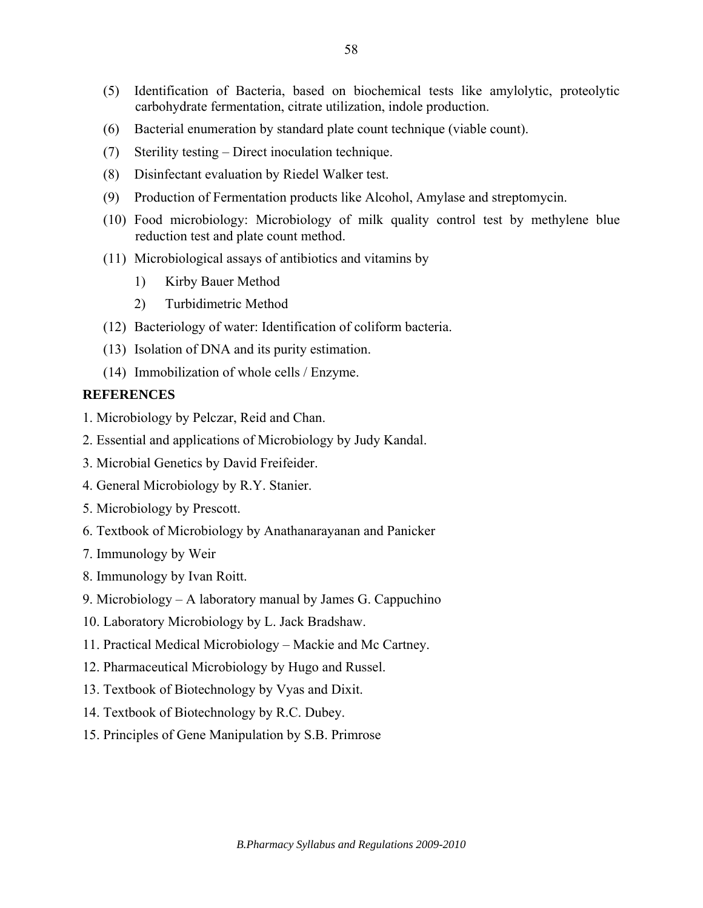- (5) Identification of Bacteria, based on biochemical tests like amylolytic, proteolytic carbohydrate fermentation, citrate utilization, indole production.
- (6) Bacterial enumeration by standard plate count technique (viable count).
- (7) Sterility testing Direct inoculation technique.
- (8) Disinfectant evaluation by Riedel Walker test.
- (9) Production of Fermentation products like Alcohol, Amylase and streptomycin.
- (10) Food microbiology: Microbiology of milk quality control test by methylene blue reduction test and plate count method.
- (11) Microbiological assays of antibiotics and vitamins by
	- 1) Kirby Bauer Method
	- 2) Turbidimetric Method
- (12) Bacteriology of water: Identification of coliform bacteria.
- (13) Isolation of DNA and its purity estimation.
- (14) Immobilization of whole cells / Enzyme.

## **REFERENCES**

- 1. Microbiology by Pelczar, Reid and Chan.
- 2. Essential and applications of Microbiology by Judy Kandal.
- 3. Microbial Genetics by David Freifeider.
- 4. General Microbiology by R.Y. Stanier.
- 5. Microbiology by Prescott.
- 6. Textbook of Microbiology by Anathanarayanan and Panicker
- 7. Immunology by Weir
- 8. Immunology by Ivan Roitt.
- 9. Microbiology A laboratory manual by James G. Cappuchino
- 10. Laboratory Microbiology by L. Jack Bradshaw.
- 11. Practical Medical Microbiology Mackie and Mc Cartney.
- 12. Pharmaceutical Microbiology by Hugo and Russel.
- 13. Textbook of Biotechnology by Vyas and Dixit.
- 14. Textbook of Biotechnology by R.C. Dubey.
- 15. Principles of Gene Manipulation by S.B. Primrose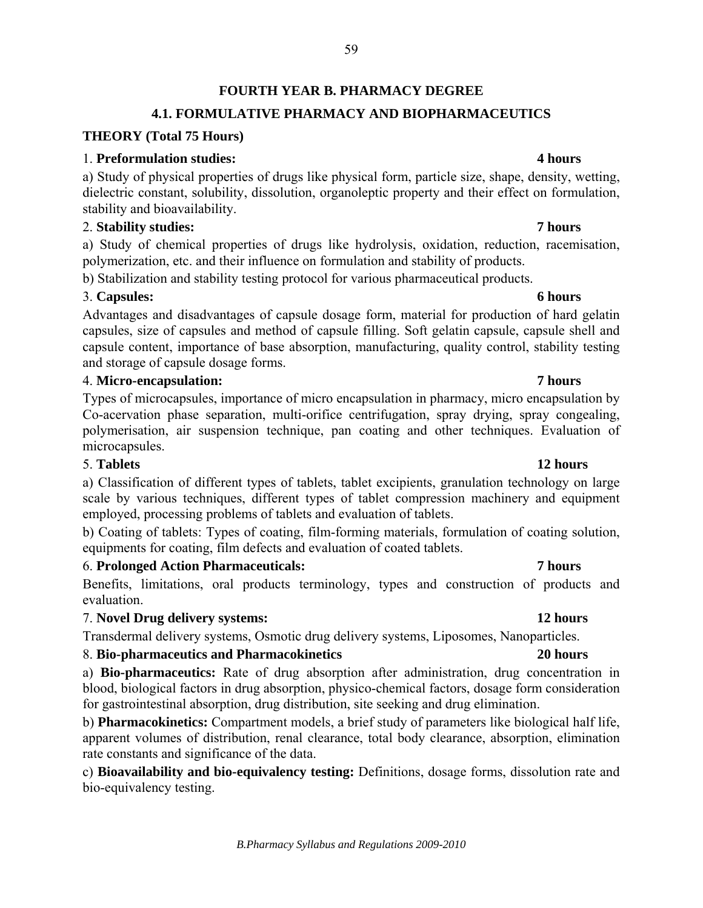# **FOURTH YEAR B. PHARMACY DEGREE**

# **4.1. FORMULATIVE PHARMACY AND BIOPHARMACEUTICS**

## **THEORY (Total 75 Hours)**

## 1. **Preformulation studies: 4 hours**

a) Study of physical properties of drugs like physical form, particle size, shape, density, wetting, dielectric constant, solubility, dissolution, organoleptic property and their effect on formulation, stability and bioavailability.

## 2. **Stability studies: 7 hours**

a) Study of chemical properties of drugs like hydrolysis, oxidation, reduction, racemisation, polymerization, etc. and their influence on formulation and stability of products.

b) Stabilization and stability testing protocol for various pharmaceutical products.

# 3. **Capsules: 6 hours**

Advantages and disadvantages of capsule dosage form, material for production of hard gelatin capsules, size of capsules and method of capsule filling. Soft gelatin capsule, capsule shell and capsule content, importance of base absorption, manufacturing, quality control, stability testing and storage of capsule dosage forms.

# 4. **Micro-encapsulation: 7 hours**

Types of microcapsules, importance of micro encapsulation in pharmacy, micro encapsulation by Co-acervation phase separation, multi-orifice centrifugation, spray drying, spray congealing, polymerisation, air suspension technique, pan coating and other techniques. Evaluation of microcapsules.

## 5. **Tablets 12 hours**

a) Classification of different types of tablets, tablet excipients, granulation technology on large scale by various techniques, different types of tablet compression machinery and equipment employed, processing problems of tablets and evaluation of tablets.

b) Coating of tablets: Types of coating, film-forming materials, formulation of coating solution, equipments for coating, film defects and evaluation of coated tablets.

# 6. **Prolonged Action Pharmaceuticals: 7 hours**

Benefits, limitations, oral products terminology, types and construction of products and evaluation.

# 7. **Novel Drug delivery systems: 12 hours**

Transdermal delivery systems, Osmotic drug delivery systems, Liposomes, Nanoparticles.

# 8. **Bio-pharmaceutics and Pharmacokinetics 20 hours**

a) **Bio-pharmaceutics:** Rate of drug absorption after administration, drug concentration in blood, biological factors in drug absorption, physico-chemical factors, dosage form consideration for gastrointestinal absorption, drug distribution, site seeking and drug elimination.

b) **Pharmacokinetics:** Compartment models, a brief study of parameters like biological half life, apparent volumes of distribution, renal clearance, total body clearance, absorption, elimination rate constants and significance of the data.

c) **Bioavailability and bio-equivalency testing:** Definitions, dosage forms, dissolution rate and bio-equivalency testing.

### *B.Pharmacy Syllabus and Regulations 2009-2010*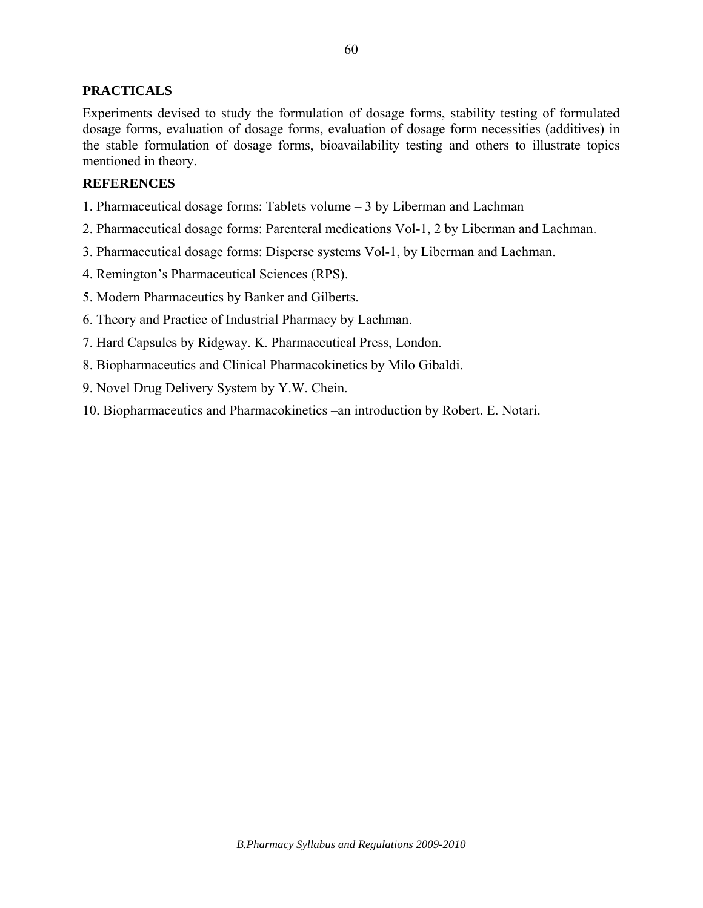## **PRACTICALS**

Experiments devised to study the formulation of dosage forms, stability testing of formulated dosage forms, evaluation of dosage forms, evaluation of dosage form necessities (additives) in the stable formulation of dosage forms, bioavailability testing and others to illustrate topics mentioned in theory.

## **REFERENCES**

- 1. Pharmaceutical dosage forms: Tablets volume 3 by Liberman and Lachman
- 2. Pharmaceutical dosage forms: Parenteral medications Vol-1, 2 by Liberman and Lachman.
- 3. Pharmaceutical dosage forms: Disperse systems Vol-1, by Liberman and Lachman.
- 4. Remington's Pharmaceutical Sciences (RPS).
- 5. Modern Pharmaceutics by Banker and Gilberts.
- 6. Theory and Practice of Industrial Pharmacy by Lachman.
- 7. Hard Capsules by Ridgway. K. Pharmaceutical Press, London.
- 8. Biopharmaceutics and Clinical Pharmacokinetics by Milo Gibaldi.
- 9. Novel Drug Delivery System by Y.W. Chein.
- 10. Biopharmaceutics and Pharmacokinetics –an introduction by Robert. E. Notari.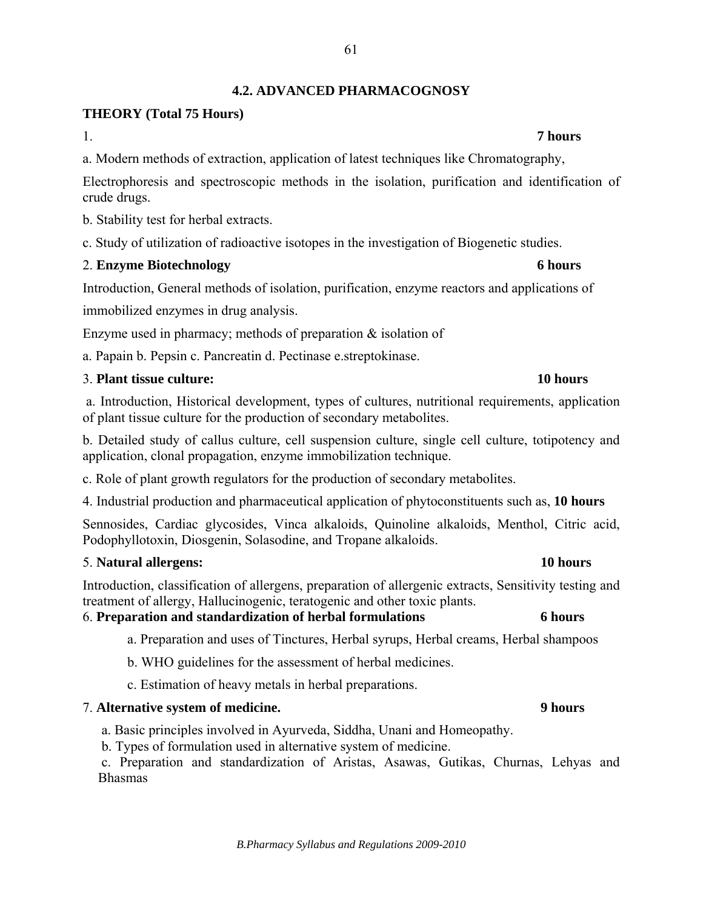# **THEORY (Total 75 Hours)**

1. **7 hours**

a. Modern methods of extraction, application of latest techniques like Chromatography,

Electrophoresis and spectroscopic methods in the isolation, purification and identification of crude drugs.

b. Stability test for herbal extracts.

c. Study of utilization of radioactive isotopes in the investigation of Biogenetic studies.

# 2. **Enzyme Biotechnology 6 hours**

Introduction, General methods of isolation, purification, enzyme reactors and applications of

immobilized enzymes in drug analysis.

Enzyme used in pharmacy; methods of preparation  $\&$  isolation of

a. Papain b. Pepsin c. Pancreatin d. Pectinase e.streptokinase.

# 3. **Plant tissue culture: 10 hours**

 a. Introduction, Historical development, types of cultures, nutritional requirements, application of plant tissue culture for the production of secondary metabolites.

b. Detailed study of callus culture, cell suspension culture, single cell culture, totipotency and application, clonal propagation, enzyme immobilization technique.

c. Role of plant growth regulators for the production of secondary metabolites.

4. Industrial production and pharmaceutical application of phytoconstituents such as, **10 hours** 

Sennosides, Cardiac glycosides, Vinca alkaloids, Quinoline alkaloids, Menthol, Citric acid, Podophyllotoxin, Diosgenin, Solasodine, and Tropane alkaloids.

# 5. **Natural allergens: 10 hours**

Introduction, classification of allergens, preparation of allergenic extracts, Sensitivity testing and treatment of allergy, Hallucinogenic, teratogenic and other toxic plants.

# 6. **Preparation and standardization of herbal formulations 6 hours**

- a. Preparation and uses of Tinctures, Herbal syrups, Herbal creams, Herbal shampoos
- b. WHO guidelines for the assessment of herbal medicines.
- c. Estimation of heavy metals in herbal preparations.

# 7. **Alternative system of medicine. 9 hours**

a. Basic principles involved in Ayurveda, Siddha, Unani and Homeopathy.

b. Types of formulation used in alternative system of medicine.

 c. Preparation and standardization of Aristas, Asawas, Gutikas, Churnas, Lehyas and Bhasmas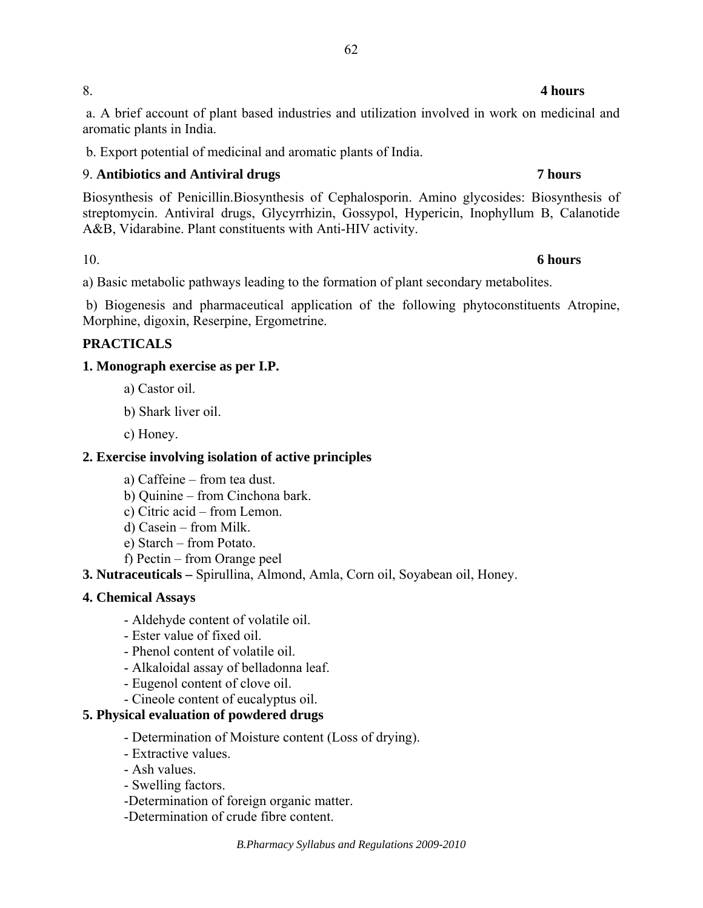## 8. **4 hours**

 a. A brief account of plant based industries and utilization involved in work on medicinal and aromatic plants in India.

b. Export potential of medicinal and aromatic plants of India.

# 9. **Antibiotics and Antiviral drugs 7 hours**

Biosynthesis of Penicillin.Biosynthesis of Cephalosporin. Amino glycosides: Biosynthesis of streptomycin. Antiviral drugs, Glycyrrhizin, Gossypol, Hypericin, Inophyllum B, Calanotide A&B, Vidarabine. Plant constituents with Anti-HIV activity.

# 10. **6 hours**

a) Basic metabolic pathways leading to the formation of plant secondary metabolites.

 b) Biogenesis and pharmaceutical application of the following phytoconstituents Atropine, Morphine, digoxin, Reserpine, Ergometrine.

# **PRACTICALS**

# **1. Monograph exercise as per I.P.**

- a) Castor oil.
- b) Shark liver oil.
- c) Honey.

# **2. Exercise involving isolation of active principles**

- a) Caffeine from tea dust.
- b) Quinine from Cinchona bark.
- c) Citric acid from Lemon.
- d) Casein from Milk.
- e) Starch from Potato.
- f) Pectin from Orange peel
- **3. Nutraceuticals** Spirullina, Almond, Amla, Corn oil, Soyabean oil, Honey.

# **4. Chemical Assays**

- Aldehyde content of volatile oil.
- Ester value of fixed oil.
- Phenol content of volatile oil.
- Alkaloidal assay of belladonna leaf.
- Eugenol content of clove oil.
- Cineole content of eucalyptus oil.

# **5. Physical evaluation of powdered drugs**

- Determination of Moisture content (Loss of drying).
- Extractive values.
- Ash values.
- Swelling factors.
- -Determination of foreign organic matter.
- -Determination of crude fibre content.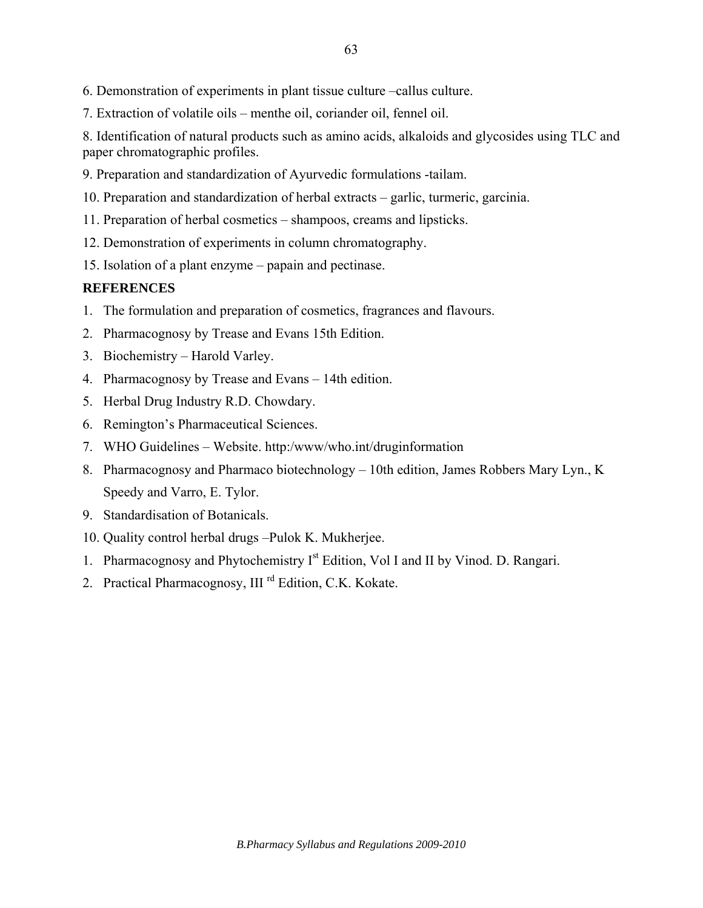7. Extraction of volatile oils – menthe oil, coriander oil, fennel oil.

8. Identification of natural products such as amino acids, alkaloids and glycosides using TLC and paper chromatographic profiles.

9. Preparation and standardization of Ayurvedic formulations -tailam.

10. Preparation and standardization of herbal extracts – garlic, turmeric, garcinia.

- 11. Preparation of herbal cosmetics shampoos, creams and lipsticks.
- 12. Demonstration of experiments in column chromatography.
- 15. Isolation of a plant enzyme papain and pectinase.

## **REFERENCES**

- 1. The formulation and preparation of cosmetics, fragrances and flavours.
- 2. Pharmacognosy by Trease and Evans 15th Edition.
- 3. Biochemistry Harold Varley.
- 4. Pharmacognosy by Trease and Evans 14th edition.
- 5. Herbal Drug Industry R.D. Chowdary.
- 6. Remington's Pharmaceutical Sciences.
- 7. WHO Guidelines Website. http:/www/who.int/druginformation
- 8. Pharmacognosy and Pharmaco biotechnology 10th edition, James Robbers Mary Lyn., K Speedy and Varro, E. Tylor.
- 9. Standardisation of Botanicals.
- 10. Quality control herbal drugs –Pulok K. Mukherjee.
- 1. Pharmacognosy and Phytochemistry I<sup>st</sup> Edition, Vol I and II by Vinod. D. Rangari.
- 2. Practical Pharmacognosy, III<sup>rd</sup> Edition, C.K. Kokate.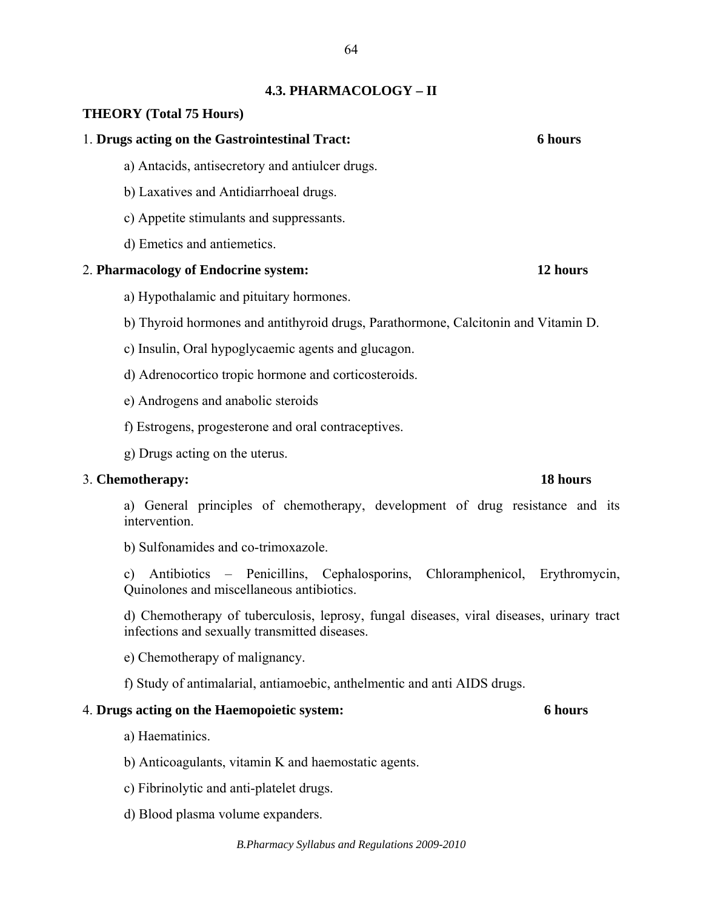## **4.3. PHARMACOLOGY – II**

## **THEORY (Total 75 Hours)**

### 1. **Drugs acting on the Gastrointestinal Tract: 6 hours**

- a) Antacids, antisecretory and antiulcer drugs.
- b) Laxatives and Antidiarrhoeal drugs.
- c) Appetite stimulants and suppressants.
- d) Emetics and antiemetics.

### 2. **Pharmacology of Endocrine system: 12 hours**

- a) Hypothalamic and pituitary hormones.
- b) Thyroid hormones and antithyroid drugs, Parathormone, Calcitonin and Vitamin D.
- c) Insulin, Oral hypoglycaemic agents and glucagon.
- d) Adrenocortico tropic hormone and corticosteroids.
- e) Androgens and anabolic steroids
- f) Estrogens, progesterone and oral contraceptives.
- g) Drugs acting on the uterus.

## 3. **Chemotherapy: 18 hours**

a) General principles of chemotherapy, development of drug resistance and its intervention.

b) Sulfonamides and co-trimoxazole.

c) Antibiotics – Penicillins, Cephalosporins, Chloramphenicol, Erythromycin, Quinolones and miscellaneous antibiotics.

d) Chemotherapy of tuberculosis, leprosy, fungal diseases, viral diseases, urinary tract infections and sexually transmitted diseases.

e) Chemotherapy of malignancy.

f) Study of antimalarial, antiamoebic, anthelmentic and anti AIDS drugs.

### 4. **Drugs acting on the Haemopoietic system: 6 hours**

a) Haematinics.

b) Anticoagulants, vitamin K and haemostatic agents.

- c) Fibrinolytic and anti-platelet drugs.
- d) Blood plasma volume expanders.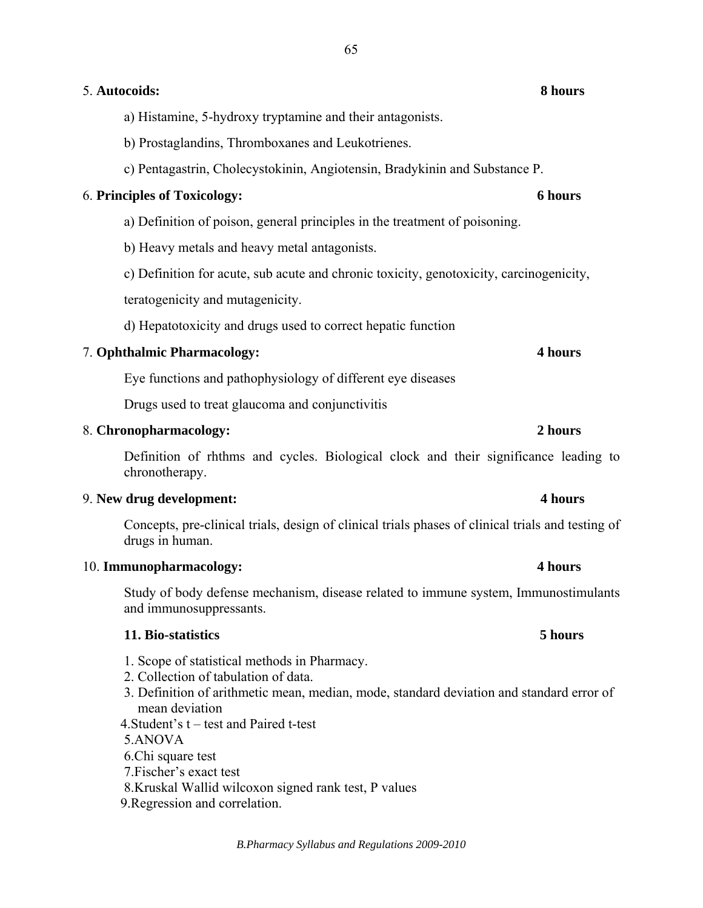## 5. **Autocoids: 8 hours**

a) Histamine, 5-hydroxy tryptamine and their antagonists.

b) Prostaglandins, Thromboxanes and Leukotrienes.

c) Pentagastrin, Cholecystokinin, Angiotensin, Bradykinin and Substance P.

## 6. **Principles of Toxicology: 6 hours**

a) Definition of poison, general principles in the treatment of poisoning.

b) Heavy metals and heavy metal antagonists.

c) Definition for acute, sub acute and chronic toxicity, genotoxicity, carcinogenicity,

teratogenicity and mutagenicity.

d) Hepatotoxicity and drugs used to correct hepatic function

# 7. **Ophthalmic Pharmacology: 4 hours**

Eye functions and pathophysiology of different eye diseases

Drugs used to treat glaucoma and conjunctivitis

## 8. **Chronopharmacology: 2 hours**

Definition of rhthms and cycles. Biological clock and their significance leading to chronotherapy.

# 9. **New drug development: 4 hours**

Concepts, pre-clinical trials, design of clinical trials phases of clinical trials and testing of drugs in human.

## 10. **Immunopharmacology: 4 hours**

Study of body defense mechanism, disease related to immune system, Immunostimulants and immunosuppressants.

## **11. Bio-statistics 5 hours**

- 1. Scope of statistical methods in Pharmacy.
- 2. Collection of tabulation of data.
- 3. Definition of arithmetic mean, median, mode, standard deviation and standard error of mean deviation
- 4.Student's t test and Paired t-test

5.ANOVA

- 6.Chi square test
- 7.Fischer's exact test
- 8.Kruskal Wallid wilcoxon signed rank test, P values

9.Regression and correlation.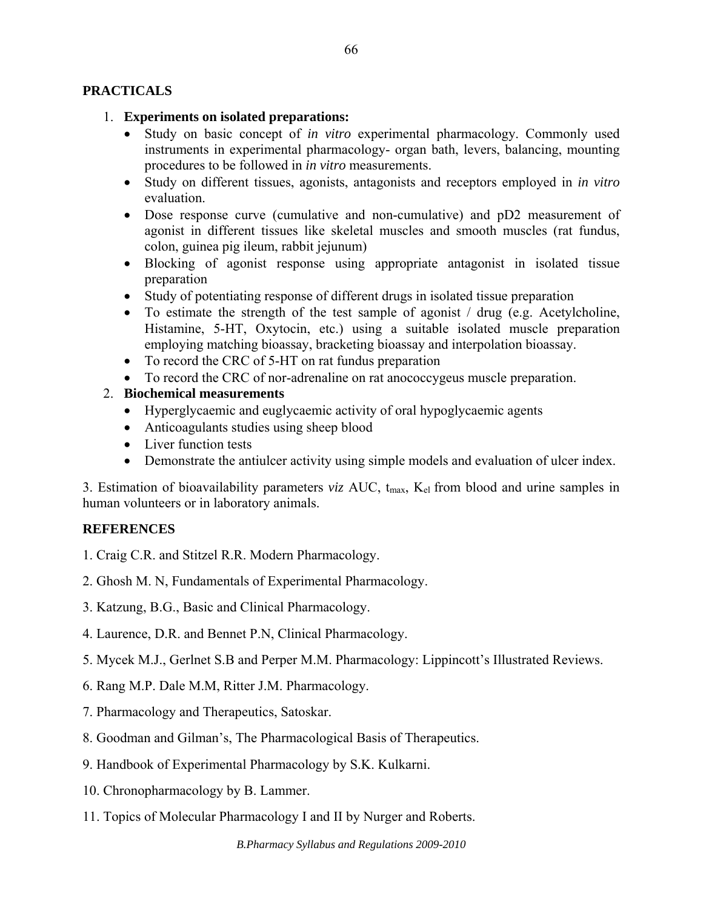# **PRACTICALS**

# 1. **Experiments on isolated preparations:**

- Study on basic concept of *in vitro* experimental pharmacology. Commonly used instruments in experimental pharmacology- organ bath, levers, balancing, mounting procedures to be followed in *in vitro* measurements.
- Study on different tissues, agonists, antagonists and receptors employed in *in vitro* evaluation.
- Dose response curve (cumulative and non-cumulative) and pD2 measurement of agonist in different tissues like skeletal muscles and smooth muscles (rat fundus, colon, guinea pig ileum, rabbit jejunum)
- Blocking of agonist response using appropriate antagonist in isolated tissue preparation
- Study of potentiating response of different drugs in isolated tissue preparation
- To estimate the strength of the test sample of agonist / drug (e.g. Acetylcholine, Histamine, 5-HT, Oxytocin, etc.) using a suitable isolated muscle preparation employing matching bioassay, bracketing bioassay and interpolation bioassay.
- To record the CRC of 5-HT on rat fundus preparation
- To record the CRC of nor-adrenaline on rat anococcygeus muscle preparation.

# 2. **Biochemical measurements**

- Hyperglycaemic and euglycaemic activity of oral hypoglycaemic agents
- Anticoagulants studies using sheep blood
- Liver function tests
- Demonstrate the antiulcer activity using simple models and evaluation of ulcer index.

3. Estimation of bioavailability parameters *viz* AUC, t<sub>max</sub>, K<sub>el</sub> from blood and urine samples in human volunteers or in laboratory animals.

# **REFERENCES**

- 1. Craig C.R. and Stitzel R.R. Modern Pharmacology.
- 2. Ghosh M. N, Fundamentals of Experimental Pharmacology.
- 3. Katzung, B.G., Basic and Clinical Pharmacology.
- 4. Laurence, D.R. and Bennet P.N, Clinical Pharmacology.
- 5. Mycek M.J., Gerlnet S.B and Perper M.M. Pharmacology: Lippincott's Illustrated Reviews.
- 6. Rang M.P. Dale M.M, Ritter J.M. Pharmacology.
- 7. Pharmacology and Therapeutics, Satoskar.
- 8. Goodman and Gilman's, The Pharmacological Basis of Therapeutics.
- 9. Handbook of Experimental Pharmacology by S.K. Kulkarni.
- 10. Chronopharmacology by B. Lammer.
- 11. Topics of Molecular Pharmacology I and II by Nurger and Roberts.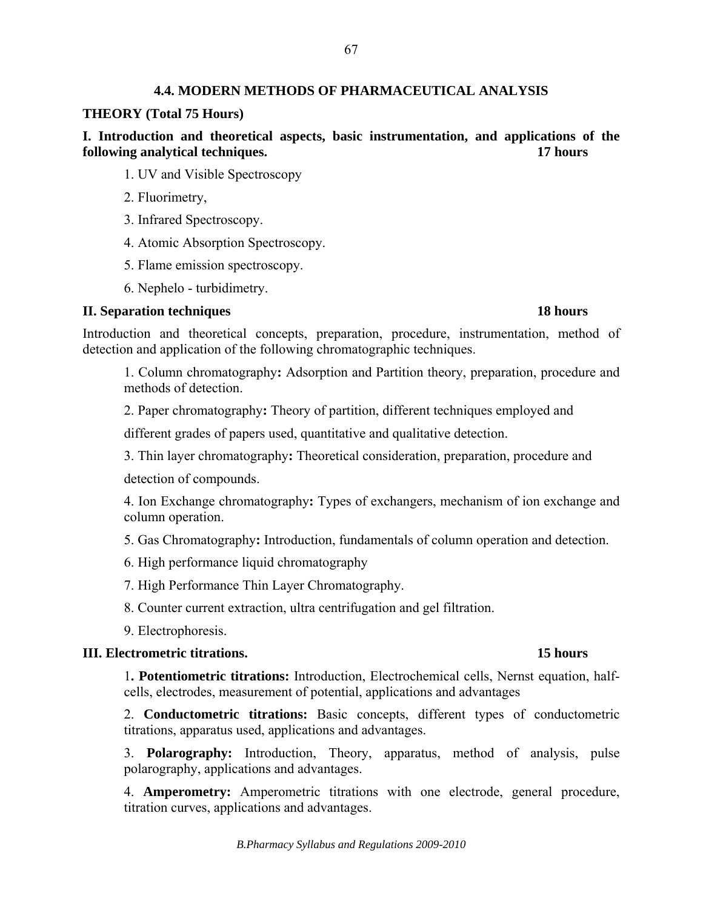## **4.4. MODERN METHODS OF PHARMACEUTICAL ANALYSIS**

### **THEORY (Total 75 Hours)**

**I. Introduction and theoretical aspects, basic instrumentation, and applications of the following analytical techniques. 17 hours** 

- 1. UV and Visible Spectroscopy
- 2. Fluorimetry,
- 3. Infrared Spectroscopy.
- 4. Atomic Absorption Spectroscopy.
- 5. Flame emission spectroscopy.
- 6. Nephelo turbidimetry.

## **II. Separation techniques 18 hours**

Introduction and theoretical concepts, preparation, procedure, instrumentation, method of detection and application of the following chromatographic techniques.

1. Column chromatography**:** Adsorption and Partition theory, preparation, procedure and methods of detection.

2. Paper chromatography**:** Theory of partition, different techniques employed and

different grades of papers used, quantitative and qualitative detection.

3. Thin layer chromatography**:** Theoretical consideration, preparation, procedure and

detection of compounds.

4. Ion Exchange chromatography**:** Types of exchangers, mechanism of ion exchange and column operation.

5. Gas Chromatography**:** Introduction, fundamentals of column operation and detection.

6. High performance liquid chromatography

7. High Performance Thin Layer Chromatography.

8. Counter current extraction, ultra centrifugation and gel filtration.

9. Electrophoresis.

## **III. Electrometric titrations. 15 hours**

1**. Potentiometric titrations:** Introduction, Electrochemical cells, Nernst equation, halfcells, electrodes, measurement of potential, applications and advantages

2. **Conductometric titrations:** Basic concepts, different types of conductometric titrations, apparatus used, applications and advantages.

3. **Polarography:** Introduction, Theory, apparatus, method of analysis, pulse polarography, applications and advantages.

4. **Amperometry:** Amperometric titrations with one electrode, general procedure, titration curves, applications and advantages.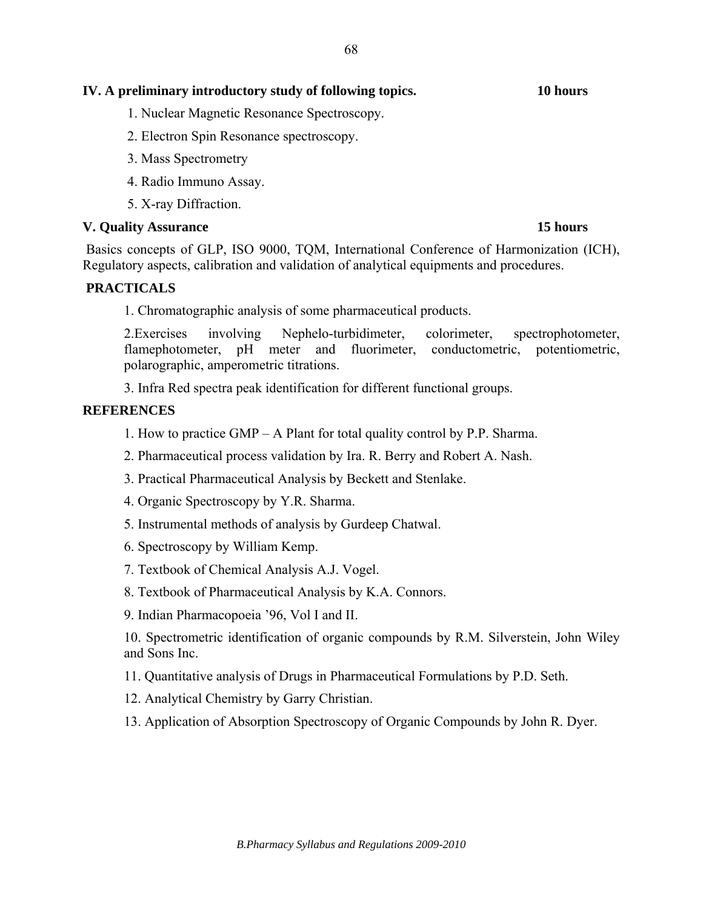# **IV. A preliminary introductory study of following topics. 10 hours**

- 1. Nuclear Magnetic Resonance Spectroscopy.
- 2. Electron Spin Resonance spectroscopy.
- 3. Mass Spectrometry
- 4. Radio Immuno Assay.
- 5. X-ray Diffraction.

## **V. Quality Assurance 15 hours**

 Basics concepts of GLP, ISO 9000, TQM, International Conference of Harmonization (ICH), Regulatory aspects, calibration and validation of analytical equipments and procedures.

## **PRACTICALS**

1. Chromatographic analysis of some pharmaceutical products.

2.Exercises involving Nephelo-turbidimeter, colorimeter, spectrophotometer, flamephotometer, pH meter and fluorimeter, conductometric, potentiometric, polarographic, amperometric titrations.

3. Infra Red spectra peak identification for different functional groups.

## **REFERENCES**

1. How to practice GMP – A Plant for total quality control by P.P. Sharma.

- 2. Pharmaceutical process validation by Ira. R. Berry and Robert A. Nash.
- 3. Practical Pharmaceutical Analysis by Beckett and Stenlake.
- 4. Organic Spectroscopy by Y.R. Sharma.
- 5. Instrumental methods of analysis by Gurdeep Chatwal.
- 6. Spectroscopy by William Kemp.
- 7. Textbook of Chemical Analysis A.J. Vogel.
- 8. Textbook of Pharmaceutical Analysis by K.A. Connors.
- 9. Indian Pharmacopoeia '96, Vol I and II.

10. Spectrometric identification of organic compounds by R.M. Silverstein, John Wiley and Sons Inc.

11. Quantitative analysis of Drugs in Pharmaceutical Formulations by P.D. Seth.

12. Analytical Chemistry by Garry Christian.

13. Application of Absorption Spectroscopy of Organic Compounds by John R. Dyer.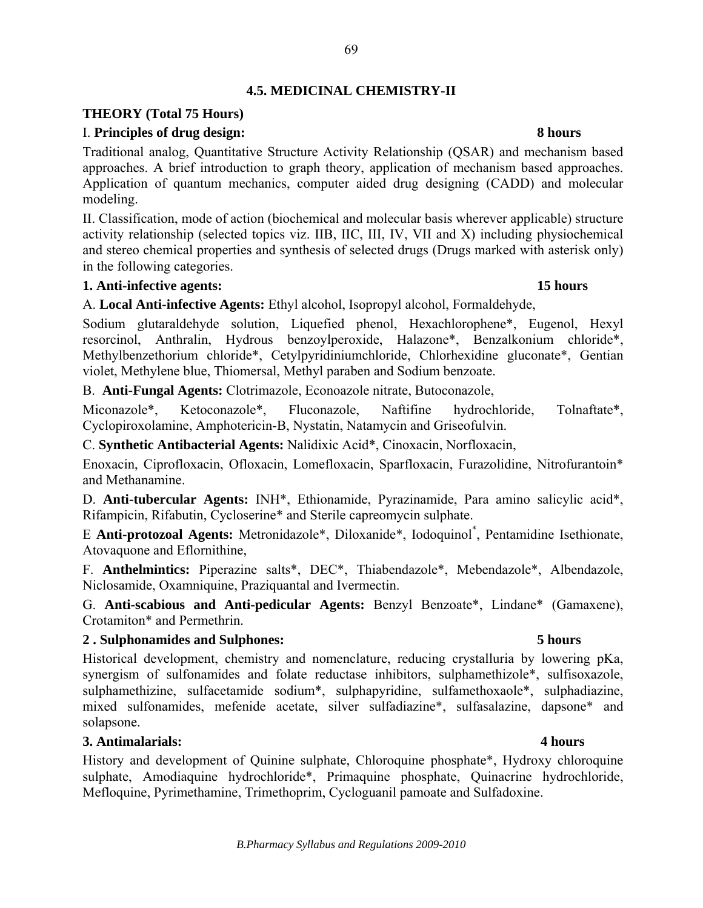# **4.5. MEDICINAL CHEMISTRY-II**

# **THEORY (Total 75 Hours)**

# I. **Principles of drug design: 8 hours**

Traditional analog, Quantitative Structure Activity Relationship (QSAR) and mechanism based approaches. A brief introduction to graph theory, application of mechanism based approaches. Application of quantum mechanics, computer aided drug designing (CADD) and molecular modeling.

II. Classification, mode of action (biochemical and molecular basis wherever applicable) structure activity relationship (selected topics viz. IIB, IIC, III, IV, VII and X) including physiochemical and stereo chemical properties and synthesis of selected drugs (Drugs marked with asterisk only) in the following categories.

## **1. Anti-infective agents: 15 hours**

A. **Local Anti-infective Agents:** Ethyl alcohol, Isopropyl alcohol, Formaldehyde,

Sodium glutaraldehyde solution, Liquefied phenol, Hexachlorophene\*, Eugenol, Hexyl resorcinol, Anthralin, Hydrous benzoylperoxide, Halazone\*, Benzalkonium chloride\*, Methylbenzethorium chloride\*, Cetylpyridiniumchloride, Chlorhexidine gluconate\*, Gentian violet, Methylene blue, Thiomersal, Methyl paraben and Sodium benzoate.

B. **Anti-Fungal Agents:** Clotrimazole, Econoazole nitrate, Butoconazole,

Miconazole\*, Ketoconazole\*, Fluconazole, Naftifine hydrochloride, Tolnaftate\*, Cyclopiroxolamine, Amphotericin-B, Nystatin, Natamycin and Griseofulvin.

# C. **Synthetic Antibacterial Agents:** Nalidixic Acid\*, Cinoxacin, Norfloxacin,

Enoxacin, Ciprofloxacin, Ofloxacin, Lomefloxacin, Sparfloxacin, Furazolidine, Nitrofurantoin\* and Methanamine.

D. **Anti-tubercular Agents:** INH\*, Ethionamide, Pyrazinamide, Para amino salicylic acid\*, Rifampicin, Rifabutin, Cycloserine\* and Sterile capreomycin sulphate.

E **Anti-protozoal Agents:** Metronidazole\*, Diloxanide\*, Iodoquinol\* , Pentamidine Isethionate, Atovaquone and Eflornithine,

F. **Anthelmintics:** Piperazine salts\*, DEC\*, Thiabendazole\*, Mebendazole\*, Albendazole, Niclosamide, Oxamniquine, Praziquantal and Ivermectin.

G. **Anti-scabious and Anti-pedicular Agents:** Benzyl Benzoate\*, Lindane\* (Gamaxene), Crotamiton\* and Permethrin.

# **2 . Sulphonamides and Sulphones: 5 hours**

Historical development, chemistry and nomenclature, reducing crystalluria by lowering pKa, synergism of sulfonamides and folate reductase inhibitors, sulphamethizole\*, sulfisoxazole, sulphamethizine, sulfacetamide sodium\*, sulphapyridine, sulfamethoxaole\*, sulphadiazine, mixed sulfonamides, mefenide acetate, silver sulfadiazine\*, sulfasalazine, dapsone\* and solapsone.

# **3. Antimalarials: 4 hours**

History and development of Quinine sulphate, Chloroquine phosphate\*, Hydroxy chloroquine sulphate, Amodiaquine hydrochloride\*, Primaquine phosphate, Quinacrine hydrochloride, Mefloquine, Pyrimethamine, Trimethoprim, Cycloguanil pamoate and Sulfadoxine.

## 69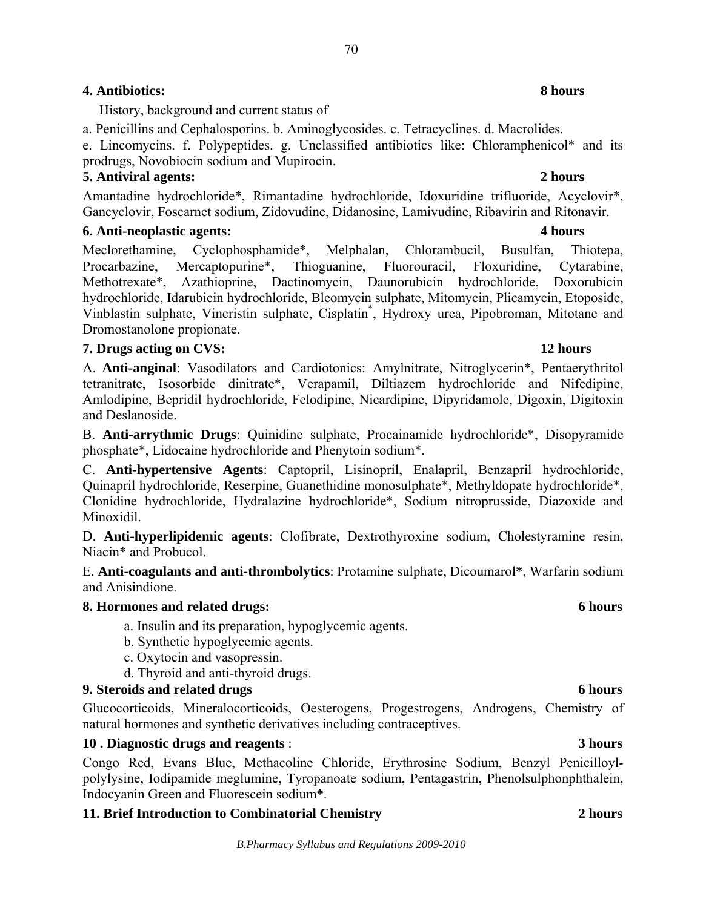# **4. Antibiotics: 8 hours**

History, background and current status of

a. Penicillins and Cephalosporins. b. Aminoglycosides. c. Tetracyclines. d. Macrolides.

e. Lincomycins. f. Polypeptides. g. Unclassified antibiotics like: Chloramphenicol\* and its prodrugs, Novobiocin sodium and Mupirocin.

# **5. Antiviral agents: 2 hours**

Amantadine hydrochloride\*, Rimantadine hydrochloride, Idoxuridine trifluoride, Acyclovir\*, Gancyclovir, Foscarnet sodium, Zidovudine, Didanosine, Lamivudine, Ribavirin and Ritonavir.

# **6. Anti-neoplastic agents: 4 hours**

Meclorethamine, Cyclophosphamide\*, Melphalan, Chlorambucil, Busulfan, Thiotepa, Procarbazine, Mercaptopurine\*, Thioguanine, Fluorouracil, Floxuridine, Cytarabine, Methotrexate\*, Azathioprine, Dactinomycin, Daunorubicin hydrochloride, Doxorubicin hydrochloride, Idarubicin hydrochloride, Bleomycin sulphate, Mitomycin, Plicamycin, Etoposide, Vinblastin sulphate, Vincristin sulphate, Cisplatin\* , Hydroxy urea, Pipobroman, Mitotane and Dromostanolone propionate.

# **7. Drugs acting on CVS: 12 hours**

A. **Anti-anginal**: Vasodilators and Cardiotonics: Amylnitrate, Nitroglycerin\*, Pentaerythritol tetranitrate, Isosorbide dinitrate\*, Verapamil, Diltiazem hydrochloride and Nifedipine, Amlodipine, Bepridil hydrochloride, Felodipine, Nicardipine, Dipyridamole, Digoxin, Digitoxin and Deslanoside.

B. **Anti-arrythmic Drugs**: Quinidine sulphate, Procainamide hydrochloride\*, Disopyramide phosphate\*, Lidocaine hydrochloride and Phenytoin sodium\*.

C. **Anti-hypertensive Agents**: Captopril, Lisinopril, Enalapril, Benzapril hydrochloride, Quinapril hydrochloride, Reserpine, Guanethidine monosulphate\*, Methyldopate hydrochloride\*, Clonidine hydrochloride, Hydralazine hydrochloride\*, Sodium nitroprusside, Diazoxide and Minoxidil.

D. **Anti-hyperlipidemic agents**: Clofibrate, Dextrothyroxine sodium, Cholestyramine resin, Niacin\* and Probucol.

E. **Anti-coagulants and anti-thrombolytics**: Protamine sulphate, Dicoumarol**\***, Warfarin sodium and Anisindione.

# **8. Hormones and related drugs: 6 hours**

- a. Insulin and its preparation, hypoglycemic agents.
- b. Synthetic hypoglycemic agents.
- c. Oxytocin and vasopressin.
- d. Thyroid and anti-thyroid drugs.

# **9. Steroids and related drugs 6 hours** 6 hours

Glucocorticoids, Mineralocorticoids, Oesterogens, Progestrogens, Androgens, Chemistry of natural hormones and synthetic derivatives including contraceptives.

# **10 . Diagnostic drugs and reagents** : **3 hours**

Congo Red, Evans Blue, Methacoline Chloride, Erythrosine Sodium, Benzyl Penicilloylpolylysine, Iodipamide meglumine, Tyropanoate sodium, Pentagastrin, Phenolsulphonphthalein, Indocyanin Green and Fluorescein sodium**\***.

# **11. Brief Introduction to Combinatorial Chemistry 2 hours**

### *B.Pharmacy Syllabus and Regulations 2009-2010*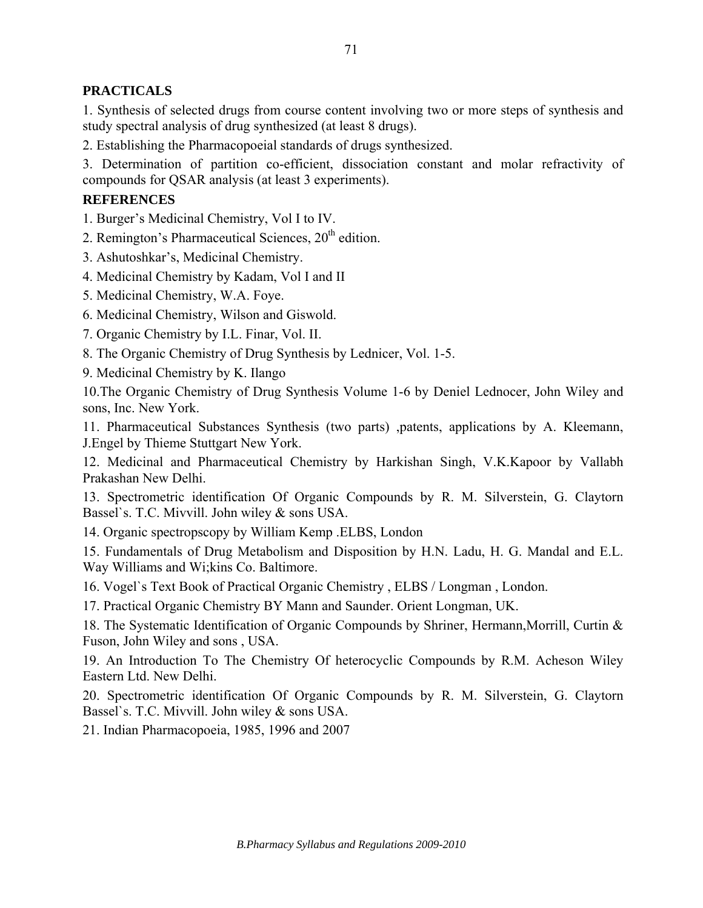# **PRACTICALS**

1. Synthesis of selected drugs from course content involving two or more steps of synthesis and study spectral analysis of drug synthesized (at least 8 drugs).

2. Establishing the Pharmacopoeial standards of drugs synthesized.

3. Determination of partition co-efficient, dissociation constant and molar refractivity of compounds for QSAR analysis (at least 3 experiments).

## **REFERENCES**

1. Burger's Medicinal Chemistry, Vol I to IV.

2. Remington's Pharmaceutical Sciences,  $20<sup>th</sup>$  edition.

3. Ashutoshkar's, Medicinal Chemistry.

4. Medicinal Chemistry by Kadam, Vol I and II

5. Medicinal Chemistry, W.A. Foye.

6. Medicinal Chemistry, Wilson and Giswold.

7. Organic Chemistry by I.L. Finar, Vol. II.

8. The Organic Chemistry of Drug Synthesis by Lednicer, Vol. 1-5.

9. Medicinal Chemistry by K. Ilango

10.The Organic Chemistry of Drug Synthesis Volume 1-6 by Deniel Lednocer, John Wiley and sons, Inc. New York.

11. Pharmaceutical Substances Synthesis (two parts) ,patents, applications by A. Kleemann, J.Engel by Thieme Stuttgart New York.

12. Medicinal and Pharmaceutical Chemistry by Harkishan Singh, V.K.Kapoor by Vallabh Prakashan New Delhi.

13. Spectrometric identification Of Organic Compounds by R. M. Silverstein, G. Claytorn Bassel`s. T.C. Mivvill. John wiley & sons USA.

14. Organic spectropscopy by William Kemp .ELBS, London

15. Fundamentals of Drug Metabolism and Disposition by H.N. Ladu, H. G. Mandal and E.L. Way Williams and Wi;kins Co. Baltimore.

16. Vogel`s Text Book of Practical Organic Chemistry , ELBS / Longman , London.

17. Practical Organic Chemistry BY Mann and Saunder. Orient Longman, UK.

18. The Systematic Identification of Organic Compounds by Shriner, Hermann,Morrill, Curtin & Fuson, John Wiley and sons , USA.

19. An Introduction To The Chemistry Of heterocyclic Compounds by R.M. Acheson Wiley Eastern Ltd. New Delhi.

20. Spectrometric identification Of Organic Compounds by R. M. Silverstein, G. Claytorn Bassel`s. T.C. Mivvill. John wiley & sons USA.

21. Indian Pharmacopoeia, 1985, 1996 and 2007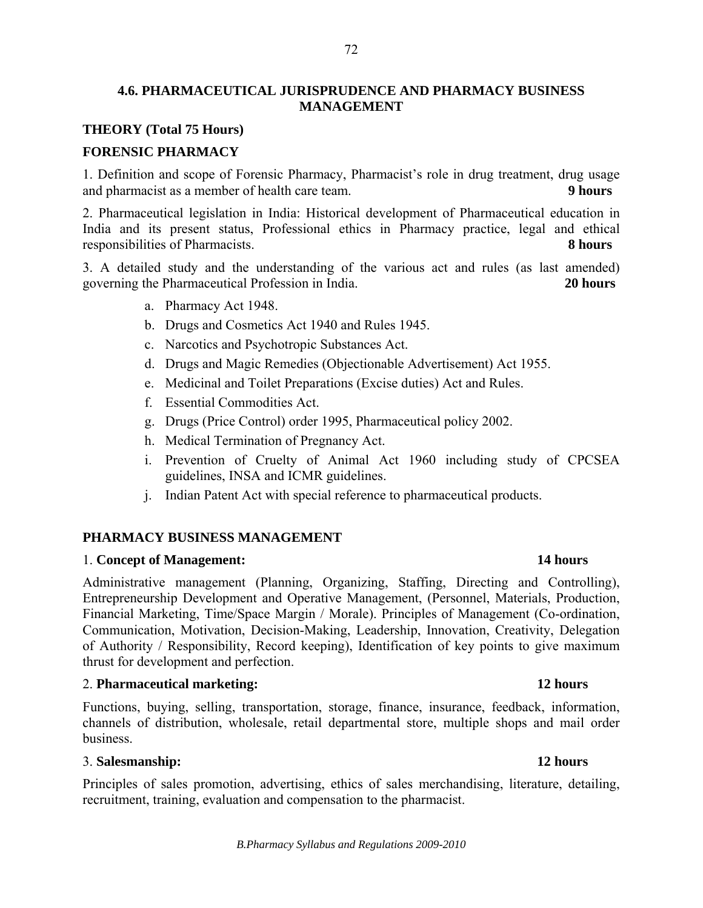## **4.6. PHARMACEUTICAL JURISPRUDENCE AND PHARMACY BUSINESS MANAGEMENT**

## **THEORY (Total 75 Hours)**

## **FORENSIC PHARMACY**

1. Definition and scope of Forensic Pharmacy, Pharmacist's role in drug treatment, drug usage and pharmacist as a member of health care team. **9 hours**

2. Pharmaceutical legislation in India: Historical development of Pharmaceutical education in India and its present status, Professional ethics in Pharmacy practice, legal and ethical responsibilities of Pharmacists. **8 hours**

3. A detailed study and the understanding of the various act and rules (as last amended) governing the Pharmaceutical Profession in India. **20 hours**

- a. Pharmacy Act 1948.
- b. Drugs and Cosmetics Act 1940 and Rules 1945.
- c. Narcotics and Psychotropic Substances Act.
- d. Drugs and Magic Remedies (Objectionable Advertisement) Act 1955.
- e. Medicinal and Toilet Preparations (Excise duties) Act and Rules.
- f. Essential Commodities Act.
- g. Drugs (Price Control) order 1995, Pharmaceutical policy 2002.
- h. Medical Termination of Pregnancy Act.
- i. Prevention of Cruelty of Animal Act 1960 including study of CPCSEA guidelines, INSA and ICMR guidelines.
- j. Indian Patent Act with special reference to pharmaceutical products.

### **PHARMACY BUSINESS MANAGEMENT**

### 1. **Concept of Management: 14 hours**

Administrative management (Planning, Organizing, Staffing, Directing and Controlling), Entrepreneurship Development and Operative Management, (Personnel, Materials, Production, Financial Marketing, Time/Space Margin / Morale). Principles of Management (Co-ordination, Communication, Motivation, Decision-Making, Leadership, Innovation, Creativity, Delegation of Authority / Responsibility, Record keeping), Identification of key points to give maximum thrust for development and perfection.

### 2. **Pharmaceutical marketing: 12 hours**

Functions, buying, selling, transportation, storage, finance, insurance, feedback, information, channels of distribution, wholesale, retail departmental store, multiple shops and mail order business.

### 3. **Salesmanship: 12 hours**

Principles of sales promotion, advertising, ethics of sales merchandising, literature, detailing, recruitment, training, evaluation and compensation to the pharmacist.